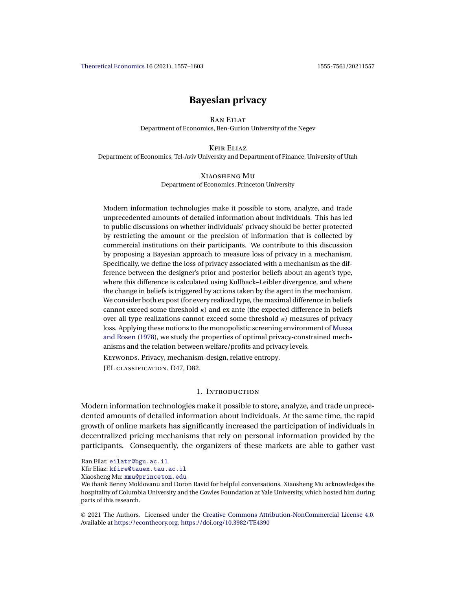# **Bayesian privacy**

Ran Eilat Department of Economics, Ben-Gurion University of the Negev

Kfir Eliaz

<span id="page-0-0"></span>Department of Economics, Tel-Aviv University and Department of Finance, University of Utah

# Xiaosheng Mu Department of Economics, Princeton University

Modern information technologies make it possible to store, analyze, and trade unprecedented amounts of detailed information about individuals. This has led to public discussions on whether individuals' privacy should be better protected by restricting the amount or the precision of information that is collected by commercial institutions on their participants. We contribute to this discussion by proposing a Bayesian approach to measure loss of privacy in a mechanism. Specifically, we define the loss of privacy associated with a mechanism as the difference between the designer's prior and posterior beliefs about an agent's type, where this difference is calculated using Kullback–Leibler divergence, and where the change in beliefs is triggered by actions taken by the agent in the mechanism. We consider both ex post (for every realized type, the maximal difference in beliefs cannot exceed some threshold  $\kappa$ ) and ex ante (the expected difference in beliefs over all type realizations cannot exceed some threshold κ) measures of privacy loss. Applying these notions to the monopolistic screening environment of [Mussa](#page-46-0) [and Rosen](#page-46-0) [\(1978\)](#page-46-0), we study the properties of optimal privacy-constrained mechanisms and the relation between welfare/profits and privacy levels.

KEYWORDS. Privacy, mechanism-design, relative entropy.

JEL classification. D47, D82.

# 1. Introduction

Modern information technologies make it possible to store, analyze, and trade unprecedented amounts of detailed information about individuals. At the same time, the rapid growth of online markets has significantly increased the participation of individuals in decentralized pricing mechanisms that rely on personal information provided by the participants. Consequently, the organizers of these markets are able to gather vast

Kfir Eliaz: [kfire@tauex.tau.ac.il](mailto:kfire@tauex.tau.ac.il)

Xiaosheng Mu: [xmu@princeton.edu](mailto:xmu@princeton.edu)

© 2021 The Authors. Licensed under the [Creative Commons Attribution-NonCommercial License 4.0](https://creativecommons.org/licenses/by-nc/4.0/legalcode). Available at <https://econtheory.org>. <https://doi.org/10.3982/TE4390>

Ran Eilat: [eilatr@bgu.ac.il](mailto:eilatr@bgu.ac.il)

We thank Benny Moldovanu and Doron Ravid for helpful conversations. Xiaosheng Mu acknowledges the hospitality of Columbia University and the Cowles Foundation at Yale University, which hosted him during parts of this research.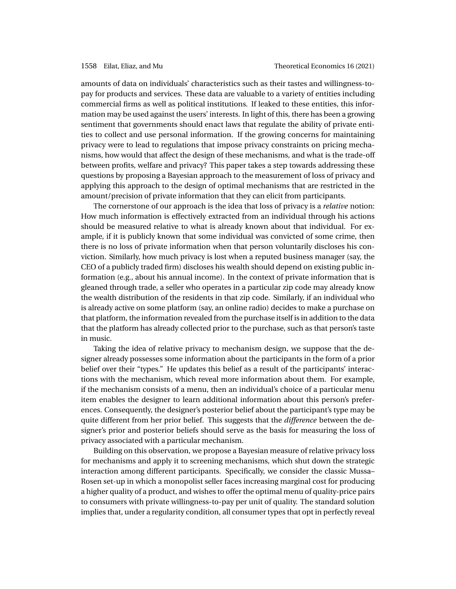amounts of data on individuals' characteristics such as their tastes and willingness-topay for products and services. These data are valuable to a variety of entities including commercial firms as well as political institutions. If leaked to these entities, this information may be used against the users' interests. In light of this, there has been a growing sentiment that governments should enact laws that regulate the ability of private entities to collect and use personal information. If the growing concerns for maintaining privacy were to lead to regulations that impose privacy constraints on pricing mechanisms, how would that affect the design of these mechanisms, and what is the trade-off between profits, welfare and privacy? This paper takes a step towards addressing these questions by proposing a Bayesian approach to the measurement of loss of privacy and applying this approach to the design of optimal mechanisms that are restricted in the amount/precision of private information that they can elicit from participants.

The cornerstone of our approach is the idea that loss of privacy is a *relative* notion: How much information is effectively extracted from an individual through his actions should be measured relative to what is already known about that individual. For example, if it is publicly known that some individual was convicted of some crime, then there is no loss of private information when that person voluntarily discloses his conviction. Similarly, how much privacy is lost when a reputed business manager (say, the CEO of a publicly traded firm) discloses his wealth should depend on existing public information (e.g., about his annual income). In the context of private information that is gleaned through trade, a seller who operates in a particular zip code may already know the wealth distribution of the residents in that zip code. Similarly, if an individual who is already active on some platform (say, an online radio) decides to make a purchase on that platform, the information revealed from the purchase itself is in addition to the data that the platform has already collected prior to the purchase, such as that person's taste in music.

Taking the idea of relative privacy to mechanism design, we suppose that the designer already possesses some information about the participants in the form of a prior belief over their "types." He updates this belief as a result of the participants' interactions with the mechanism, which reveal more information about them. For example, if the mechanism consists of a menu, then an individual's choice of a particular menu item enables the designer to learn additional information about this person's preferences. Consequently, the designer's posterior belief about the participant's type may be quite different from her prior belief. This suggests that the *difference* between the designer's prior and posterior beliefs should serve as the basis for measuring the loss of privacy associated with a particular mechanism.

Building on this observation, we propose a Bayesian measure of relative privacy loss for mechanisms and apply it to screening mechanisms, which shut down the strategic interaction among different participants. Specifically, we consider the classic Mussa– Rosen set-up in which a monopolist seller faces increasing marginal cost for producing a higher quality of a product, and wishes to offer the optimal menu of quality-price pairs to consumers with private willingness-to-pay per unit of quality. The standard solution implies that, under a regularity condition, all consumer types that opt in perfectly reveal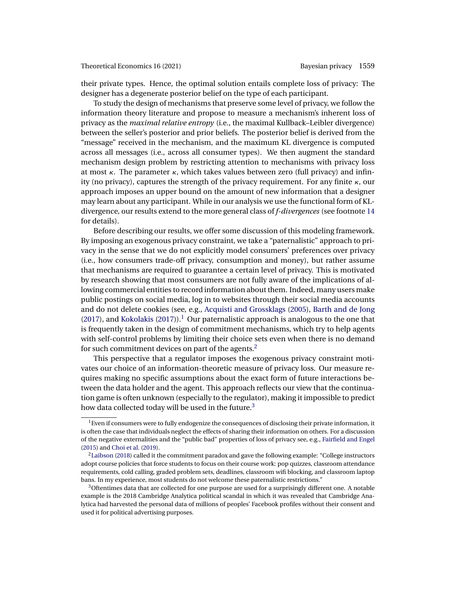<span id="page-2-0"></span>their private types. Hence, the optimal solution entails complete loss of privacy: The designer has a degenerate posterior belief on the type of each participant.

To study the design of mechanisms that preserve some level of privacy, we follow the information theory literature and propose to measure a mechanism's inherent loss of privacy as the *maximal relative entropy* (i.e., the maximal Kullback–Leibler divergence) between the seller's posterior and prior beliefs. The posterior belief is derived from the "message" received in the mechanism, and the maximum KL divergence is computed across all messages (i.e., across all consumer types). We then augment the standard mechanism design problem by restricting attention to mechanisms with privacy loss at most κ. The parameter κ, which takes values between zero (full privacy) and infinity (no privacy), captures the strength of the privacy requirement. For any finite  $\kappa$ , our approach imposes an upper bound on the amount of new information that a designer may learn about any participant. While in our analysis we use the functional form of KLdivergence, our results extend to the more general class of *f-divergences* (see footnote [14](#page-12-0) for details).

Before describing our results, we offer some discussion of this modeling framework. By imposing an exogenous privacy constraint, we take a "paternalistic" approach to privacy in the sense that we do not explicitly model consumers' preferences over privacy (i.e., how consumers trade-off privacy, consumption and money), but rather assume that mechanisms are required to guarantee a certain level of privacy. This is motivated by research showing that most consumers are not fully aware of the implications of allowing commercial entities to record information about them. Indeed, many users make public postings on social media, log in to websites through their social media accounts and do not delete cookies (see, e.g., [Acquisti and Grossklags](#page-43-0) [\(2005\)](#page-43-0), [Barth and de Jong](#page-43-0) [\(2017\)](#page-45-0), and [Kokolakis](#page-45-0) (2017)).<sup>1</sup> Our paternalistic approach is analogous to the one that is frequently taken in the design of commitment mechanisms, which try to help agents with self-control problems by limiting their choice sets even when there is no demand for such commitment devices on part of the agents.<sup>2</sup>

This perspective that a regulator imposes the exogenous privacy constraint motivates our choice of an information-theoretic measure of privacy loss. Our measure requires making no specific assumptions about the exact form of future interactions between the data holder and the agent. This approach reflects our view that the continuation game is often unknown (especially to the regulator), making it impossible to predict how data collected today will be used in the future.<sup>3</sup>

 $1$  Even if consumers were to fully endogenize the consequences of disclosing their private information, it is often the case that individuals neglect the effects of sharing their information on others. For a discussion of the negative externalities and the "public bad" properties of loss of privacy see, e.g., [Fairfield and Engel](#page-44-0) [\(2015\)](#page-44-0) and [Choi et al.](#page-43-0) [\(2019\)](#page-43-0).

 ${}^{2}$ Laibson [\(2018\)](#page-45-0) called it the commitment paradox and gave the following example: "College instructors" adopt course policies that force students to focus on their course work: pop quizzes, classroom attendance requirements, cold calling, graded problem sets, deadlines, classroom wifi blocking, and classroom laptop bans. In my experience, most students do not welcome these paternalistic restrictions."

<sup>3</sup>Oftentimes data that are collected for one purpose are used for a surprisingly different one. A notable example is the 2018 Cambridge Analytica political scandal in which it was revealed that Cambridge Analytica had harvested the personal data of millions of peoples' Facebook profiles without their consent and used it for political advertising purposes.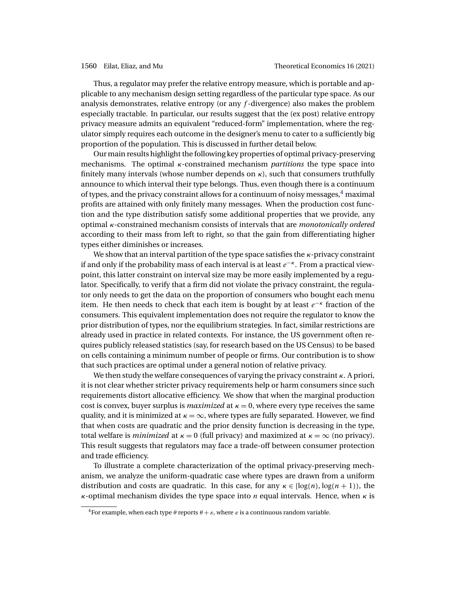Thus, a regulator may prefer the relative entropy measure, which is portable and applicable to any mechanism design setting regardless of the particular type space. As our analysis demonstrates, relative entropy (or any  $f$ -divergence) also makes the problem especially tractable. In particular, our results suggest that the (ex post) relative entropy privacy measure admits an equivalent "reduced-form" implementation, where the regulator simply requires each outcome in the designer's menu to cater to a sufficiently big proportion of the population. This is discussed in further detail below.

Our main results highlight the following key properties of optimal privacy-preserving mechanisms. The optimal κ-constrained mechanism *partitions* the type space into finitely many intervals (whose number depends on  $\kappa$ ), such that consumers truthfully announce to which interval their type belongs. Thus, even though there is a continuum of types, and the privacy constraint allows for a continuum of noisy messages, $4$  maximal profits are attained with only finitely many messages. When the production cost function and the type distribution satisfy some additional properties that we provide, any optimal κ-constrained mechanism consists of intervals that are *monotonically ordered* according to their mass from left to right, so that the gain from differentiating higher types either diminishes or increases.

We show that an interval partition of the type space satisfies the  $\kappa$ -privacy constraint if and only if the probability mass of each interval is at least  $e^{-\kappa}$ . From a practical viewpoint, this latter constraint on interval size may be more easily implemented by a regulator. Specifically, to verify that a firm did not violate the privacy constraint, the regulator only needs to get the data on the proportion of consumers who bought each menu item. He then needs to check that each item is bought by at least  $e^{-\kappa}$  fraction of the consumers. This equivalent implementation does not require the regulator to know the prior distribution of types, nor the equilibrium strategies. In fact, similar restrictions are already used in practice in related contexts. For instance, the US government often requires publicly released statistics (say, for research based on the US Census) to be based on cells containing a minimum number of people or firms. Our contribution is to show that such practices are optimal under a general notion of relative privacy.

We then study the welfare consequences of varying the privacy constraint  $\kappa$ . A priori, it is not clear whether stricter privacy requirements help or harm consumers since such requirements distort allocative efficiency. We show that when the marginal production cost is convex, buyer surplus is *maximized* at  $\kappa = 0$ , where every type receives the same quality, and it is minimized at  $\kappa = \infty$ , where types are fully separated. However, we find that when costs are quadratic and the prior density function is decreasing in the type, total welfare is *minimized* at  $\kappa = 0$  (full privacy) and maximized at  $\kappa = \infty$  (no privacy). This result suggests that regulators may face a trade-off between consumer protection and trade efficiency.

To illustrate a complete characterization of the optimal privacy-preserving mechanism, we analyze the uniform-quadratic case where types are drawn from a uniform distribution and costs are quadratic. In this case, for any  $\kappa \in [\log(n), \log(n+1)]$ , the  $\kappa$ -optimal mechanism divides the type space into *n* equal intervals. Hence, when  $\kappa$  is

<sup>&</sup>lt;sup>4</sup>For example, when each type  $\theta$  reports  $\theta + \varepsilon$ , where  $\varepsilon$  is a continuous random variable.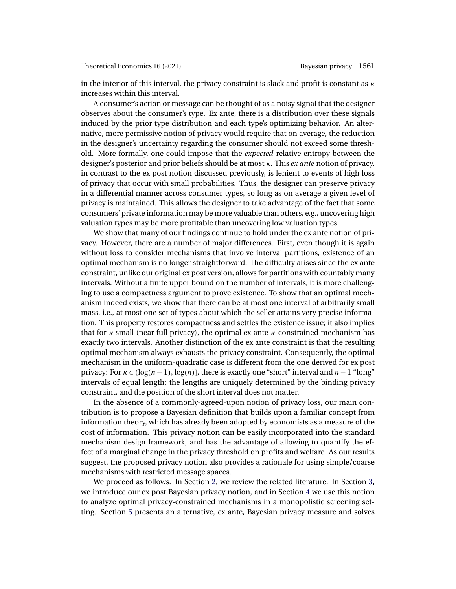in the interior of this interval, the privacy constraint is slack and profit is constant as  $\kappa$ increases within this interval.

A consumer's action or message can be thought of as a noisy signal that the designer observes about the consumer's type. Ex ante, there is a distribution over these signals induced by the prior type distribution and each type's optimizing behavior. An alternative, more permissive notion of privacy would require that on average, the reduction in the designer's uncertainty regarding the consumer should not exceed some threshold. More formally, one could impose that the *expected* relative entropy between the designer's posterior and prior beliefs should be at most κ. This *ex ante* notion of privacy, in contrast to the ex post notion discussed previously, is lenient to events of high loss of privacy that occur with small probabilities. Thus, the designer can preserve privacy in a differential manner across consumer types, so long as on average a given level of privacy is maintained. This allows the designer to take advantage of the fact that some consumers' private information may be more valuable than others, e.g., uncovering high valuation types may be more profitable than uncovering low valuation types.

We show that many of our findings continue to hold under the ex ante notion of privacy. However, there are a number of major differences. First, even though it is again without loss to consider mechanisms that involve interval partitions, existence of an optimal mechanism is no longer straightforward. The difficulty arises since the ex ante constraint, unlike our original ex post version, allows for partitions with countably many intervals. Without a finite upper bound on the number of intervals, it is more challenging to use a compactness argument to prove existence. To show that an optimal mechanism indeed exists, we show that there can be at most one interval of arbitrarily small mass, i.e., at most one set of types about which the seller attains very precise information. This property restores compactness and settles the existence issue; it also implies that for  $\kappa$  small (near full privacy), the optimal ex ante  $\kappa$ -constrained mechanism has exactly two intervals. Another distinction of the ex ante constraint is that the resulting optimal mechanism always exhausts the privacy constraint. Consequently, the optimal mechanism in the uniform-quadratic case is different from the one derived for ex post privacy: For  $\kappa \in (\log(n-1), \log(n))$ , there is exactly one "short" interval and  $n-1$  "long" intervals of equal length; the lengths are uniquely determined by the binding privacy constraint, and the position of the short interval does not matter.

In the absence of a commonly-agreed-upon notion of privacy loss, our main contribution is to propose a Bayesian definition that builds upon a familiar concept from information theory, which has already been adopted by economists as a measure of the cost of information. This privacy notion can be easily incorporated into the standard mechanism design framework, and has the advantage of allowing to quantify the effect of a marginal change in the privacy threshold on profits and welfare. As our results suggest, the proposed privacy notion also provides a rationale for using simple/coarse mechanisms with restricted message spaces.

We proceed as follows. In Section [2,](#page-5-0) we review the related literature. In Section [3,](#page-7-0) we introduce our ex post Bayesian privacy notion, and in Section [4](#page-9-0) we use this notion to analyze optimal privacy-constrained mechanisms in a monopolistic screening setting. Section [5](#page-17-0) presents an alternative, ex ante, Bayesian privacy measure and solves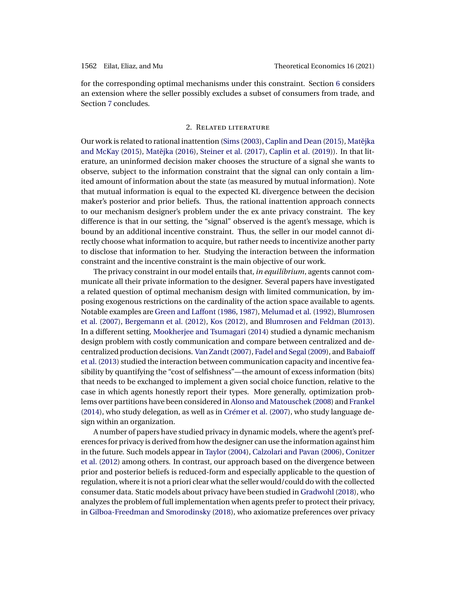<span id="page-5-0"></span>for the corresponding optimal mechanisms under this constraint. Section [6](#page-22-0) considers an extension where the seller possibly excludes a subset of consumers from trade, and Section [7](#page-23-0) concludes.

### 2. Related literature

Our work is related to rational inattention [\(Sims](#page-46-0) [\(2003\)](#page-46-0), [Caplin and Dean](#page-43-0) [\(2015\)](#page-43-0), [Matejka](#page-45-0) ˇ [and McKay](#page-45-0) [\(2015\)](#page-45-0), Matějka [\(2016\)](#page-45-0), [Steiner et al.](#page-46-0) [\(2017\)](#page-46-0), [Caplin et al.](#page-43-0) [\(2019\)](#page-43-0)). In that literature, an uninformed decision maker chooses the structure of a signal she wants to observe, subject to the information constraint that the signal can only contain a limited amount of information about the state (as measured by mutual information). Note that mutual information is equal to the expected KL divergence between the decision maker's posterior and prior beliefs. Thus, the rational inattention approach connects to our mechanism designer's problem under the ex ante privacy constraint. The key difference is that in our setting, the "signal" observed is the agent's message, which is bound by an additional incentive constraint. Thus, the seller in our model cannot directly choose what information to acquire, but rather needs to incentivize another party to disclose that information to her. Studying the interaction between the information constraint and the incentive constraint is the main objective of our work.

The privacy constraint in our model entails that, *in equilibrium*, agents cannot communicate all their private information to the designer. Several papers have investigated a related question of optimal mechanism design with limited communication, by imposing exogenous restrictions on the cardinality of the action space available to agents. Notable examples are [Green and Laffont](#page-44-0) [\(1986,](#page-44-0) [1987\)](#page-44-0), [Melumad et al.](#page-45-0) [\(1992\)](#page-45-0), [Blumrosen](#page-43-0) [et al.](#page-43-0) [\(2007\)](#page-43-0), [Bergemann et al.](#page-43-0) [\(2012\)](#page-43-0), [Kos](#page-45-0) [\(2012\)](#page-45-0), and [Blumrosen and Feldman](#page-43-0) [\(2013\)](#page-43-0). In a different setting, [Mookherjee and Tsumagari](#page-45-0) [\(2014\)](#page-45-0) studied a dynamic mechanism design problem with costly communication and compare between centralized and decentralized production decisions. [Van Zandt\(2007\)](#page-46-0), [Fadel and Segal\(2009\)](#page-44-0), and [Babaioff](#page-43-0) [et al.](#page-43-0) [\(2013\)](#page-43-0) studied the interaction between communication capacity and incentive feasibility by quantifying the "cost of selfishness"—the amount of excess information (bits) that needs to be exchanged to implement a given social choice function, relative to the case in which agents honestly report their types. More generally, optimization problems over partitions have been considered in Alonso [and Matouschek](#page-43-0) [\(2008\)](#page-43-0) and [Frankel](#page-44-0) [\(2014\)](#page-44-0), who study delegation, as well as in [Crémer et al.](#page-44-0) [\(2007\)](#page-44-0), who study language design within an organization.

A number of papers have studied privacy in dynamic models, where the agent's preferences for privacy is derived from how the designer can use the information against him in the future. Such models appear in [Taylor](#page-46-0) [\(2004\)](#page-46-0), [Calzolari and Pavan](#page-43-0) [\(2006\)](#page-43-0), [Conitzer](#page-44-0) [et al.](#page-44-0) [\(2012\)](#page-44-0) among others. In contrast, our approach based on the divergence between prior and posterior beliefs is reduced-form and especially applicable to the question of regulation, where it is not a priori clear what the seller would/could do with the collected consumer data. Static models about privacy have been studied in [Gradwohl](#page-44-0) [\(2018\)](#page-44-0), who analyzes the problem of full implementation when agents prefer to protect their privacy, in [Gilboa-Freedman and Smorodinsky](#page-44-0) [\(2018\)](#page-44-0), who axiomatize preferences over privacy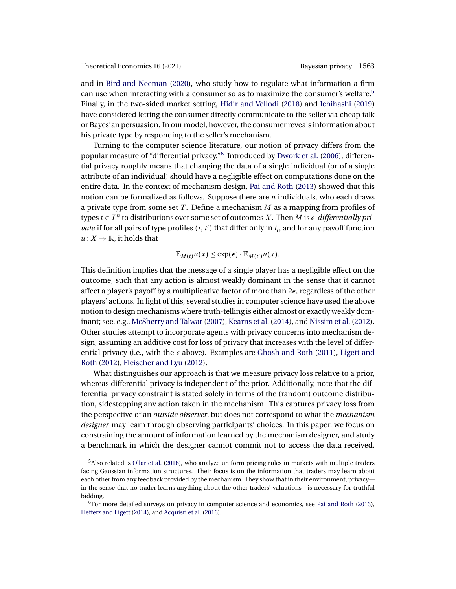<span id="page-6-0"></span>and in [Bird and Neeman](#page-43-0) [\(2020\)](#page-43-0), who study how to regulate what information a firm can use when interacting with a consumer so as to maximize the consumer's welfare.<sup>5</sup> Finally, in the two-sided market setting, [Hidir and Vellodi](#page-45-0) [\(2018\)](#page-45-0) and [Ichihashi](#page-45-0) [\(2019\)](#page-45-0) have considered letting the consumer directly communicate to the seller via cheap talk or Bayesian persuasion. In our model, however, the consumer reveals information about his private type by responding to the seller's mechanism.

Turning to the computer science literature, our notion of privacy differs from the popular measure of "differential privacy."<sup>6</sup> Introduced by [Dwork et al.](#page-44-0) [\(2006\)](#page-44-0), differential privacy roughly means that changing the data of a single individual (or of a single attribute of an individual) should have a negligible effect on computations done on the entire data. In the context of mechanism design, [Pai and Roth](#page-46-0) [\(2013\)](#page-46-0) showed that this notion can be formalized as follows. Suppose there are n individuals, who each draws a private type from some set  $T$ . Define a mechanism  $M$  as a mapping from profiles of types  $t \in T^n$  to distributions over some set of outcomes X. Then M is  $\epsilon$ -differentially pri*vate* if for all pairs of type profiles  $(t, t')$  that differ only in  $t_i$ , and for any payoff function  $u: X \to \mathbb{R}$ , it holds that

$$
\mathbb{E}_{M(t)}u(x)\leq \exp(\epsilon)\cdot \mathbb{E}_{M(t')}\mu(x).
$$

This definition implies that the message of a single player has a negligible effect on the outcome, such that any action is almost weakly dominant in the sense that it cannot affect a player's payoff by a multiplicative factor of more than  $2\epsilon$ , regardless of the other players' actions. In light of this, several studies in computer science have used the above notion to design mechanisms where truth-telling is either almost or exactly weakly dom-inant; see, e.g., McSherry and Talwar (2007), [Kearns et al.](#page-45-0) [\(2014\)](#page-45-0), and [Nissim et al.](#page-46-0) [\(2012\)](#page-46-0). Other studies attempt to incorporate agents with privacy concerns into mechanism design, assuming an additive cost for loss of privacy that increases with the level of differential privacy (i.e., with the  $\epsilon$  above). Examples are [Ghosh and Roth](#page-44-0) [\(2011\)](#page-44-0), [Ligett and](#page-45-0) [Roth](#page-45-0) [\(2012\)](#page-45-0), [Fleischer and Lyu](#page-44-0) [\(2012\)](#page-44-0).

What distinguishes our approach is that we measure privacy loss relative to a prior, whereas differential privacy is independent of the prior. Additionally, note that the differential privacy constraint is stated solely in terms of the (random) outcome distribution, sidestepping any action taken in the mechanism. This captures privacy loss from the perspective of an *outside observer*, but does not correspond to what the *mechanism designer* may learn through observing participants' choices. In this paper, we focus on constraining the amount of information learned by the mechanism designer, and study a benchmark in which the designer cannot commit not to access the data received.

<sup>5</sup>Also related is [Ollár et al.](#page-46-0) [\(2016\)](#page-46-0), who analyze uniform pricing rules in markets with multiple traders facing Gaussian information structures. Their focus is on the information that traders may learn about each other from any feedback provided by the mechanism. They show that in their environment, privacy in the sense that no trader learns anything about the other traders' valuations—is necessary for truthful bidding.

 $6$ For more detailed surveys on privacy in computer science and economics, see [Pai and Roth](#page-46-0) [\(2013\)](#page-46-0), [Heffetz and Ligett](#page-45-0) [\(2014\)](#page-45-0), and [Acquisti et al.](#page-43-0) [\(2016\)](#page-43-0).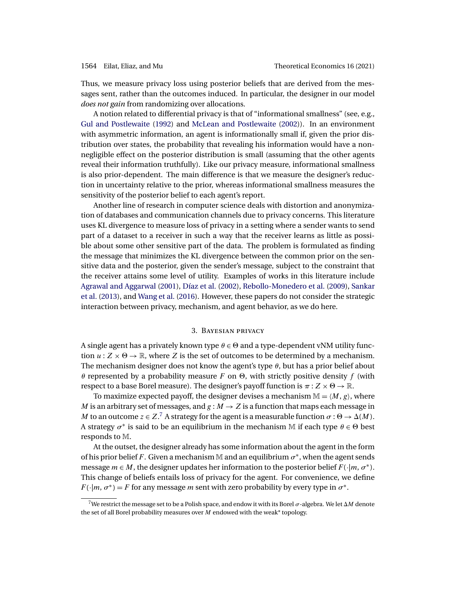<span id="page-7-0"></span>Thus, we measure privacy loss using posterior beliefs that are derived from the messages sent, rather than the outcomes induced. In particular, the designer in our model *does not gain* from randomizing over allocations.

A notion related to differential privacy is that of "informational smallness" (see, e.g., [Gul and Postlewaite](#page-45-0) [\(1992\)](#page-45-0) and [McLean and Postlewaite](#page-45-0) [\(2002\)](#page-45-0)). In an environment with asymmetric information, an agent is informationally small if, given the prior distribution over states, the probability that revealing his information would have a nonnegligible effect on the posterior distribution is small (assuming that the other agents reveal their information truthfully). Like our privacy measure, informational smallness is also prior-dependent. The main difference is that we measure the designer's reduction in uncertainty relative to the prior, whereas informational smallness measures the sensitivity of the posterior belief to each agent's report.

Another line of research in computer science deals with distortion and anonymization of databases and communication channels due to privacy concerns. This literature uses KL divergence to measure loss of privacy in a setting where a sender wants to send part of a dataset to a receiver in such a way that the receiver learns as little as possible about some other sensitive part of the data. The problem is formulated as finding the message that minimizes the KL divergence between the common prior on the sensitive data and the posterior, given the sender's message, subject to the constraint that the receiver attains some level of utility. Examples of works in this literature include [Agrawal and Aggarwal](#page-43-0) [\(2001\)](#page-43-0), [Díaz et al.](#page-44-0) [\(2002\)](#page-44-0), [Rebollo-Monedero et al.](#page-46-0) [\(2009\)](#page-46-0), [Sankar](#page-46-0) [et al.](#page-46-0) [\(2013\)](#page-46-0), and [Wang et al.](#page-46-0) [\(2016\)](#page-46-0). However, these papers do not consider the strategic interaction between privacy, mechanism, and agent behavior, as we do here.

### 3. Bayesian privacy

A single agent has a privately known type  $\theta \in \Theta$  and a type-dependent vNM utility function  $u : Z \times \Theta \rightarrow \mathbb{R}$ , where Z is the set of outcomes to be determined by a mechanism. The mechanism designer does not know the agent's type  $\theta$ , but has a prior belief about θ represented by a probability measure F on  $Θ$ , with strictly positive density f (with respect to a base Borel measure). The designer's payoff function is  $\pi: Z \times \Theta \to \mathbb{R}$ .

To maximize expected payoff, the designer devises a mechanism  $\mathbb{M} = \langle M, g \rangle$ , where M is an arbitrary set of messages, and  $g : M \to Z$  is a function that maps each message in M to an outcome  $z \in Z$ .<sup>7</sup> A strategy for the agent is a measurable function  $\sigma : \Theta \to \Delta(M)$ . A strategy  $\sigma^*$  is said to be an equilibrium in the mechanism M if each type  $\theta \in \Theta$  best responds to M.

At the outset, the designer already has some information about the agent in the form of his prior belief F. Given a mechanism M and an equilibrium  $\sigma^*$ , when the agent sends message  $m \in M$ , the designer updates her information to the posterior belief  $F(\cdot|m, \sigma^*)$ . This change of beliefs entails loss of privacy for the agent. For convenience, we define  $F(\cdot|m, \sigma^*) = F$  for any message *m* sent with zero probability by every type in  $\sigma^*$ .

<sup>&</sup>lt;sup>7</sup>We restrict the message set to be a Polish space, and endow it with its Borel  $\sigma$ -algebra. We let  $\Delta M$  denote the set of all Borel probability measures over  $M$  endowed with the weak\* topology.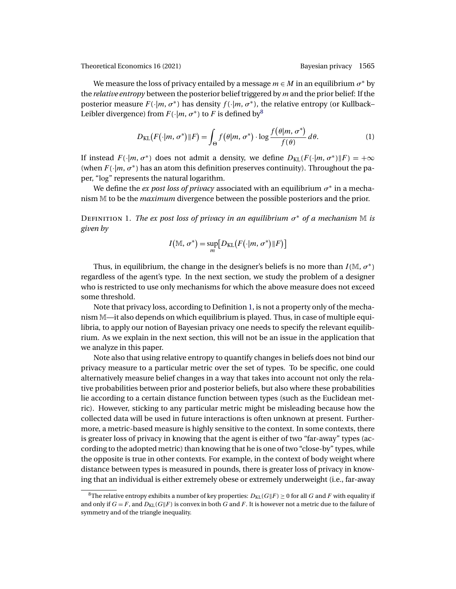We measure the loss of privacy entailed by a message  $m \in M$  in an equilibrium  $\sigma^*$  by the *relative entropy* between the posterior belief triggered by m and the prior belief: If the posterior measure F(·*|*m, σ<sup>∗</sup> ) has density f (·*|*m, σ<sup>∗</sup> ), the relative entropy (or Kullback– Leibler divergence) from  $F(\cdot|m, \sigma^*)$  to F is defined by<sup>8</sup>

$$
D_{\text{KL}}(F(\cdot|m, \sigma^*)||F) = \int_{\Theta} f(\theta|m, \sigma^*) \cdot \log \frac{f(\theta|m, \sigma^*)}{f(\theta)} d\theta. \tag{1}
$$

If instead  $F(\cdot|m, \sigma^*)$  does not admit a density, we define  $D_{KL}(F(\cdot|m, \sigma^*)||F) = +\infty$ (when  $F(\cdot|m, \sigma^*)$  has an atom this definition preserves continuity). Throughout the paper, "log" represents the natural logarithm.

We define the *ex post loss of privacy* associated with an equilibrium  $\sigma^*$  in a mechanism M to be the *maximum* divergence between the possible posteriors and the prior.

Definition 1. *The ex post loss of privacy in an equilibrium* σ<sup>∗</sup> *of a mechanism* M *is given by*

$$
I(\mathbb{M}, \sigma^*) = \sup_m \big[ D_{\mathrm{KL}}(F(\cdot|m, \sigma^*) || F) \big]
$$

Thus, in equilibrium, the change in the designer's beliefs is no more than  $I(M, \sigma^*)$ regardless of the agent's type. In the next section, we study the problem of a designer who is restricted to use only mechanisms for which the above measure does not exceed some threshold.

Note that privacy loss, according to Definition 1, is not a property only of the mechanism M—it also depends on which equilibrium is played. Thus, in case of multiple equilibria, to apply our notion of Bayesian privacy one needs to specify the relevant equilibrium. As we explain in the next section, this will not be an issue in the application that we analyze in this paper.

Note also that using relative entropy to quantify changes in beliefs does not bind our privacy measure to a particular metric over the set of types. To be specific, one could alternatively measure belief changes in a way that takes into account not only the relative probabilities between prior and posterior beliefs, but also where these probabilities lie according to a certain distance function between types (such as the Euclidean metric). However, sticking to any particular metric might be misleading because how the collected data will be used in future interactions is often unknown at present. Furthermore, a metric-based measure is highly sensitive to the context. In some contexts, there is greater loss of privacy in knowing that the agent is either of two "far-away" types (according to the adopted metric) than knowing that he is one of two "close-by" types, while the opposite is true in other contexts. For example, in the context of body weight where distance between types is measured in pounds, there is greater loss of privacy in knowing that an individual is either extremely obese or extremely underweight (i.e., far-away

 $^8$ The relative entropy exhibits a number of key properties:  $D_{\mathrm{KL}}(G\|F) \geq 0$  for all  $G$  and  $F$  with equality if and only if  $G = F$ , and  $D_{\text{KL}}(G||F)$  is convex in both  $G$  and  $F$ . It is however not a metric due to the failure of symmetry and of the triangle inequality.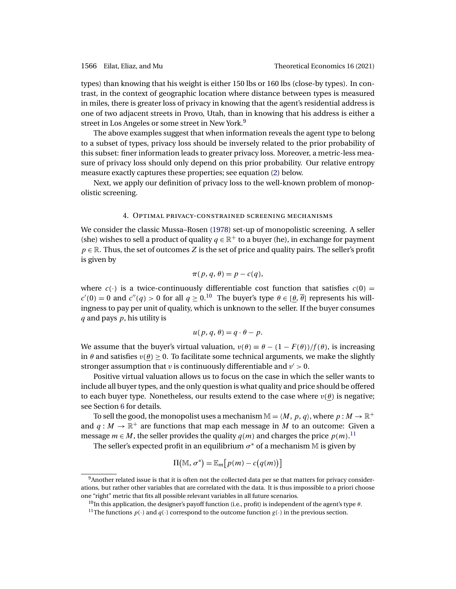<span id="page-9-0"></span>types) than knowing that his weight is either 150 lbs or 160 lbs (close-by types). In contrast, in the context of geographic location where distance between types is measured in miles, there is greater loss of privacy in knowing that the agent's residential address is one of two adjacent streets in Provo, Utah, than in knowing that his address is either a street in Los Angeles or some street in New York.<sup>9</sup>

The above examples suggest that when information reveals the agent type to belong to a subset of types, privacy loss should be inversely related to the prior probability of this subset: finer information leads to greater privacy loss. Moreover, a metric-less measure of privacy loss should only depend on this prior probability. Our relative entropy measure exactly captures these properties; see equation [\(2\)](#page-12-0) below.

Next, we apply our definition of privacy loss to the well-known problem of monopolistic screening.

### 4. Optimal privacy-constrained screening mechanisms

We consider the classic Mussa–Rosen [\(1978\)](#page-46-0) set-up of monopolistic screening. A seller (she) wishes to sell a product of quality  $q \in \mathbb{R}^+$  to a buyer (he), in exchange for payment  $p \in \mathbb{R}$ . Thus, the set of outcomes Z is the set of price and quality pairs. The seller's profit is given by

$$
\pi(p, q, \theta) = p - c(q),
$$

where  $c(\cdot)$  is a twice-continuously differentiable cost function that satisfies  $c(0)$  =  $c'(0) = 0$  and  $c''(q) > 0$  for all  $q \ge 0$ .<sup>10</sup> The buyer's type  $\theta \in [\underline{\theta}, \overline{\theta}]$  represents his willingness to pay per unit of quality, which is unknown to the seller. If the buyer consumes  $q$  and pays  $p$ , his utility is

$$
u(p,q,\theta)=q\cdot\theta-p.
$$

We assume that the buyer's virtual valuation,  $v(\theta) \equiv \theta - (1 - F(\theta))/f(\theta)$ , is increasing in  $\theta$  and satisfies  $v(\theta) > 0$ . To facilitate some technical arguments, we make the slightly stronger assumption that v is continuously differentiable and  $v' > 0$ .

Positive virtual valuation allows us to focus on the case in which the seller wants to include all buyer types, and the only question is what quality and price should be offered to each buyer type. Nonetheless, our results extend to the case where  $v(\theta)$  is negative; see Section [6](#page-22-0) for details.

To sell the good, the monopolist uses a mechanism  $\mathbb{M} = \langle M, p, q \rangle$ , where  $p : M \to \mathbb{R}^+$ and  $q : M \to \mathbb{R}^+$  are functions that map each message in M to an outcome: Given a message  $m \in M$ , the seller provides the quality  $q(m)$  and charges the price  $p(m)$ .<sup>11</sup>

The seller's expected profit in an equilibrium  $\sigma^*$  of a mechanism M is given by

$$
\Pi(\mathbb{M}, \sigma^*) = \mathbb{E}_m[p(m) - c(q(m))]
$$

<sup>9</sup>Another related issue is that it is often not the collected data per se that matters for privacy considerations, but rather other variables that are correlated with the data. It is thus impossible to a priori choose one "right" metric that fits all possible relevant variables in all future scenarios.

<sup>&</sup>lt;sup>10</sup>In this application, the designer's payoff function (i.e., profit) is independent of the agent's type θ.

<sup>&</sup>lt;sup>11</sup>The functions  $p(\cdot)$  and  $q(\cdot)$  correspond to the outcome function  $g(\cdot)$  in the previous section.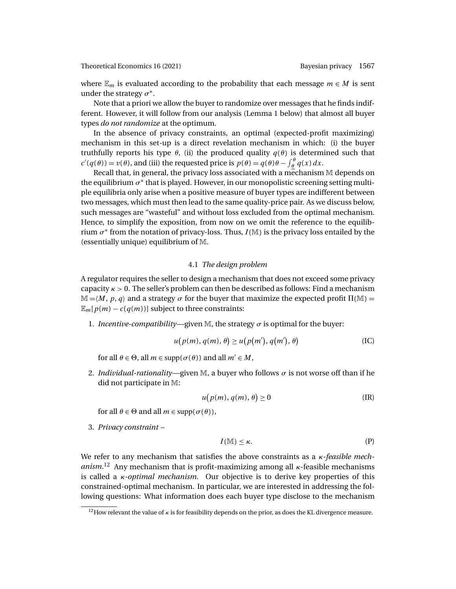where  $\mathbb{E}_m$  is evaluated according to the probability that each message  $m \in M$  is sent under the strategy  $\sigma^*$ .

Note that a priori we allow the buyer to randomize over messages that he finds indifferent. However, it will follow from our analysis (Lemma [1](#page-11-0) below) that almost all buyer types *do not randomize* at the optimum.

In the absence of privacy constraints, an optimal (expected-profit maximizing) mechanism in this set-up is a direct revelation mechanism in which: (i) the buyer truthfully reports his type  $θ$ , (ii) the produced quality  $q(θ)$  is determined such that  $c'(q(\theta)) = v(\theta)$ , and (iii) the requested price is  $p(\theta) = q(\theta)\theta - \int_{\theta}^{\theta} q(x) dx$ .

Recall that, in general, the privacy loss associated with a mechanism M depends on the equilibrium  $\sigma^*$  that is played. However, in our monopolistic screening setting multiple equilibria only arise when a positive measure of buyer types are indifferent between two messages, which must then lead to the same quality-price pair. As we discuss below, such messages are "wasteful" and without loss excluded from the optimal mechanism. Hence, to simplify the exposition, from now on we omit the reference to the equilibrium  $\sigma^*$  from the notation of privacy-loss. Thus,  $I(M)$  is the privacy loss entailed by the (essentially unique) equilibrium of M.

### 4.1 *The design problem*

A regulator requires the seller to design a mechanism that does not exceed some privacy capacity  $\kappa > 0$ . The seller's problem can then be described as follows: Find a mechanism  $\mathbb{M} = \langle M, p, q \rangle$  and a strategy  $\sigma$  for the buyer that maximize the expected profit Π( $\mathbb{M}$ ) =  $\mathbb{E}_{m}[p(m) - c(q(m))]$  subject to three constraints:

1. *Incentive-compatibility—given* M, the strategy  $\sigma$  is optimal for the buyer:

$$
u(p(m), q(m), \theta) \ge u(p(m'), q(m'), \theta)
$$
 (IC)

for all  $\theta \in \Theta$ , all  $m \in \text{supp}(\sigma(\theta))$  and all  $m' \in M$ ,

2. *Individual-rationality—given* M, a buyer who follows  $\sigma$  is not worse off than if he did not participate in M:

$$
u(p(m), q(m), \theta) \ge 0
$$
 (IR)

for all  $\theta \in \Theta$  and all  $m \in \text{supp}(\sigma(\theta)),$ 

3. *Privacy constraint* –

$$
I(\mathbb{M}) \leq \kappa. \tag{P}
$$

We refer to any mechanism that satisfies the above constraints as a κ*-feasible mechanism*. <sup>12</sup> Any mechanism that is profit-maximizing among all κ-feasible mechanisms is called a κ*-optimal mechanism*. Our objective is to derive key properties of this constrained-optimal mechanism. In particular, we are interested in addressing the following questions: What information does each buyer type disclose to the mechanism

<sup>&</sup>lt;sup>12</sup>How relevant the value of  $\kappa$  is for feasibility depends on the prior, as does the KL divergence measure.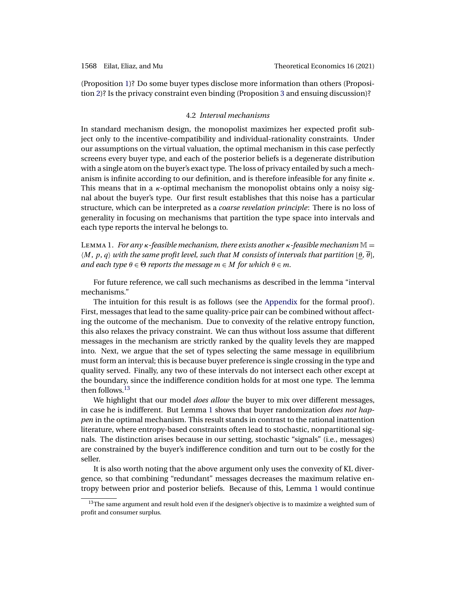<span id="page-11-0"></span>(Proposition [1\)](#page-13-0)? Do some buyer types disclose more information than others (Proposition [2\)](#page-14-0)? Is the privacy constraint even binding (Proposition [3](#page-15-0) and ensuing discussion)?

# 4.2 *Interval mechanisms*

In standard mechanism design, the monopolist maximizes her expected profit subject only to the incentive-compatibility and individual-rationality constraints. Under our assumptions on the virtual valuation, the optimal mechanism in this case perfectly screens every buyer type, and each of the posterior beliefs is a degenerate distribution with a single atom on the buyer's exact type. The loss of privacy entailed by such a mechanism is infinite according to our definition, and is therefore infeasible for any finite  $\kappa$ . This means that in a  $\kappa$ -optimal mechanism the monopolist obtains only a noisy signal about the buyer's type. Our first result establishes that this noise has a particular structure, which can be interpreted as a *coarse revelation principle*: There is no loss of generality in focusing on mechanisms that partition the type space into intervals and each type reports the interval he belongs to.

<sup>L</sup>emma 1. *For any* <sup>κ</sup>*-feasible mechanism, there exists another* <sup>κ</sup>*-feasible mechanism* <sup>M</sup> <sup>=</sup>  $\langle M, p, q \rangle$  with the same profit level, such that M consists of intervals that partition  $\langle \theta, \overline{\theta} \rangle$ , *and each type*  $\theta \in \Theta$  *reports the message*  $m \in M$  *for which*  $\theta \in m$ *.* 

For future reference, we call such mechanisms as described in the lemma "interval mechanisms."

The intuition for this result is as follows (see the [Appendix](#page-24-0) for the formal proof). First, messages that lead to the same quality-price pair can be combined without affecting the outcome of the mechanism. Due to convexity of the relative entropy function, this also relaxes the privacy constraint. We can thus without loss assume that different messages in the mechanism are strictly ranked by the quality levels they are mapped into. Next, we argue that the set of types selecting the same message in equilibrium must form an interval; this is because buyer preference is single crossing in the type and quality served. Finally, any two of these intervals do not intersect each other except at the boundary, since the indifference condition holds for at most one type. The lemma then follows.<sup>13</sup>

We highlight that our model *does allow* the buyer to mix over different messages, in case he is indifferent. But Lemma 1 shows that buyer randomization *does not happen* in the optimal mechanism. This result stands in contrast to the rational inattention literature, where entropy-based constraints often lead to stochastic, nonpartitional signals. The distinction arises because in our setting, stochastic "signals" (i.e., messages) are constrained by the buyer's indifference condition and turn out to be costly for the seller.

It is also worth noting that the above argument only uses the convexity of KL divergence, so that combining "redundant" messages decreases the maximum relative entropy between prior and posterior beliefs. Because of this, Lemma 1 would continue

<sup>&</sup>lt;sup>13</sup>The same argument and result hold even if the designer's objective is to maximize a weighted sum of profit and consumer surplus.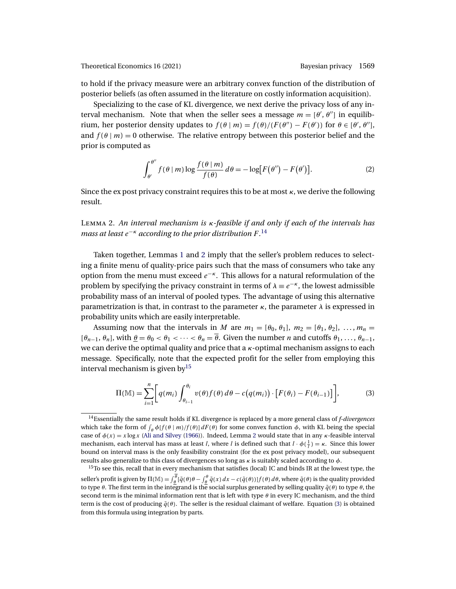<span id="page-12-0"></span>to hold if the privacy measure were an arbitrary convex function of the distribution of posterior beliefs (as often assumed in the literature on costly information acquisition).

Specializing to the case of KL divergence, we next derive the privacy loss of any interval mechanism. Note that when the seller sees a message  $m = [\theta', \theta'']$  in equilibrium, her posterior density updates to  $f(\theta | m) = f(\theta)/(F(\theta'') - F(\theta'))$  for  $\theta \in [\theta', \theta'']$ , and  $f(\theta | m) = 0$  otherwise. The relative entropy between this posterior belief and the prior is computed as

$$
\int_{\theta'}^{\theta''} f(\theta \mid m) \log \frac{f(\theta \mid m)}{f(\theta)} d\theta = -\log[F(\theta'') - F(\theta')]. \tag{2}
$$

Since the ex post privacy constraint requires this to be at most  $\kappa$ , we derive the following result.

Lemma 2. *An interval mechanism is* κ*-feasible if and only if each of the intervals has* mass at least e<sup>−κ</sup> according to the prior distribution F.<sup>14</sup>

Taken together, Lemmas [1](#page-11-0) and 2 imply that the seller's problem reduces to selecting a finite menu of quality-price pairs such that the mass of consumers who take any option from the menu must exceed  $e^{-\kappa}$ . This allows for a natural reformulation of the problem by specifying the privacy constraint in terms of  $\lambda \equiv e^{-\kappa}$ , the lowest admissible probability mass of an interval of pooled types. The advantage of using this alternative parametrization is that, in contrast to the parameter  $\kappa$ , the parameter  $\lambda$  is expressed in probability units which are easily interpretable.

Assuming now that the intervals in M are  $m_1 = [\theta_0, \theta_1], m_2 = [\theta_1, \theta_2], \ldots, m_n =$  $[\theta_{n-1}, \theta_n]$ , with  $\theta = \theta_0 < \theta_1 < \cdots < \theta_n = \overline{\theta}$ . Given the number *n* and cutoffs  $\theta_1, \ldots, \theta_{n-1}$ , we can derive the optimal quality and price that a  $\kappa$ -optimal mechanism assigns to each message. Specifically, note that the expected profit for the seller from employing this interval mechanism is given by  $15$ 

$$
\Pi(\mathbb{M}) = \sum_{i=1}^{n} \bigg[ q(m_i) \int_{\theta_{i-1}}^{\theta_i} v(\theta) f(\theta) d\theta - c(q(m_i)) \cdot \big[ F(\theta_i) - F(\theta_{i-1}) \big] \bigg],
$$
 (3)

<sup>14</sup>Essentially the same result holds if KL divergence is replaced by a more general class of *f-divergences* which take the form of  $\int_{\theta} \phi[f(\theta | m)/f(\theta)] dF(\theta)$  for some convex function  $\phi$ , with KL being the special case of  $\phi(x) = x \log x$  [\(Ali and Silvey](#page-43-0) [\(1966\)](#page-43-0)). Indeed, Lemma 2 would state that in any  $\kappa$ -feasible interval mechanism, each interval has mass at least l, where l is defined such that  $l \cdot \phi(\frac{1}{l}) = \kappa$ . Since this lower bound on interval mass is the only feasibility constraint (for the ex post privacy model), our subsequent results also generalize to this class of divergences so long as  $\kappa$  is suitably scaled according to  $\phi$ .

<sup>&</sup>lt;sup>15</sup>To see this, recall that in every mechanism that satisfies (local) IC and binds IR at the lowest type, the seller's profit is given by  $\Pi(\mathbb{M})=\int_{\theta}^{\theta}[\tilde{q}(\theta)\theta-\int_{\theta}^{\theta}\tilde{q}(x)\,dx-c(\tilde{q}(\theta))]f(\theta)\,d\theta$ , where  $\tilde{q}(\theta)$  is the quality provided to type  $\theta$ . The first term in the integrand is the social surplus generated by selling quality  $\tilde{q}(\theta)$  to type  $\theta$ , the second term is the minimal information rent that is left with type  $\theta$  in every IC mechanism, and the third term is the cost of producing  $\tilde{q}(\theta)$ . The seller is the residual claimant of welfare. Equation (3) is obtained from this formula using integration by parts.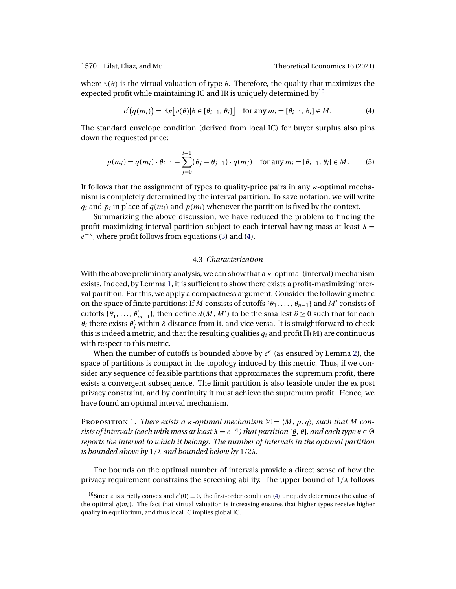<span id="page-13-0"></span>where  $v(\theta)$  is the virtual valuation of type  $\theta$ . Therefore, the quality that maximizes the expected profit while maintaining IC and IR is uniquely determined by  $16$ 

$$
c'(q(m_i)) = \mathbb{E}_F[v(\theta)|\theta \in [\theta_{i-1}, \theta_i]] \quad \text{for any } m_i = [\theta_{i-1}, \theta_i] \in M. \tag{4}
$$

The standard envelope condition (derived from local IC) for buyer surplus also pins down the requested price:

$$
p(m_i) = q(m_i) \cdot \theta_{i-1} - \sum_{j=0}^{i-1} (\theta_j - \theta_{j-1}) \cdot q(m_j) \quad \text{for any } m_i = [\theta_{i-1}, \theta_i] \in M. \tag{5}
$$

It follows that the assignment of types to quality-price pairs in any κ-optimal mechanism is completely determined by the interval partition. To save notation, we will write  $q_i$  and  $p_i$  in place of  $q(m_i)$  and  $p(m_i)$  whenever the partition is fixed by the context.

Summarizing the above discussion, we have reduced the problem to finding the profit-maximizing interval partition subject to each interval having mass at least  $\lambda =$  $e^{-\kappa}$ , where profit follows from equations [\(3\)](#page-12-0) and (4).

# 4.3 *Characterization*

With the above preliminary analysis, we can show that a  $\kappa$ -optimal (interval) mechanism exists. Indeed, by Lemma [1,](#page-11-0) it is sufficient to show there exists a profit-maximizing interval partition. For this, we apply a compactness argument. Consider the following metric on the space of finite partitions: If M consists of cutoffs  $\{\theta_1, \ldots, \theta_{n-1}\}\$  and M' consists of cutoffs  $\{\theta'_1, \ldots, \theta'_{m-1}\}$ , then define  $d(M, M')$  to be the smallest  $\delta \geq 0$  such that for each  $\theta_i$  there exists  $\theta'_j$  within  $\delta$  distance from it, and vice versa. It is straightforward to check this is indeed a metric, and that the resulting qualities  $q_i$  and profit  $\Pi(\mathbb{M})$  are continuous with respect to this metric.

When the number of cutoffs is bounded above by  $e<sup>\kappa</sup>$  (as ensured by Lemma [2\)](#page-12-0), the space of partitions is compact in the topology induced by this metric. Thus, if we consider any sequence of feasible partitions that approximates the supremum profit, there exists a convergent subsequence. The limit partition is also feasible under the ex post privacy constraint, and by continuity it must achieve the supremum profit. Hence, we have found an optimal interval mechanism.

PROPOSITION 1. *There exists a*  $\kappa$ -*optimal mechanism*  $\mathbb{M} = \langle M, p, q \rangle$ *, such that* M *consists of intervals (each with mass at least*  $\lambda = e^{-\kappa}$ *) that partition* [ $\theta$ ,  $\overline{\theta}$ ]*, and each type*  $\theta \in \Theta$ *reports the interval to which it belongs. The number of intervals in the optimal partition is bounded above by* 1/λ *and bounded below by* 1/2λ*.*

The bounds on the optimal number of intervals provide a direct sense of how the privacy requirement constrains the screening ability. The upper bound of  $1/\lambda$  follows

<sup>&</sup>lt;sup>16</sup>Since *c* is strictly convex and  $c'(0) = 0$ , the first-order condition (4) uniquely determines the value of the optimal  $q(m_i)$ . The fact that virtual valuation is increasing ensures that higher types receive higher quality in equilibrium, and thus local IC implies global IC.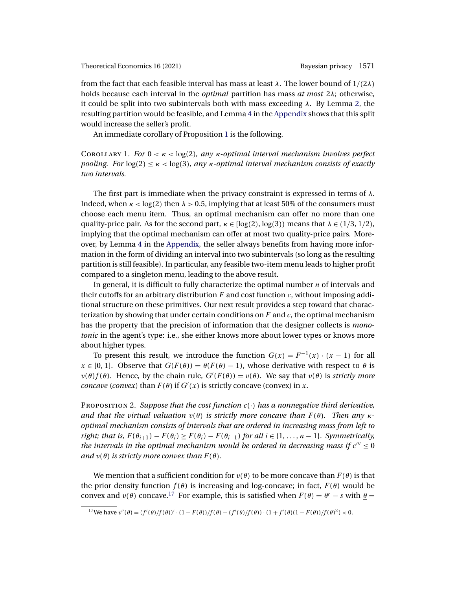<span id="page-14-0"></span>from the fact that each feasible interval has mass at least  $\lambda$ . The lower bound of  $1/(2\lambda)$ holds because each interval in the *optimal* partition has mass *at most* 2λ; otherwise, it could be split into two subintervals both with mass exceeding  $\lambda$ . By Lemma [2,](#page-12-0) the resulting partition would be feasible, and Lemma [4](#page-24-0) in the [Appendix](#page-24-0) shows that this split would increase the seller's profit.

An immediate corollary of Proposition [1](#page-13-0) is the following.

Corollary 1. *For* 0 <κ< log(2)*, any* κ*-optimal interval mechanism involves perfect pooling. For*  $log(2) \le \kappa < log(3)$ *, any*  $\kappa$ -*optimal interval mechanism consists of exactly two intervals.*

The first part is immediate when the privacy constraint is expressed in terms of  $\lambda$ . Indeed, when  $\kappa$  < log(2) then  $\lambda$  > 0.5, implying that at least 50% of the consumers must choose each menu item. Thus, an optimal mechanism can offer no more than one quality-price pair. As for the second part,  $\kappa \in [\log(2), \log(3))$  means that  $\lambda \in (1/3, 1/2)$ , implying that the optimal mechanism can offer at most two quality-price pairs. Moreover, by Lemma [4](#page-24-0) in the [Appendix,](#page-24-0) the seller always benefits from having more information in the form of dividing an interval into two subintervals (so long as the resulting partition is still feasible). In particular, any feasible two-item menu leads to higher profit compared to a singleton menu, leading to the above result.

In general, it is difficult to fully characterize the optimal number  $n$  of intervals and their cutoffs for an arbitrary distribution  $F$  and cost function  $c$ , without imposing additional structure on these primitives. Our next result provides a step toward that characterization by showing that under certain conditions on  $F$  and  $c$ , the optimal mechanism has the property that the precision of information that the designer collects is *monotonic* in the agent's type: i.e., she either knows more about lower types or knows more about higher types.

To present this result, we introduce the function  $G(x) = F^{-1}(x) \cdot (x - 1)$  for all  $x \in [0, 1]$ . Observe that  $G(F(\theta)) = \theta(F(\theta) - 1)$ , whose derivative with respect to  $\theta$  is  $v(\theta) f(\theta)$ . Hence, by the chain rule,  $G'(F(\theta)) = v(\theta)$ . We say that  $v(\theta)$  is *strictly more concave* (*convex*) than  $F(\theta)$  if  $G'(x)$  is strictly concave (convex) in x.

<sup>P</sup>roposition 2. *Suppose that the cost function* <sup>c</sup>(·) *has a nonnegative third derivative, and that the virtual valuation*  $v(\theta)$  *is strictly more concave than*  $F(\theta)$ *. Then any*  $\kappa$ *optimal mechanism consists of intervals that are ordered in increasing mass from left to right; that is,*  $F(\theta_{i+1}) - F(\theta_i) \geq F(\theta_i) - F(\theta_{i-1})$  *for all*  $i \in \{1, ..., n-1\}$ *. Symmetrically, the intervals in the optimal mechanism would be ordered in decreasing mass if*  $c''' \le 0$ *and*  $v(\theta)$  *is strictly more convex than*  $F(\theta)$ *.* 

We mention that a sufficient condition for  $v(\theta)$  to be more concave than  $F(\theta)$  is that the prior density function  $f(\theta)$  is increasing and log-concave; in fact,  $F(\theta)$  would be convex and  $v(\theta)$  concave.<sup>17</sup> For example, this is satisfied when  $F(\theta) = \theta^r - s$  with  $\theta =$ 

<sup>&</sup>lt;sup>17</sup>We have  $v''(\theta) = (f'(\theta)/f(\theta))' \cdot (1 - F(\theta))/f(\theta) - (f'(\theta)/f(\theta)) \cdot (1 + f'(\theta)(1 - F(\theta))/f(\theta)^2) < 0.$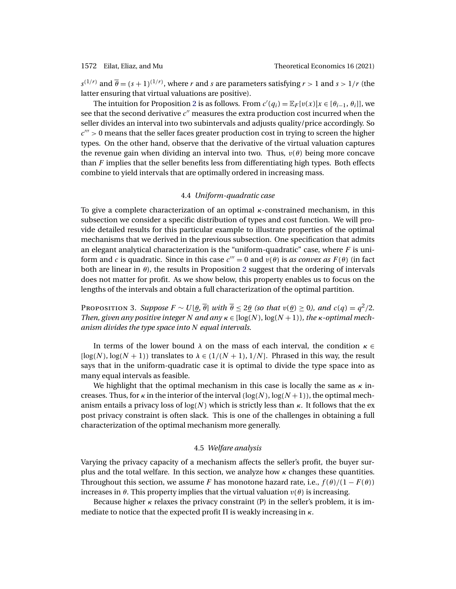<span id="page-15-0"></span> $s^{(1/r)}$  and  $\overline{\theta} = (s+1)^{(1/r)}$ , where r and s are parameters satisfying  $r > 1$  and  $s > 1/r$  (the latter ensuring that virtual valuations are positive).

The intuition for Proposition [2](#page-14-0) is as follows. From  $c'(q_i) = \mathbb{E}_F[v(x)|x \in [\theta_{i-1}, \theta_i]]$ , we see that the second derivative  $c''$  measures the extra production cost incurred when the seller divides an interval into two subintervals and adjusts quality/price accordingly. So  $c^{\prime\prime\prime} > 0$  means that the seller faces greater production cost in trying to screen the higher types. On the other hand, observe that the derivative of the virtual valuation captures the revenue gain when dividing an interval into two. Thus,  $v(\theta)$  being more concave than  $F$  implies that the seller benefits less from differentiating high types. Both effects combine to yield intervals that are optimally ordered in increasing mass.

# 4.4 *Uniform-quadratic case*

To give a complete characterization of an optimal  $\kappa$ -constrained mechanism, in this subsection we consider a specific distribution of types and cost function. We will provide detailed results for this particular example to illustrate properties of the optimal mechanisms that we derived in the previous subsection. One specification that admits an elegant analytical characterization is the "uniform-quadratic" case, where  $F$  is uniform and c is quadratic. Since in this case  $c''' = 0$  and  $v(\theta)$  is *as convex as*  $F(\theta)$  (in fact both are linear in  $\theta$ ), the results in Proposition [2](#page-14-0) suggest that the ordering of intervals does not matter for profit. As we show below, this property enables us to focus on the lengths of the intervals and obtain a full characterization of the optimal partition.

PROPOSITION 3. *Suppose*  $F \sim U[\theta, \overline{\theta}]$  *with*  $\overline{\theta} \le 2\theta$  *(so that*  $v(\theta) \ge 0$ *), and*  $c(q) = q^2/2$ *. Then, given any positive integer* N *and any*  $\kappa \in [\log(N), \log(N+1)]$ *, the*  $\kappa$ -*optimal mechanism divides the type space into* N *equal intervals.*

In terms of the lower bound  $\lambda$  on the mass of each interval, the condition  $\kappa \in$ [ $log(N)$ ,  $log(N + 1)$ ] translates to  $\lambda \in (1/(N + 1), 1/N]$ . Phrased in this way, the result says that in the uniform-quadratic case it is optimal to divide the type space into as many equal intervals as feasible.

We highlight that the optimal mechanism in this case is locally the same as  $\kappa$  increases. Thus, for  $\kappa$  in the interior of the interval  $(\log(N), \log(N+1))$ , the optimal mechanism entails a privacy loss of  $log(N)$  which is strictly less than  $\kappa$ . It follows that the ex post privacy constraint is often slack. This is one of the challenges in obtaining a full characterization of the optimal mechanism more generally.

# 4.5 *Welfare analysis*

Varying the privacy capacity of a mechanism affects the seller's profit, the buyer surplus and the total welfare. In this section, we analyze how  $\kappa$  changes these quantities. Throughout this section, we assume F has monotone hazard rate, i.e.,  $f(\theta)/(1 - F(\theta))$ increases in  $\theta$ . This property implies that the virtual valuation  $v(\theta)$  is increasing.

Because higher  $\kappa$  relaxes the privacy constraint (P) in the seller's problem, it is immediate to notice that the expected profit  $\Pi$  is weakly increasing in  $\kappa.$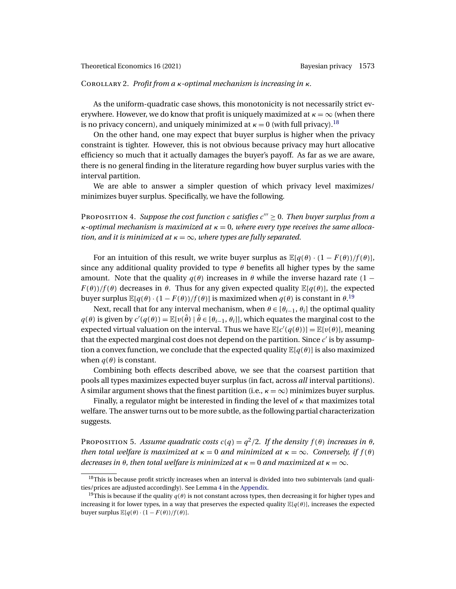### <span id="page-16-0"></span>Corollary 2. *Profit from a* κ*-optimal mechanism is increasing in* κ*.*

As the uniform-quadratic case shows, this monotonicity is not necessarily strict everywhere. However, we do know that profit is uniquely maximized at  $\kappa = \infty$  (when there is no privacy concern), and uniquely minimized at  $\kappa = 0$  (with full privacy).<sup>18</sup>

On the other hand, one may expect that buyer surplus is higher when the privacy constraint is tighter. However, this is not obvious because privacy may hurt allocative efficiency so much that it actually damages the buyer's payoff. As far as we are aware, there is no general finding in the literature regarding how buyer surplus varies with the interval partition.

We are able to answer a simpler question of which privacy level maximizes/ minimizes buyer surplus. Specifically, we have the following.

PROPOSITION 4. *Suppose the cost function* c *satisfies*  $c''' \ge 0$ *. Then buyer surplus from a* κ*-optimal mechanism is maximized at* κ = 0*, where every type receives the same allocation, and it is minimized at*  $\kappa = \infty$ *, where types are fully separated.* 

For an intuition of this result, we write buyer surplus as  $\mathbb{E}[q(\theta) \cdot (1 - F(\theta))/f(\theta)]$ , since any additional quality provided to type  $\theta$  benefits all higher types by the same amount. Note that the quality  $q(\theta)$  increases in  $\theta$  while the inverse hazard rate (1 −  $F(\theta)/f(\theta)$  decreases in  $\theta$ . Thus for any given expected quality  $\mathbb{E}[q(\theta)]$ , the expected buyer surplus  $\mathbb{E}[q(\theta) \cdot (1 - F(\theta))/f(\theta)]$  is maximized when  $q(\theta)$  is constant in  $\theta$ .<sup>19</sup>

Next, recall that for any interval mechanism, when  $\theta \in [\theta_{i-1}, \theta_i]$  the optimal quality  $q(\theta)$  is given by  $c'(q(\theta)) = \mathbb{E}[v(\hat{\theta}) | \hat{\theta} \in [\theta_{i-1}, \theta_i]]$ , which equates the marginal cost to the expected virtual valuation on the interval. Thus we have  $\mathbb{E}[c'(q(\theta))] = \mathbb{E}[v(\theta)]$ , meaning that the expected marginal cost does not depend on the partition. Since  $c'$  is by assumption a convex function, we conclude that the expected quality  $\mathbb{E}[q(\theta)]$  is also maximized when  $q(\theta)$  is constant.

Combining both effects described above, we see that the coarsest partition that pools all types maximizes expected buyer surplus (in fact, across *all* interval partitions). A similar argument shows that the finest partition (i.e.,  $\kappa = \infty$ ) minimizes buyer surplus.

Finally, a regulator might be interested in finding the level of  $\kappa$  that maximizes total welfare. The answer turns out to be more subtle, as the following partial characterization suggests.

PROPOSITION 5. *Assume quadratic costs*  $c(q) = q^2/2$ . If the density  $f(\theta)$  increases in  $\theta$ , *then total welfare is maximized at*  $\kappa = 0$  *and minimized at*  $\kappa = \infty$ *. Conversely, if*  $f(\theta)$ *decreases in*  $\theta$ *, then total welfare is minimized at*  $\kappa = 0$  *and maximized at*  $\kappa = \infty$ *.* 

 $18$ This is because profit strictly increases when an interval is divided into two subintervals (and qualities/prices are adjusted accordingly). See Lemma [4](#page-24-0) in the [Appendix.](#page-24-0)

<sup>&</sup>lt;sup>19</sup>This is because if the quality  $q(\theta)$  is not constant across types, then decreasing it for higher types and increasing it for lower types, in a way that preserves the expected quality  $\mathbb{E}[q(\theta)]$ , increases the expected buyer surplus  $\mathbb{E}[q(\theta) \cdot (1 - F(\theta))/f(\theta)].$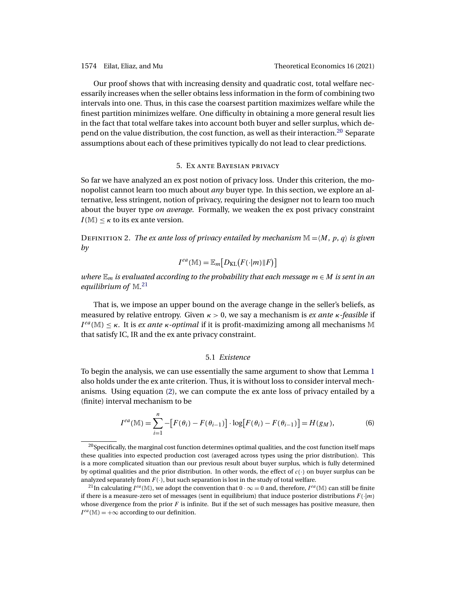<span id="page-17-0"></span>

Our proof shows that with increasing density and quadratic cost, total welfare necessarily increases when the seller obtains less information in the form of combining two intervals into one. Thus, in this case the coarsest partition maximizes welfare while the finest partition minimizes welfare. One difficulty in obtaining a more general result lies in the fact that total welfare takes into account both buyer and seller surplus, which depend on the value distribution, the cost function, as well as their interaction.<sup>20</sup> Separate assumptions about each of these primitives typically do not lead to clear predictions.

# 5. Ex ante Bayesian privacy

So far we have analyzed an ex post notion of privacy loss. Under this criterion, the monopolist cannot learn too much about *any* buyer type. In this section, we explore an alternative, less stringent, notion of privacy, requiring the designer not to learn too much about the buyer type *on average*. Formally, we weaken the ex post privacy constraint  $I(M) \leq \kappa$  to its ex ante version.

DEFINITION 2. *The ex ante loss of privacy entailed by mechanism*  $\mathbb{M} = \langle M, p, q \rangle$  *is given by*

$$
I^{ea}(\mathbb{M}) = \mathbb{E}_m[D_{\mathrm{KL}}(F(\cdot|m)|F)]
$$

*where*  $\mathbb{E}_m$  *is evaluated according to the probability that each message*  $m \in M$  *is sent in an equilibrium of* M*.* 21

That is, we impose an upper bound on the average change in the seller's beliefs, as measured by relative entropy. Given κ > 0, we say a mechanism is *ex ante* κ*-feasible* if  $I^{ea}(\mathbb{M}) \leq \kappa$ . It is *ex ante*  $\kappa$ -*optimal* if it is profit-maximizing among all mechanisms M that satisfy IC, IR and the ex ante privacy constraint.

### 5.1 *Existence*

To begin the analysis, we can use essentially the same argument to show that Lemma [1](#page-11-0) also holds under the ex ante criterion. Thus, it is without loss to consider interval mechanisms. Using equation [\(2\)](#page-12-0), we can compute the ex ante loss of privacy entailed by a (finite) interval mechanism to be

$$
I^{ea}(\mathbb{M}) = \sum_{i=1}^{n} -[F(\theta_i) - F(\theta_{i-1})] \cdot \log[F(\theta_i) - F(\theta_{i-1})] = H(g_M),
$$
 (6)

 $20$ Specifically, the marginal cost function determines optimal qualities, and the cost function itself maps these qualities into expected production cost (averaged across types using the prior distribution). This is a more complicated situation than our previous result about buyer surplus, which is fully determined by optimal qualities and the prior distribution. In other words, the effect of  $c(\cdot)$  on buyer surplus can be analyzed separately from  $F(\cdot)$ , but such separation is lost in the study of total welfare.

<sup>&</sup>lt;sup>21</sup>In calculating  $I^{ea}(\mathbb{M})$ , we adopt the convention that  $0 \cdot \infty = 0$  and, therefore,  $I^{ea}(\mathbb{M})$  can still be finite if there is a measure-zero set of messages (sent in equilibrium) that induce posterior distributions  $F(\cdot|m)$ whose divergence from the prior  $F$  is infinite. But if the set of such messages has positive measure, then  $I^{ea}(\mathbb{M}) = +\infty$  according to our definition.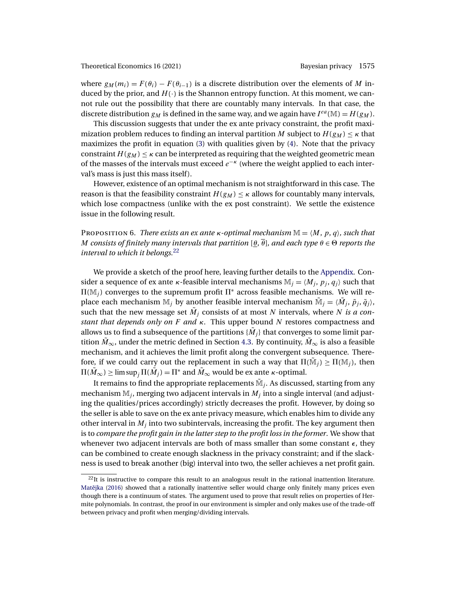<span id="page-18-0"></span>where  $g_M(m_i) = F(\theta_i) - F(\theta_{i-1})$  is a discrete distribution over the elements of M induced by the prior, and  $H(\cdot)$  is the Shannon entropy function. At this moment, we cannot rule out the possibility that there are countably many intervals. In that case, the discrete distribution  $g_M$  is defined in the same way, and we again have  $I^{ea}(\mathbb{M}) = H(g_M)$ .

This discussion suggests that under the ex ante privacy constraint, the profit maximization problem reduces to finding an interval partition M subject to  $H(g_M) \leq \kappa$  that maximizes the profit in equation [\(3\)](#page-12-0) with qualities given by [\(4\)](#page-13-0). Note that the privacy constraint  $H(g_M) \leq \kappa$  can be interpreted as requiring that the weighted geometric mean of the masses of the intervals must exceed  $e^{-\kappa}$  (where the weight applied to each interval's mass is just this mass itself).

However, existence of an optimal mechanism is not straightforward in this case. The reason is that the feasibility constraint  $H(g_M) \leq \kappa$  allows for countably many intervals, which lose compactness (unlike with the ex post constraint). We settle the existence issue in the following result.

PROPOSITION 6. *There exists an ex ante*  $\kappa$ -*optimal mechanism*  $\mathbb{M} = \langle M, p, q \rangle$ , such that M consists of finitely many intervals that partition  $\theta$ ,  $\overline{\theta}$ *), and each type*  $\theta \in \Theta$  reports the *interval to which it belongs.*<sup>22</sup>

We provide a sketch of the proof here, leaving further details to the [Appendix.](#page-24-0) Consider a sequence of ex ante  $\kappa$ -feasible interval mechanisms  $\mathbb{M}_i = \langle M_i, p_i, q_i \rangle$  such that  $\Pi(\mathbb{M}_j)$  converges to the supremum profit  $\Pi^*$  across feasible mechanisms. We will replace each mechanism  $M_j$  by another feasible interval mechanism  $\tilde{M}_j = \langle \tilde{M}_j, \tilde{p}_j, \tilde{q}_j \rangle$ , such that the new message set  $\tilde{M}_i$  consists of at most N intervals, where N is a con*stant that depends only on* F *and* κ. This upper bound N restores compactness and allows us to find a subsequence of the partitions  $\{M_i\}$  that converges to some limit partition  $M_{\infty}$ , under the metric defined in Section [4.3.](#page-13-0) By continuity,  $M_{\infty}$  is also a feasible mechanism, and it achieves the limit profit along the convergent subsequence. Therefore, if we could carry out the replacement in such a way that  $\Pi(\tilde{M}_j) \geq \Pi(M_j)$ , then  $\Pi(M_\infty)\geq \limsup_j\Pi(M_j)=\Pi^*$  and  $M_\infty$  would be ex ante  $\kappa$ -optimal.

It remains to find the appropriate replacements  $\tilde{M}_i$ . As discussed, starting from any mechanism  $\mathbb{M}_i$ , merging two adjacent intervals in  $M_i$  into a single interval (and adjusting the qualities/prices accordingly) strictly decreases the profit. However, by doing so the seller is able to save on the ex ante privacy measure, which enables him to divide any other interval in  $M_i$  into two subintervals, increasing the profit. The key argument then is to *compare the profit gain in the latter step to the profit loss in the former*. We show that whenever two adjacent intervals are both of mass smaller than some constant  $\epsilon$ , they can be combined to create enough slackness in the privacy constraint; and if the slackness is used to break another (big) interval into two, the seller achieves a net profit gain.

 $^{22}$ It is instructive to compare this result to an analogous result in the rational inattention literature. Matějka [\(2016\)](#page-45-0) showed that a rationally inattentive seller would charge only finitely many prices even though there is a continuum of states. The argument used to prove that result relies on properties of Hermite polynomials. In contrast, the proof in our environment is simpler and only makes use of the trade-off between privacy and profit when merging/dividing intervals.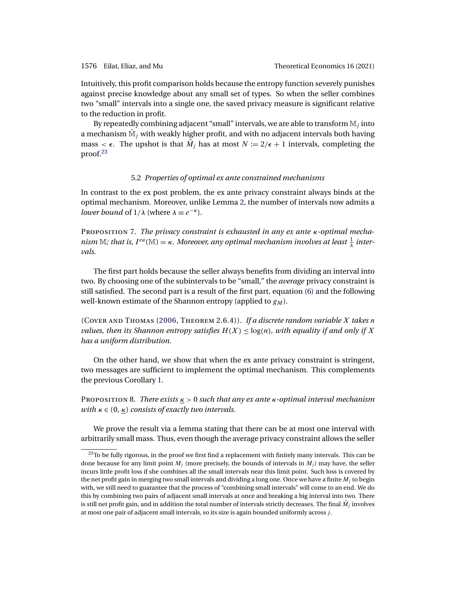<span id="page-19-0"></span>Intuitively, this profit comparison holds because the entropy function severely punishes against precise knowledge about any small set of types. So when the seller combines two "small" intervals into a single one, the saved privacy measure is significant relative to the reduction in profit.

By repeatedly combining adjacent "small" intervals, we are able to transform  $M_i$  into a mechanism  $\mathbb{M}_i$  with weakly higher profit, and with no adjacent intervals both having mass  $\lt \epsilon$ . The upshot is that  $\hat{M}_i$  has at most  $N := 2/\epsilon + 1$  intervals, completing the proof.<sup>23</sup>

# 5.2 *Properties of optimal ex ante constrained mechanisms*

In contrast to the ex post problem, the ex ante privacy constraint always binds at the optimal mechanism. Moreover, unlike Lemma [2,](#page-12-0) the number of intervals now admits a *lower bound* of  $1/\lambda$  (where  $\lambda \equiv e^{-\kappa}$ ).

Proposition 7. *The privacy constraint is exhausted in any ex ante* κ*-optimal mecha*nism  $\mathbb{M}$ ; that is, I<sup>ea</sup>( $\mathbb{M}$ ) =  $\kappa$ . Moreover, any optimal mechanism involves at least  $\frac{1}{\lambda}$  inter*vals.*

The first part holds because the seller always benefits from dividing an interval into two. By choosing one of the subintervals to be "small," the *average* privacy constraint is still satisfied. The second part is a result of the first part, equation [\(6\)](#page-17-0) and the following well-known estimate of the Shannon entropy (applied to  $g_M$ ).

(Cover and Thomas [\(2006,](#page-44-0) Theorem 2.6.4)). *If a discrete random variable* X *takes* n *values, then its Shannon entropy satisfies*  $H(X) \leq log(n)$ *, with equality if and only if* X *has a uniform distribution.*

On the other hand, we show that when the ex ante privacy constraint is stringent, two messages are sufficient to implement the optimal mechanism. This complements the previous Corollary [1.](#page-14-0)

Proposition 8. *There exists* κ > 0 *such that any ex ante* κ*-optimal interval mechanism with*  $\kappa \in (0, \kappa)$  *consists of exactly two intervals.* 

We prove the result via a lemma stating that there can be at most one interval with arbitrarily small mass. Thus, even though the average privacy constraint allows the seller

 $23$ To be fully rigorous, in the proof we first find a replacement with finitely many intervals. This can be done because for any limit point  $M_i$  (more precisely, the bounds of intervals in  $M_i$ ) may have, the seller incurs little profit loss if she combines all the small intervals near this limit point. Such loss is covered by the net profit gain in merging two small intervals and dividing a long one. Once we have a finite  $M_i$  to begin with, we still need to guarantee that the process of "combining small intervals" will come to an end. We do this by combining two pairs of adjacent small intervals at once and breaking a big interval into two. There is still net profit gain, and in addition the total number of intervals strictly decreases. The final  $\dot{M}_i$  involves at most one pair of adjacent small intervals, so its size is again bounded uniformly across j.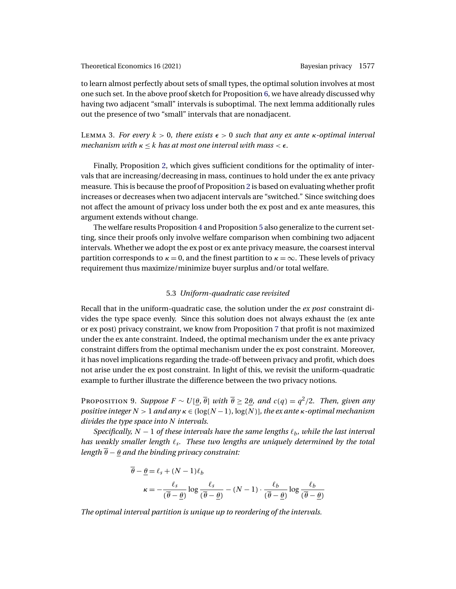<span id="page-20-0"></span>to learn almost perfectly about sets of small types, the optimal solution involves at most one such set. In the above proof sketch for Proposition [6,](#page-18-0) we have already discussed why having two adjacent "small" intervals is suboptimal. The next lemma additionally rules out the presence of two "small" intervals that are nonadjacent.

LEMMA 3. *For every*  $k > 0$ , there exists  $\epsilon > 0$  such that any ex ante  $\kappa$ -optimal interval *mechanism with*  $\kappa \leq k$  *has at most one interval with mass*  $\leq \epsilon$ *.* 

Finally, Proposition [2,](#page-14-0) which gives sufficient conditions for the optimality of intervals that are increasing/decreasing in mass, continues to hold under the ex ante privacy measure. This is because the proof of Proposition [2](#page-14-0) is based on evaluating whether profit increases or decreases when two adjacent intervals are "switched." Since switching does not affect the amount of privacy loss under both the ex post and ex ante measures, this argument extends without change.

The welfare results Proposition [4](#page-16-0) and Proposition [5](#page-16-0) also generalize to the current setting, since their proofs only involve welfare comparison when combining two adjacent intervals. Whether we adopt the ex post or ex ante privacy measure, the coarsest interval partition corresponds to  $\kappa = 0$ , and the finest partition to  $\kappa = \infty$ . These levels of privacy requirement thus maximize/minimize buyer surplus and/or total welfare.

### 5.3 *Uniform-quadratic case revisited*

Recall that in the uniform-quadratic case, the solution under the *ex post* constraint divides the type space evenly. Since this solution does not always exhaust the (ex ante or ex post) privacy constraint, we know from Proposition [7](#page-19-0) that profit is not maximized under the ex ante constraint. Indeed, the optimal mechanism under the ex ante privacy constraint differs from the optimal mechanism under the ex post constraint. Moreover, it has novel implications regarding the trade-off between privacy and profit, which does not arise under the ex post constraint. In light of this, we revisit the uniform-quadratic example to further illustrate the difference between the two privacy notions.

PROPOSITION 9. *Suppose*  $F \sim U[\theta, \overline{\theta}]$  *with*  $\overline{\theta} \ge 2\theta$ *, and*  $c(q) = q^2/2$ *. Then, given any positive integer*  $N > 1$  *and any*  $\kappa \in \left(\log(N-1), \log(N)\right]$ *, the ex ante*  $\kappa$ *-optimal mechanism divides the type space into* N *intervals.*

*Specifically,*  $N - 1$  *of these intervals have the same lengths*  $\ell_b$ *, while the last interval has weakly smaller length*  $\ell_s$ . These two lengths are uniquely determined by the total *length*  $\overline{\theta}$  −  $\theta$  *and the binding privacy constraint:* 

$$
\overline{\theta} - \underline{\theta} = \ell_s + (N - 1)\ell_b
$$

$$
\kappa = -\frac{\ell_s}{(\overline{\theta} - \underline{\theta})} \log \frac{\ell_s}{(\overline{\theta} - \underline{\theta})} - (N - 1) \cdot \frac{\ell_b}{(\overline{\theta} - \underline{\theta})} \log \frac{\ell_b}{(\overline{\theta} - \underline{\theta})}
$$

*The optimal interval partition is unique up to reordering of the intervals.*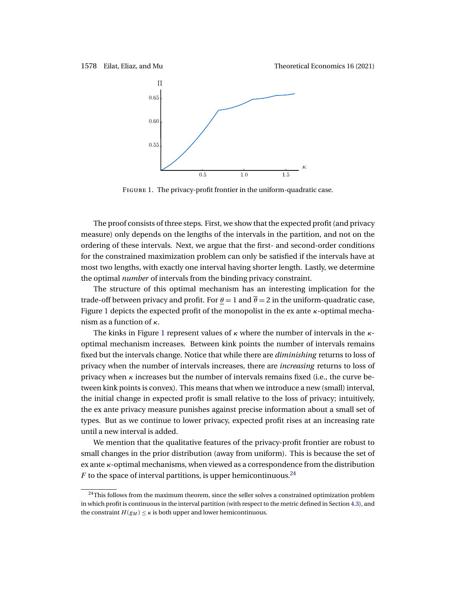1578 Eilat, Eliaz, and Mu Theoretical Economics 16 (2021)



Figure 1. The privacy-profit frontier in the uniform-quadratic case.

The proof consists of three steps. First, we show that the expected profit (and privacy measure) only depends on the lengths of the intervals in the partition, and not on the ordering of these intervals. Next, we argue that the first- and second-order conditions for the constrained maximization problem can only be satisfied if the intervals have at most two lengths, with exactly one interval having shorter length. Lastly, we determine the optimal *number* of intervals from the binding privacy constraint.

The structure of this optimal mechanism has an interesting implication for the trade-off between privacy and profit. For  $\theta = 1$  and  $\theta = 2$  in the uniform-quadratic case, Figure 1 depicts the expected profit of the monopolist in the ex ante  $\kappa$ -optimal mechanism as a function of  $\kappa$ .

The kinks in Figure 1 represent values of  $\kappa$  where the number of intervals in the  $\kappa$ optimal mechanism increases. Between kink points the number of intervals remains fixed but the intervals change. Notice that while there are *diminishing* returns to loss of privacy when the number of intervals increases, there are *increasing* returns to loss of privacy when  $\kappa$  increases but the number of intervals remains fixed (i.e., the curve between kink points is convex). This means that when we introduce a new (small) interval, the initial change in expected profit is small relative to the loss of privacy; intuitively, the ex ante privacy measure punishes against precise information about a small set of types. But as we continue to lower privacy, expected profit rises at an increasing rate until a new interval is added.

We mention that the qualitative features of the privacy-profit frontier are robust to small changes in the prior distribution (away from uniform). This is because the set of ex ante  $\kappa$ -optimal mechanisms, when viewed as a correspondence from the distribution F to the space of interval partitions, is upper hemicontinuous.<sup>24</sup>

 $24$ This follows from the maximum theorem, since the seller solves a constrained optimization problem in which profit is continuous in the interval partition (with respect to the metric defined in Section [4.3\)](#page-13-0), and the constraint  $H(g_M) \leq \kappa$  is both upper and lower hemicontinuous.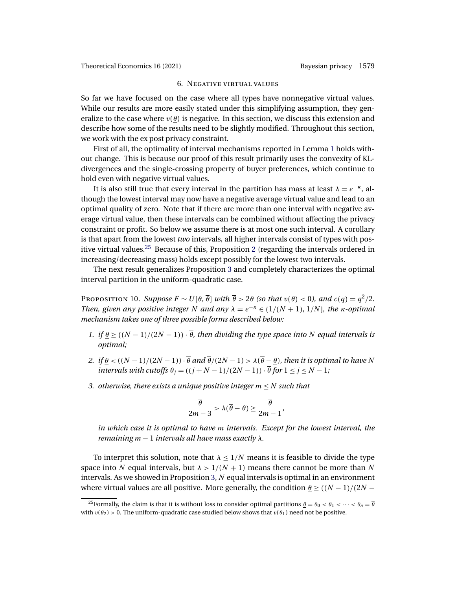### 6. Negative virtual values

<span id="page-22-0"></span>So far we have focused on the case where all types have nonnegative virtual values. While our results are more easily stated under this simplifying assumption, they generalize to the case where  $v(\theta)$  is negative. In this section, we discuss this extension and describe how some of the results need to be slightly modified. Throughout this section, we work with the ex post privacy constraint.

First of all, the optimality of interval mechanisms reported in Lemma [1](#page-11-0) holds without change. This is because our proof of this result primarily uses the convexity of KLdivergences and the single-crossing property of buyer preferences, which continue to hold even with negative virtual values.

It is also still true that every interval in the partition has mass at least  $\lambda = e^{-\kappa}$ , although the lowest interval may now have a negative average virtual value and lead to an optimal quality of zero. Note that if there are more than one interval with negative average virtual value, then these intervals can be combined without affecting the privacy constraint or profit. So below we assume there is at most one such interval. A corollary is that apart from the lowest *two* intervals, all higher intervals consist of types with pos-itive virtual values.<sup>[2](#page-14-0)5</sup> Because of this, Proposition 2 (regarding the intervals ordered in increasing/decreasing mass) holds except possibly for the lowest two intervals.

The next result generalizes Proposition [3](#page-15-0) and completely characterizes the optimal interval partition in the uniform-quadratic case.

**PROPOSITION 10.** *Suppose*  $F \sim U(\theta, \overline{\theta})$  *with*  $\overline{\theta} > 2\theta$  *(so that*  $v(\theta) < 0$ *), and*  $c(q) = q^2/2$ *. Then, given any positive integer* N *and any*  $\lambda = e^{-\kappa} \in (1/(N+1), 1/N]$ *, the*  $\kappa$ -optimal *mechanism takes one of three possible forms described below:*

- *1. if*  $\theta \geq ((N-1)/(2N-1)) \cdot \overline{\theta}$ , then dividing the type space into N equal intervals is *optimal;*
- *2. if*  $\theta$  < ((N − 1)/(2N − 1))  $\cdot \overline{\theta}$  *and*  $\overline{\theta}$ /(2N − 1) >  $\lambda(\overline{\theta} \theta)$ *, then it is optimal to have* N *intervals with cutoffs*  $\theta_j = ((j + N - 1)/(2N - 1)) \cdot \overline{\theta}$  *for*  $1 \le j \le N - 1$ *;*
- *3. otherwise, there exists a unique positive integer* m ≤ N *such that*

$$
\frac{\overline{\theta}}{2m-3} > \lambda(\overline{\theta}-\underline{\theta}) \ge \frac{\overline{\theta}}{2m-1},
$$

*in which case it is optimal to have* m *intervals. Except for the lowest interval, the remaining* m − 1 *intervals all have mass exactly* λ*.*

To interpret this solution, note that  $\lambda \leq 1/N$  means it is feasible to divide the type space into N equal intervals, but  $\lambda > 1/(N + 1)$  means there cannot be more than N intervals. As we showed in Proposition [3,](#page-15-0)  $N$  equal intervals is optimal in an environment where virtual values are all positive. More generally, the condition  $\theta$  >  $((N-1)/(2N-1))$ 

<sup>&</sup>lt;sup>25</sup>Formally, the claim is that it is without loss to consider optimal partitions  $\theta = \theta_0 < \theta_1 < \cdots < \theta_n = \overline{\theta}$ with  $v(\theta_2) > 0$ . The uniform-quadratic case studied below shows that  $v(\theta_1)$  need not be positive.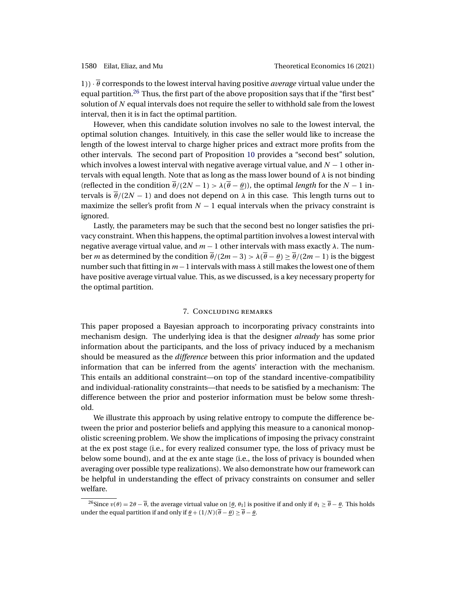<span id="page-23-0"></span>1)) · θ corresponds to the lowest interval having positive *average* virtual value under the equal partition.<sup>26</sup> Thus, the first part of the above proposition says that if the "first best" solution of  $N$  equal intervals does not require the seller to withhold sale from the lowest interval, then it is in fact the optimal partition.

However, when this candidate solution involves no sale to the lowest interval, the optimal solution changes. Intuitively, in this case the seller would like to increase the length of the lowest interval to charge higher prices and extract more profits from the other intervals. The second part of Proposition [10](#page-22-0) provides a "second best" solution, which involves a lowest interval with negative average virtual value, and  $N - 1$  other intervals with equal length. Note that as long as the mass lower bound of  $\lambda$  is not binding (reflected in the condition  $\overline{\theta}/(2N-1) > \lambda(\overline{\theta} - \theta)$ ), the optimal *length* for the N − 1 intervals is  $\theta/(2N-1)$  and does not depend on  $\lambda$  in this case. This length turns out to maximize the seller's profit from  $N - 1$  equal intervals when the privacy constraint is ignored.

Lastly, the parameters may be such that the second best no longer satisfies the privacy constraint. When this happens, the optimal partition involves a lowest interval with negative average virtual value, and  $m - 1$  other intervals with mass exactly  $\lambda$ . The number m as determined by the condition  $\overline{\theta}/(2m-3) > \lambda(\overline{\theta}-\theta) \ge \overline{\theta}/(2m-1)$  is the biggest number such that fitting in  $m-1$  intervals with mass  $\lambda$  still makes the lowest one of them have positive average virtual value. This, as we discussed, is a key necessary property for the optimal partition.

### 7. Concluding remarks

This paper proposed a Bayesian approach to incorporating privacy constraints into mechanism design. The underlying idea is that the designer *already* has some prior information about the participants, and the loss of privacy induced by a mechanism should be measured as the *difference* between this prior information and the updated information that can be inferred from the agents' interaction with the mechanism. This entails an additional constraint—on top of the standard incentive-compatibility and individual-rationality constraints—that needs to be satisfied by a mechanism: The difference between the prior and posterior information must be below some threshold.

We illustrate this approach by using relative entropy to compute the difference between the prior and posterior beliefs and applying this measure to a canonical monopolistic screening problem. We show the implications of imposing the privacy constraint at the ex post stage (i.e., for every realized consumer type, the loss of privacy must be below some bound), and at the ex ante stage (i.e., the loss of privacy is bounded when averaging over possible type realizations). We also demonstrate how our framework can be helpful in understanding the effect of privacy constraints on consumer and seller welfare.

<sup>&</sup>lt;sup>26</sup>Since  $v(\theta) = 2\theta - \overline{\theta}$ , the average virtual value on [ $\theta$ ,  $\theta$ <sub>1</sub>] is positive if and only if  $\theta_1 \ge \overline{\theta} - \theta$ . This holds under the equal partition if and only if  $\underline{\theta} + (1/N)(\overline{\theta} - \underline{\theta}) \ge \overline{\theta} - \underline{\theta}$ .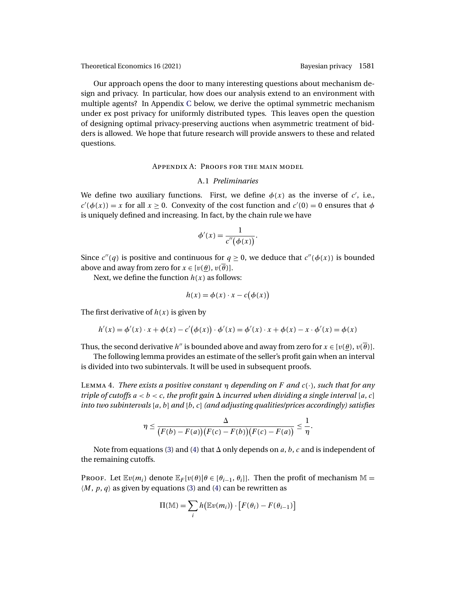<span id="page-24-0"></span>Our approach opens the door to many interesting questions about mechanism design and privacy. In particular, how does our analysis extend to an environment with multiple agents? In Appendix [C](#page-39-0) below, we derive the optimal symmetric mechanism under ex post privacy for uniformly distributed types. This leaves open the question of designing optimal privacy-preserving auctions when asymmetric treatment of bidders is allowed. We hope that future research will provide answers to these and related questions.

### Appendix A: Proofs for the main model

### A.1 *Preliminaries*

We define two auxiliary functions. First, we define  $\phi(x)$  as the inverse of c', i.e.,  $c'(\phi(x)) = x$  for all  $x \ge 0$ . Convexity of the cost function and  $c'(0) = 0$  ensures that  $\phi$ is uniquely defined and increasing. In fact, by the chain rule we have

$$
\phi'(x) = \frac{1}{c''(\phi(x))}.
$$

Since  $c''(q)$  is positive and continuous for  $q \ge 0$ , we deduce that  $c''(\phi(x))$  is bounded above and away from zero for  $x \in [v(\theta), v(\overline{\theta})]$ .

Next, we define the function  $h(x)$  as follows:

$$
h(x) = \phi(x) \cdot x - c(\phi(x))
$$

The first derivative of  $h(x)$  is given by

$$
h'(x) = \phi'(x) \cdot x + \phi(x) - c'(\phi(x)) \cdot \phi'(x) = \phi'(x) \cdot x + \phi(x) - x \cdot \phi'(x) = \phi(x)
$$

Thus, the second derivative h'' is bounded above and away from zero for  $x \in [v(\theta), v(\overline{\theta})]$ .

The following lemma provides an estimate of the seller's profit gain when an interval is divided into two subintervals. It will be used in subsequent proofs.

<sup>L</sup>emma 4. *There exists a positive constant* <sup>η</sup> *depending on* <sup>F</sup> *and* <sup>c</sup>(·)*, such that for any triple of cutoffs*  $a < b < c$ , the profit gain  $\Delta$  incurred when dividing a single interval [a, c] *into two subintervals* [a, b] *and* [b, c] *(and adjusting qualities/prices accordingly) satisfies*

$$
\eta \leq \frac{\Delta}{\big(F(b)-F(a)\big)\big(F(c)-F(b)\big)\big(F(c)-F(a)\big)} \leq \frac{1}{\eta}.
$$

Note from equations [\(3\)](#page-12-0) and [\(4\)](#page-13-0) that  $\Delta$  only depends on a, b, c and is independent of the remaining cutoffs.

Proof. Let  $\mathbb{E}v(m_i)$  denote  $\mathbb{E}_F[v(\theta)|\theta \in [\theta_{i-1}, \theta_i]]$ . Then the profit of mechanism  $\mathbb{M} =$  $\langle M, p, q \rangle$  as given by equations [\(3\)](#page-12-0) and [\(4\)](#page-13-0) can be rewritten as

$$
\Pi(\mathbb{M}) = \sum_{i} h(\mathbb{E}v(m_i)) \cdot [F(\theta_i) - F(\theta_{i-1})]
$$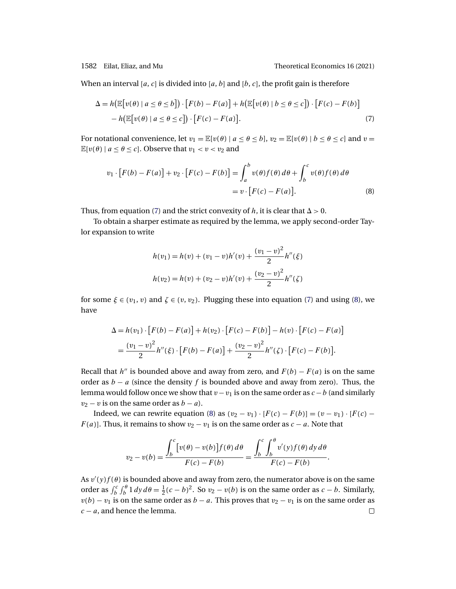When an interval [a, c] is divided into [a, b] and [b, c], the profit gain is therefore

$$
\Delta = h(\mathbb{E}[v(\theta) \mid a \le \theta \le b]) \cdot [F(b) - F(a)] + h(\mathbb{E}[v(\theta) \mid b \le \theta \le c]) \cdot [F(c) - F(b)]
$$
  
- 
$$
h(\mathbb{E}[v(\theta) \mid a \le \theta \le c]) \cdot [F(c) - F(a)].
$$
 (7)

For notational convenience, let  $v_1 = \mathbb{E}[v(\theta) | a \le \theta \le b]$ ,  $v_2 = \mathbb{E}[v(\theta) | b \le \theta \le c]$  and  $v =$  $\mathbb{E}[v(\theta) | a \le \theta \le c]$ . Observe that  $v_1 < v < v_2$  and

$$
v_1 \cdot [F(b) - F(a)] + v_2 \cdot [F(c) - F(b)] = \int_a^b v(\theta) f(\theta) d\theta + \int_b^c v(\theta) f(\theta) d\theta
$$
  
=  $v \cdot [F(c) - F(a)].$  (8)

Thus, from equation (7) and the strict convexity of h, it is clear that  $\Delta > 0$ .

To obtain a sharper estimate as required by the lemma, we apply second-order Taylor expansion to write

$$
h(v_1) = h(v) + (v_1 - v)h'(v) + \frac{(v_1 - v)^2}{2}h''(\xi)
$$
  

$$
h(v_2) = h(v) + (v_2 - v)h'(v) + \frac{(v_2 - v)^2}{2}h''(\zeta)
$$

for some  $\xi \in (v_1, v)$  and  $\zeta \in (v, v_2)$ . Plugging these into equation (7) and using (8), we have

$$
\Delta = h(v_1) \cdot [F(b) - F(a)] + h(v_2) \cdot [F(c) - F(b)] - h(v) \cdot [F(c) - F(a)]
$$
  
= 
$$
\frac{(v_1 - v)^2}{2} h''(\xi) \cdot [F(b) - F(a)] + \frac{(v_2 - v)^2}{2} h''(\zeta) \cdot [F(c) - F(b)].
$$

Recall that h'' is bounded above and away from zero, and  $F(b) - F(a)$  is on the same order as  $b - a$  (since the density f is bounded above and away from zero). Thus, the lemma would follow once we show that  $v-v_1$  is on the same order as  $c-b$  (and similarly  $v_2 - v$  is on the same order as  $b - a$ ).

Indeed, we can rewrite equation (8) as  $(v_2 - v_1) \cdot [F(c) - F(b)] = (v - v_1) \cdot [F(c) F(a)$ ]. Thus, it remains to show  $v_2 - v_1$  is on the same order as  $c - a$ . Note that

$$
v_2 - v(b) = \frac{\int_b^c \big[ v(\theta) - v(b) \big] f(\theta) \, d\theta}{F(c) - F(b)} = \frac{\int_b^c \int_b^{\theta} v'(y) f(\theta) \, dy \, d\theta}{F(c) - F(b)}.
$$

As  $v'(y)f(\theta)$  is bounded above and away from zero, the numerator above is on the same order as  $\int_b^c \int_b^{\theta} 1 \, dy \, d\theta = \frac{1}{2}(c - b)^2$ . So  $v_2 - v(b)$  is on the same order as  $c - b$ . Similarly,  $v(b) - v_1$  is on the same order as  $b - a$ . This proves that  $v_2 - v_1$  is on the same order as  $c - a$ , and hence the lemma.  $\Box$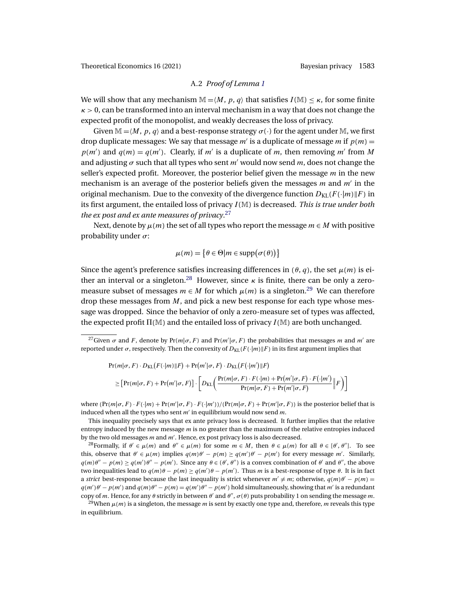# A.2 *Proof of Lemma [1](#page-11-0)*

We will show that any mechanism  $\mathbb{M} = \langle M, p, q \rangle$  that satisfies  $I(\mathbb{M}) < \kappa$ , for some finite  $\kappa > 0$ , can be transformed into an interval mechanism in a way that does not change the expected profit of the monopolist, and weakly decreases the loss of privacy.

Given  $\mathbb{M} = \langle M, p, q \rangle$  and a best-response strategy  $\sigma(\cdot)$  for the agent under M, we first drop duplicate messages: We say that message m' is a duplicate of message m if  $p(m) =$  $p(m')$  and  $q(m) = q(m')$ . Clearly, if m' is a duplicate of m, then removing m' from M and adjusting  $\sigma$  such that all types who sent m' would now send m, does not change the seller's expected profit. Moreover, the posterior belief given the message  $m$  in the new mechanism is an average of the posterior beliefs given the messages  $m$  and  $m'$  in the original mechanism. Due to the convexity of the divergence function  $D_{\text{KL}}(F(\cdot|m)\|F)$  in its first argument, the entailed loss of privacy I(M) is decreased. *This is true under both the ex post and ex ante measures of privacy*. 27

Next, denote by  $\mu(m)$  the set of all types who report the message  $m \in M$  with positive probability under  $\sigma$ :

$$
\mu(m) = \big\{\theta \in \Theta | m \in \text{supp}(\sigma(\theta))\big\}
$$

Since the agent's preference satisfies increasing differences in  $(\theta, q)$ , the set  $\mu(m)$  is either an interval or a singleton.<sup>28</sup> However, since  $\kappa$  is finite, there can be only a zeromeasure subset of messages  $m \in M$  for which  $\mu(m)$  is a singleton.<sup>29</sup> We can therefore drop these messages from  $M$ , and pick a new best response for each type whose message was dropped. Since the behavior of only a zero-measure set of types was affected, the expected profit  $\Pi(\mathbb{M})$  and the entailed loss of privacy  $I(\mathbb{M})$  are both unchanged.

$$
Pr(m|\sigma, F) \cdot D_{KL}(F(\cdot|m)||F) + Pr(m'|\sigma, F) \cdot D_{KL}(F(\cdot|m')||F)
$$
  
\n
$$
\geq \left[Pr(m|\sigma, F) + Pr(m'|\sigma, F)\right] \cdot \left[D_{KL}\left(\frac{Pr(m|\sigma, F) \cdot F(\cdot|m) + Pr(m'|\sigma, F) \cdot F(\cdot|m')}{Pr(m|\sigma, F) + Pr(m'|\sigma, F)}\|F\right)\right]
$$

where  $(\Pr(m|\sigma, F) \cdot F(\cdot|m) + \Pr(m'|\sigma, F) \cdot F(\cdot|m'))/(\Pr(m|\sigma, F) + \Pr(m'|\sigma, F))$  is the posterior belief that is induced when all the types who sent  $m'$  in equilibrium would now send  $m$ .

This inequality precisely says that ex ante privacy loss is decreased. It further implies that the relative entropy induced by the new message  $m$  is no greater than the maximum of the relative entropies induced by the two old messages  $m$  and  $m'$ . Hence, ex post privacy loss is also decreased.

<sup>28</sup>Formally, if  $\theta' \in \mu(m)$  and  $\theta'' \in \mu(m)$  for some  $m \in M$ , then  $\theta \in \mu(m)$  for all  $\theta \in [\theta', \theta'']$ . To see this, observe that  $\theta' \in \mu(m)$  implies  $q(m)\theta' - p(m) \ge q(m')\theta' - p(m')$  for every message m'. Similarly,  $q(m)\theta'' - p(m) \ge q(m')\theta'' - p(m')$ . Since any  $\theta \in (\theta', \theta'')$  is a convex combination of  $\theta'$  and  $\theta''$ , the above two inequalities lead to  $q(m)\theta - p(m) \ge q(m')\theta - p(m')$ . Thus m is a best-response of type  $\theta$ . It is in fact a *strict* best-response because the last inequality is strict whenever  $m' \neq m$ ; otherwise,  $q(m)\theta' - p(m) =$  $q(m')\theta' - p(m')$  and  $q(m)\theta'' - p(m) = q(m')\theta'' - p(m')$  hold simultaneously, showing that m' is a redundant copy of m. Hence, for any  $\theta$  strictly in between  $\theta'$  and  $\theta''$ ,  $\sigma(\theta)$  puts probability 1 on sending the message m.

<sup>29</sup>When  $\mu(m)$  is a singleton, the message m is sent by exactly one type and, therefore, m reveals this type in equilibrium.

<sup>&</sup>lt;sup>27</sup>Given  $\sigma$  and F, denote by Pr(m| $\sigma$ , F) and Pr(m'| $\sigma$ , F) the probabilities that messages m and m' are reported under  $\sigma$ , respectively. Then the convexity of  $D_{\text{KL}}(F(\cdot|m)\|F)$  in its first argument implies that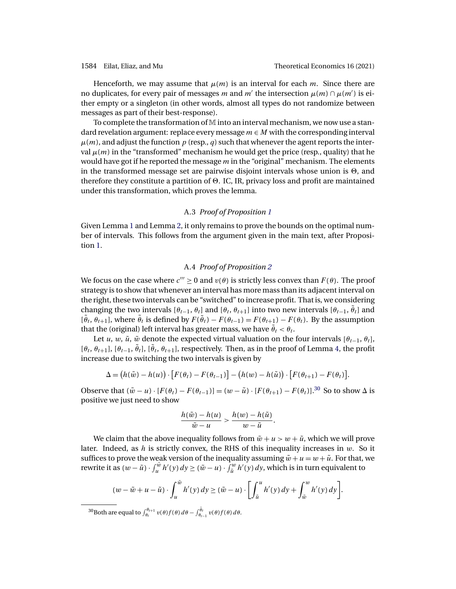Henceforth, we may assume that  $\mu(m)$  is an interval for each m. Since there are no duplicates, for every pair of messages  $m$  and  $m'$  the intersection  $\mu(m) \cap \mu(m')$  is either empty or a singleton (in other words, almost all types do not randomize between messages as part of their best-response).

To complete the transformation of M into an interval mechanism, we now use a standard revelation argument: replace every message  $m \in M$  with the corresponding interval  $\mu(m)$ , and adjust the function p (resp., q) such that whenever the agent reports the interval  $\mu(m)$  in the "transformed" mechanism he would get the price (resp., quality) that he would have got if he reported the message  $m$  in the "original" mechanism. The elements in the transformed message set are pairwise disjoint intervals whose union is  $\Theta$ , and therefore they constitute a partition of  $\Theta$ . IC, IR, privacy loss and profit are maintained under this transformation, which proves the lemma.

## A.3 *Proof of Proposition [1](#page-13-0)*

Given Lemma [1](#page-11-0) and Lemma [2,](#page-12-0) it only remains to prove the bounds on the optimal number of intervals. This follows from the argument given in the main text, after Proposition [1.](#page-13-0)

### A.4 *Proof of Proposition [2](#page-14-0)*

We focus on the case where  $c''' > 0$  and  $v(\theta)$  is strictly less convex than  $F(\theta)$ . The proof strategy is to show that whenever an interval has more mass than its adjacent interval on the right, these two intervals can be "switched" to increase profit. That is, we considering changing the two intervals  $[\theta_{t-1}, \theta_t]$  and  $[\theta_t, \theta_{t+1}]$  into two new intervals  $[\theta_{t-1}, \tilde{\theta}_t]$  and  $[\tilde{\theta}_t, \theta_{t+1}]$ , where  $\tilde{\theta}_t$  is defined by  $F(\tilde{\theta}_t) - F(\theta_{t-1}) = F(\theta_{t+1}) - F(\theta_t)$ . By the assumption that the (original) left interval has greater mass, we have  $\tilde{\theta}_t < \theta_t$ .

Let u, w,  $\tilde{u}$ ,  $\tilde{w}$  denote the expected virtual valuation on the four intervals  $[\theta_{t-1}, \theta_t]$ ,  $[\theta_t, \theta_{t+1}], [\theta_{t-1}, \tilde{\theta}_t], [\tilde{\theta}_t, \theta_{t+1}],$  respectively. Then, as in the proof of Lemma [4,](#page-24-0) the profit increase due to switching the two intervals is given by

$$
\Delta = (h(\tilde{w}) - h(u)) \cdot [F(\theta_t) - F(\theta_{t-1})] - (h(w) - h(\tilde{u})) \cdot [F(\theta_{t+1}) - F(\theta_t)].
$$

Observe that  $(\tilde{w} - u) \cdot [F(\theta_t) - F(\theta_{t-1})] = (w - \tilde{u}) \cdot [F(\theta_{t+1}) - F(\theta_t)].^{30}$  So to show  $\Delta$  is positive we just need to show

$$
\frac{h(\tilde{w}) - h(u)}{\tilde{w} - u} > \frac{h(w) - h(\tilde{u})}{w - \tilde{u}}.
$$

We claim that the above inequality follows from  $\tilde{w} + u > w + \tilde{u}$ , which we will prove later. Indeed, as h is strictly convex, the RHS of this inequality increases in  $w$ . So it suffices to prove the weak version of the inequality assuming  $\tilde{w} + u = w + \tilde{u}$ . For that, we rewrite it as  $(w - \tilde{u}) \cdot \int_u^{\tilde{w}} h'(y) dy \ge (\tilde{w} - u) \cdot \int_{\tilde{u}}^w h'(y) dy$ , which is in turn equivalent to

$$
(w-\tilde{w}+u-\tilde{u})\cdot \int_u^{\tilde{w}}h'(y)\,dy\geq (\tilde{w}-u)\cdot \bigg[\int_{\tilde{u}}^u h'(y)\,dy+\int_{\tilde{w}}^w h'(y)\,dy\bigg].
$$

<sup>30</sup>Both are equal to  $\int_{\theta_t}^{\theta_{t+1}} v(\theta) f(\theta) d\theta - \int_{\theta_{t-1}}^{\theta_t} v(\theta) f(\theta) d\theta$ .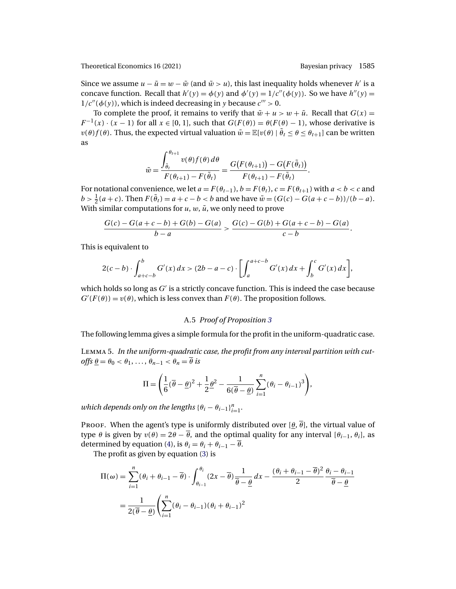<span id="page-28-0"></span>Since we assume  $u - \tilde{u} = w - \tilde{w}$  (and  $\tilde{w} > u$ ), this last inequality holds whenever h' is a concave function. Recall that  $h'(y) = \phi(y)$  and  $\phi'(y) = 1/c''(\phi(y))$ . So we have  $h''(y) =$  $1/c''(\phi(y))$ , which is indeed decreasing in y because  $c''' > 0$ .

To complete the proof, it remains to verify that  $\tilde{w} + u > w + \tilde{u}$ . Recall that  $G(x) =$  $F^{-1}(x) \cdot (x-1)$  for all  $x \in [0,1]$ , such that  $G(F(\theta)) = \theta(F(\theta) - 1)$ , whose derivative is  $v(\theta)f(\theta)$ . Thus, the expected virtual valuation  $\tilde{w} = \mathbb{E}[v(\theta) | \tilde{\theta}_t \leq \theta \leq \theta_{t+1}]$  can be written as

$$
\tilde{w} = \frac{\int_{\tilde{\theta}_t}^{\theta_{t+1}} v(\theta) f(\theta) d\theta}{F(\theta_{t+1}) - F(\tilde{\theta}_t)} = \frac{G(F(\theta_{t+1})) - G(F(\tilde{\theta}_t))}{F(\theta_{t+1}) - F(\tilde{\theta}_t)}.
$$

For notational convenience, we let  $a = F(\theta_{t-1}), b = F(\theta_t), c = F(\theta_{t+1})$  with  $a < b < c$  and  $b > \frac{1}{2}(a+c)$ . Then  $F(\tilde{\theta}_t) = a+c-b < b$  and we have  $\tilde{w} = (G(c) - G(a+c-b))/(b-a)$ . With similar computations for  $u, w, \tilde{u}$ , we only need to prove

$$
\frac{G(c) - G(a + c - b) + G(b) - G(a)}{b - a} > \frac{G(c) - G(b) + G(a + c - b) - G(a)}{c - b}.
$$

This is equivalent to

$$
2(c - b) \cdot \int_{a + c - b}^{b} G'(x) dx > (2b - a - c) \cdot \left[ \int_{a}^{a + c - b} G'(x) dx + \int_{b}^{c} G'(x) dx \right],
$$

which holds so long as  $G'$  is a strictly concave function. This is indeed the case because  $G'(F(\theta)) = v(\theta)$ , which is less convex than  $F(\theta)$ . The proposition follows.

# A.5 *Proof of Proposition [3](#page-15-0)*

The following lemma gives a simple formula for the profit in the uniform-quadratic case.

Lemma 5. *In the uniform-quadratic case, the profit from any interval partition with cut-* $\textit{offs } \theta = \theta_0 < \theta_1, \ldots, \theta_{n-1} < \theta_n = \overline{\theta}$  *is* 

$$
\Pi = \left(\frac{1}{6}(\overline{\theta} - \underline{\theta})^2 + \frac{1}{2}\underline{\theta}^2 - \frac{1}{6(\overline{\theta} - \underline{\theta})}\sum_{i=1}^n(\theta_i - \theta_{i-1})^3\right),\,
$$

which depends only on the lengths  $\{\theta_i - \theta_{i-1}\}_{i=1}^n$ .

Proof. When the agent's type is uniformly distributed over  $[\theta, \overline{\theta}]$ , the virtual value of type  $\theta$  is given by  $v(\theta) = 2\theta - \overline{\theta}$ , and the optimal quality for any interval  $[\theta_{i-1}, \theta_i]$ , as determined by equation [\(4\)](#page-13-0), is  $\theta_i = \theta_i + \theta_{i-1} - \overline{\theta}$ .

The profit as given by equation [\(3\)](#page-12-0) is

$$
\Pi(\omega) = \sum_{i=1}^{n} (\theta_i + \theta_{i-1} - \overline{\theta}) \cdot \int_{\theta_{i-1}}^{\theta_i} (2x - \overline{\theta}) \frac{1}{\overline{\theta} - \underline{\theta}} dx - \frac{(\theta_i + \theta_{i-1} - \overline{\theta})^2}{2} \frac{\theta_i - \theta_{i-1}}{\overline{\theta} - \underline{\theta}}
$$

$$
= \frac{1}{2(\overline{\theta} - \underline{\theta})} \left( \sum_{i=1}^{n} (\theta_i - \theta_{i-1})(\theta_i + \theta_{i-1})^2 \right)
$$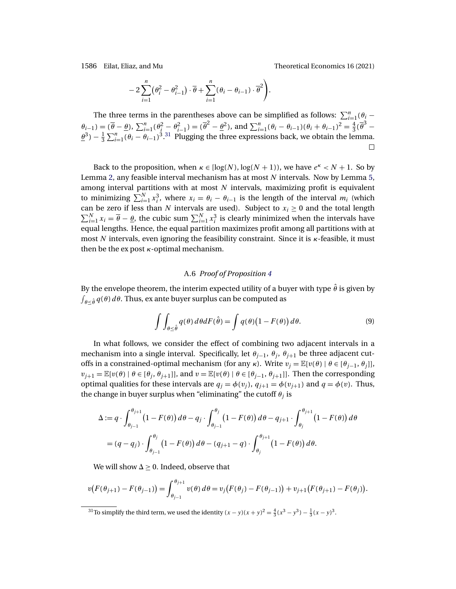<span id="page-29-0"></span>1586 Eilat, Eliaz, and Mu Theoretical Economics 16 (2021)

$$
-2\sum_{i=1}^n(\theta_i^2-\theta_{i-1}^2)\cdot\overline{\theta}+\sum_{i=1}^n(\theta_i-\theta_{i-1})\cdot\overline{\theta}^2\Bigg).
$$

The three terms in the parentheses above can be simplified as follows:  $\sum_{i=1}^{n}(\theta_i - \theta_i)$  $\theta_{i-1}$ ) =  $(\bar{\theta} - \theta)$ ,  $\sum_{i=1}^{n} (\theta_i^2 - \theta_{i-1}^2) = (\bar{\theta}^2 - \theta_i^2)$ , and  $\sum_{i=1}^{n} (\theta_i - \theta_{i-1}) (\theta_i + \theta_{i-1})^2 = \frac{4}{3} (\bar{\theta}^3 - \theta_i^2)$  $\underline{\theta}^3$ ) –  $\frac{1}{3}\sum_{i=1}^n(\theta_i-\theta_{i-1})^3$ .<sup>31</sup> Plugging the three expressions back, we obtain the lemma.  $\Box$ 

Back to the proposition, when  $\kappa \in [\log(N), \log(N + 1)]$ , we have  $e^{\kappa} < N + 1$ . So by Lemma [2,](#page-12-0) any feasible interval mechanism has at most  $N$  intervals. Now by Lemma [5,](#page-28-0) among interval partitions with at most  $N$  intervals, maximizing profit is equivalent to minimizing  $\sum_{i=1}^{N} x_i^3$ , where  $x_i = \theta_i - \theta_{i-1}$  is the length of the interval  $m_i$  (which can be zero if less than N intervals are used). Subject to  $x_i \geq 0$  and the total length  $\sum_{i=1}^{N} x_i = \overline{\theta} - \underline{\theta}$ , the cubic sum  $\sum_{i=1}^{N} x_i^3$  is clearly minimized when the intervals have equal lengths. Hence, the equal partition maximizes profit among all partitions with at most N intervals, even ignoring the feasibility constraint. Since it is κ-feasible, it must then be the expost  $\kappa$ -optimal mechanism.

### A.6 *Proof of Proposition [4](#page-16-0)*

By the envelope theorem, the interim expected utility of a buyer with type  $\hat{\theta}$  is given by  $\int_{\theta \leq \hat{\theta}} q(\theta) \, d\theta$ . Thus, ex ante buyer surplus can be computed as

$$
\int \int_{\theta \leq \hat{\theta}} q(\theta) d\theta dF(\hat{\theta}) = \int q(\theta) (1 - F(\theta)) d\theta.
$$
 (9)

In what follows, we consider the effect of combining two adjacent intervals in a mechanism into a single interval. Specifically, let  $\theta_{j-1}$ ,  $\theta_j$ ,  $\theta_{j+1}$  be three adjacent cutoffs in a constrained-optimal mechanism (for any κ). Write  $v_j = \mathbb{E}[v(\theta) | \theta \in [\theta_{j-1}, \theta_j]]$ ,  $v_{j+1} = \mathbb{E}[v(\theta) | \theta \in [\theta_j, \theta_{j+1}]]$ , and  $v = \mathbb{E}[v(\theta) | \theta \in [\theta_{j-1}, \theta_{j+1}]]$ . Then the corresponding optimal qualities for these intervals are  $q_i = \phi(v_i)$ ,  $q_{i+1} = \phi(v_{i+1})$  and  $q = \phi(v)$ . Thus, the change in buyer surplus when "eliminating" the cutoff  $\theta_i$  is

$$
\Delta := q \cdot \int_{\theta_{j-1}}^{\theta_{j+1}} (1 - F(\theta)) d\theta - q_j \cdot \int_{\theta_{j-1}}^{\theta_j} (1 - F(\theta)) d\theta - q_{j+1} \cdot \int_{\theta_j}^{\theta_{j+1}} (1 - F(\theta)) d\theta
$$

$$
= (q - q_j) \cdot \int_{\theta_{j-1}}^{\theta_j} (1 - F(\theta)) d\theta - (q_{j+1} - q) \cdot \int_{\theta_j}^{\theta_{j+1}} (1 - F(\theta)) d\theta.
$$

We will show  $\Delta \geq 0$ . Indeed, observe that

$$
v(F(\theta_{j+1}) - F(\theta_{j-1})) = \int_{\theta_{j-1}}^{\theta_{j+1}} v(\theta) d\theta = v_j(F(\theta_j) - F(\theta_{j-1})) + v_{j+1}(F(\theta_{j+1}) - F(\theta_j)).
$$

<sup>31</sup>To simplify the third term, we used the identity  $(x - y)(x + y)^2 = \frac{4}{3}(x^3 - y^3) - \frac{1}{3}(x - y)^3$ .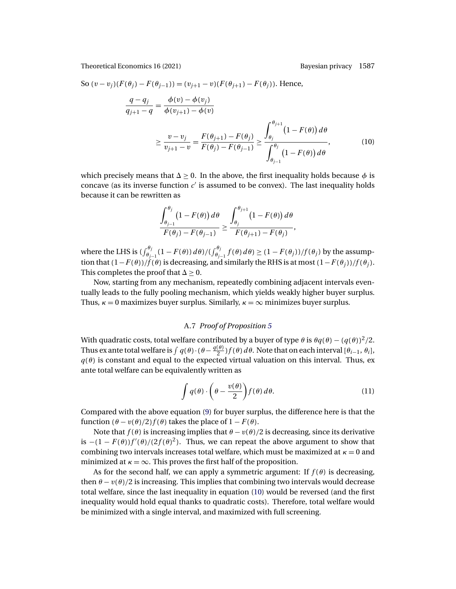So 
$$
(v - v_j)(F(\theta_j) - F(\theta_{j-1})) = (v_{j+1} - v)(F(\theta_{j+1}) - F(\theta_j))
$$
. Hence,  
\n
$$
\frac{q - q_j}{q_{j+1} - q} = \frac{\phi(v) - \phi(v_j)}{\phi(v_{j+1}) - \phi(v)}
$$
\n
$$
\geq \frac{v - v_j}{v_{j+1} - v} = \frac{F(\theta_{j+1}) - F(\theta_j)}{F(\theta_j) - F(\theta_{j-1})} \geq \frac{\int_{\theta_j}^{\theta_{j+1}} (1 - F(\theta)) d\theta}{\int_{\theta_{j-1}}^{\theta_j} (1 - F(\theta)) d\theta},
$$
\n(10)

which precisely means that  $\Delta \geq 0$ . In the above, the first inequality holds because  $\phi$  is concave (as its inverse function  $c'$  is assumed to be convex). The last inequality holds because it can be rewritten as

$$
\frac{\int_{\theta_{j-1}}^{\theta_j} (1 - F(\theta)) d\theta}{F(\theta_j) - F(\theta_{j-1})} \ge \frac{\int_{\theta_j}^{\theta_{j+1}} (1 - F(\theta)) d\theta}{F(\theta_{j+1}) - F(\theta_j)},
$$

where the LHS is  $(\int_{\theta_{j-1}}^{\theta_j} (1 - F(\theta)) d\theta) / (\int_{\theta_{j-1}}^{\theta_j} f(\theta) d\theta) \ge (1 - F(\theta_j)) / f(\theta_j)$  by the assumption that  $(1-F(\theta))/f(\theta)$  is decreasing, and similarly the RHS is at most  $(1-F(\theta_j))/f(\theta_j)$ . This completes the proof that  $\Delta > 0$ .

Now, starting from any mechanism, repeatedly combining adjacent intervals eventually leads to the fully pooling mechanism, which yields weakly higher buyer surplus. Thus,  $\kappa = 0$  maximizes buyer surplus. Similarly,  $\kappa = \infty$  minimizes buyer surplus.

### A.7 *Proof of Proposition [5](#page-16-0)*

With quadratic costs, total welfare contributed by a buyer of type  $\theta$  is  $\theta q(\theta) - (q(\theta))^2/2$ . Thus ex ante total welfare is  $\int q(\theta)\cdot (\theta-\frac{q(\theta)}{2})f(\theta)\,d\theta.$  Note that on each interval  $[\theta_{i-1},\theta_i],$  $q(\theta)$  is constant and equal to the expected virtual valuation on this interval. Thus, ex ante total welfare can be equivalently written as

$$
\int q(\theta) \cdot \left(\theta - \frac{v(\theta)}{2}\right) f(\theta) d\theta.
$$
 (11)

Compared with the above equation [\(9\)](#page-29-0) for buyer surplus, the difference here is that the function  $(\theta - v(\theta)/2) f(\theta)$  takes the place of  $1 - F(\theta)$ .

Note that  $f(\theta)$  is increasing implies that  $\theta - v(\theta)/2$  is decreasing, since its derivative is  $-(1 - F(\theta))f'(\theta)/(2f(\theta)^2)$ . Thus, we can repeat the above argument to show that combining two intervals increases total welfare, which must be maximized at  $\kappa = 0$  and minimized at  $\kappa = \infty$ . This proves the first half of the proposition.

As for the second half, we can apply a symmetric argument: If  $f(\theta)$  is decreasing, then  $\theta - v(\theta)/2$  is increasing. This implies that combining two intervals would decrease total welfare, since the last inequality in equation (10) would be reversed (and the first inequality would hold equal thanks to quadratic costs). Therefore, total welfare would be minimized with a single interval, and maximized with full screening.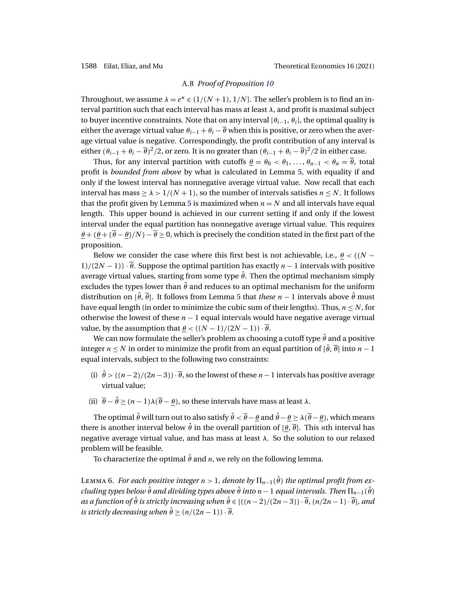### A.8 *Proof of Proposition [10](#page-22-0)*

<span id="page-31-0"></span>Throughout, we assume  $\lambda = e^{\kappa} \in (1/(N+1), 1/N]$ . The seller's problem is to find an interval partition such that each interval has mass at least  $\lambda$ , and profit is maximal subject to buyer incentive constraints. Note that on any interval  $[\theta_{i-1}, \theta_i]$ , the optimal quality is either the average virtual value  $\theta_{i-1} + \theta_i - \overline{\theta}$  when this is positive, or zero when the average virtual value is negative. Correspondingly, the profit contribution of any interval is either  $(\theta_{i-1} + \theta_i - \overline{\theta})^2/2$ , or zero. It is no greater than  $(\theta_{i-1} + \theta_i - \overline{\theta})^2/2$  in either case.

Thus, for any interval partition with cutoffs  $\theta = \theta_0 < \theta_1, \ldots, \theta_{n-1} < \theta_n = \overline{\theta}$ , total profit is *bounded from above* by what is calculated in Lemma [5,](#page-28-0) with equality if and only if the lowest interval has nonnegative average virtual value. Now recall that each interval has mass  $\geq \lambda > 1/(N+1)$ , so the number of intervals satisfies  $n \leq N$ . It follows that the profit given by Lemma [5](#page-28-0) is maximized when  $n = N$  and all intervals have equal length. This upper bound is achieved in our current setting if and only if the lowest interval under the equal partition has nonnegative average virtual value. This requires  $\theta + (\theta + (\overline{\theta} - \theta)/N) - \overline{\theta} \ge 0$ , which is precisely the condition stated in the first part of the proposition.

Below we consider the case where this first best is not achievable, i.e.,  $\theta \lt (N - \theta)$  $1/(2N-1)$  ·  $\overline{\theta}$ . Suppose the optimal partition has exactly  $n-1$  intervals with positive average virtual values, starting from some type  $\hat{\theta}$ . Then the optimal mechanism simply excludes the types lower than  $\hat{\theta}$  and reduces to an optimal mechanism for the uniform distribution on  $[\hat{\theta}, \overline{\theta}]$ . It follows from Lemma [5](#page-28-0) that *these*  $n-1$  intervals above  $\hat{\theta}$  must have equal length (in order to minimize the cubic sum of their lengths). Thus,  $n \leq N$ , for otherwise the lowest of these  $n - 1$  equal intervals would have negative average virtual value, by the assumption that  $\theta$  <  $((N-1)/(2N-1)) \cdot \overline{\theta}$ .

We can now formulate the seller's problem as choosing a cutoff type  $\hat{\theta}$  and a positive integer  $n < N$  in order to minimize the profit from an equal partition of  $[\hat{\theta}, \overline{\theta}]$  into  $n-1$ equal intervals, subject to the following two constraints:

- (i)  $\hat{\theta}$  > ( $(n-2)/(2n-3)$ ) ·  $\overline{\theta}$ , so the lowest of these  $n-1$  intervals has positive average virtual value;
- (ii)  $\overline{\theta} \hat{\theta} \ge (n-1)\lambda(\overline{\theta} \theta)$ , so these intervals have mass at least  $\lambda$ .

The optimal  $\hat{\theta}$  will turn out to also satisfy  $\hat{\theta} < \overline{\theta} - \theta$  and  $\hat{\theta} - \theta \ge \lambda(\overline{\theta} - \theta)$ , which means there is another interval below  $\hat{\theta}$  in the overall partition of  $[\theta, \overline{\theta}]$ . This *n*th interval has negative average virtual value, and has mass at least  $\lambda$ . So the solution to our relaxed problem will be feasible.

To characterize the optimal  $\hat{\theta}$  and *n*, we rely on the following lemma.

L $_{\rm EMMA}$  6. *For each positive integer n* > 1*, denote by*  $\Pi_{n-1}(\hat{\theta})$  *the optimal profit from excluding types below θ and dividing types above θ into n* − 1 *equal intervals. Then*  $\Pi_{n-1}$ (*θ*)  $as a function of  $\hat{\theta}$  is strictly increasing when  $\hat{\theta} \in [((n-2)/(2n-3)) \cdot \overline{\theta}, (n/2n-1) \cdot \overline{\theta}]$ , and$ *is strictly decreasing when*  $\hat{\theta} \geq (n/(2n-1)) \cdot \overline{\theta}$ .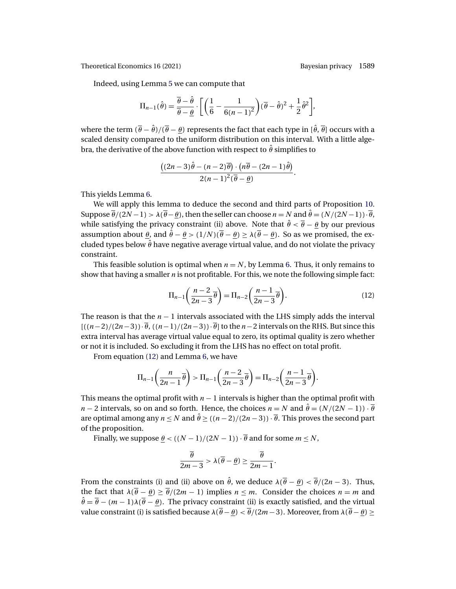Indeed, using Lemma [5](#page-28-0) we can compute that

$$
\Pi_{n-1}(\hat{\theta}) = \frac{\overline{\theta} - \hat{\theta}}{\overline{\theta} - \underline{\theta}} \cdot \left[ \left( \frac{1}{6} - \frac{1}{6(n-1)^2} \right) (\overline{\theta} - \hat{\theta})^2 + \frac{1}{2} \hat{\theta}^2 \right],
$$

where the term  $(\bar{\theta} - \hat{\theta})/(\bar{\theta} - \theta)$  represents the fact that each type in  $[\hat{\theta}, \bar{\theta}]$  occurs with a scaled density compared to the uniform distribution on this interval. With a little algebra, the derivative of the above function with respect to  $\hat{\theta}$  simplifies to

$$
\frac{((2n-3)\hat{\theta}-(n-2)\overline{\theta})\cdot(n\overline{\theta}-(2n-1)\hat{\theta})}{2(n-1)^2(\overline{\theta}-\underline{\theta})}.
$$

This yields Lemma [6.](#page-31-0)

We will apply this lemma to deduce the second and third parts of Proposition [10.](#page-22-0) Suppose  $\overline{\theta}/(2N-1) > \lambda(\overline{\theta}-\theta)$ , then the seller can choose  $n = N$  and  $\hat{\theta} = (N/(2N-1)) \cdot \overline{\theta}$ , while satisfying the privacy constraint (ii) above. Note that  $\hat{\theta} < \overline{\theta} - \theta$  by our previous assumption about  $\theta$ , and  $\hat{\theta} - \theta > (1/N)(\overline{\theta} - \theta) \ge \lambda(\overline{\theta} - \theta)$ . So as we promised, the excluded types below  $\hat{\theta}$  have negative average virtual value, and do not violate the privacy constraint.

This feasible solution is optimal when  $n = N$ , by Lemma [6.](#page-31-0) Thus, it only remains to show that having a smaller  $n$  is not profitable. For this, we note the following simple fact:

$$
\Pi_{n-1}\left(\frac{n-2}{2n-3}\overline{\theta}\right) = \Pi_{n-2}\left(\frac{n-1}{2n-3}\overline{\theta}\right).
$$
 (12)

The reason is that the  $n - 1$  intervals associated with the LHS simply adds the interval  $[(n-2)/(2n-3))\cdot \overline{\theta}$ ,  $((n-1)/(2n-3))\cdot \overline{\theta}$  to the n - 2 intervals on the RHS. But since this extra interval has average virtual value equal to zero, its optimal quality is zero whether or not it is included. So excluding it from the LHS has no effect on total profit.

From equation (12) and Lemma [6,](#page-31-0) we have

$$
\Pi_{n-1}\left(\frac{n}{2n-1}\overline{\theta}\right) > \Pi_{n-1}\left(\frac{n-2}{2n-3}\overline{\theta}\right) = \Pi_{n-2}\left(\frac{n-1}{2n-3}\overline{\theta}\right).
$$

This means the optimal profit with  $n - 1$  intervals is higher than the optimal profit with  $n-2$  intervals, so on and so forth. Hence, the choices  $n = N$  and  $\hat{\theta} = (N/(2N-1)) \cdot \overline{\theta}$ are optimal among any  $n \le N$  and  $\hat{\theta} \ge ((n-2)/(2n-3)) \cdot \overline{\theta}$ . This proves the second part of the proposition.

Finally, we suppose  $\theta$  <  $((N-1)/(2N-1)) \cdot \overline{\theta}$  and for some  $m \le N$ ,

$$
\frac{\overline{\theta}}{2m-3} > \lambda(\overline{\theta} - \underline{\theta}) \ge \frac{\overline{\theta}}{2m-1}.
$$

From the constraints (i) and (ii) above on  $\hat{\theta}$ , we deduce  $\lambda(\overline{\theta} - \theta) < \overline{\theta}/(2n-3)$ . Thus, the fact that  $\lambda(\bar{\theta} - \theta) \geq \bar{\theta}/(2m - 1)$  implies  $n \leq m$ . Consider the choices  $n = m$  and  $\hat{\theta} = \overline{\theta} - (m-1)\lambda(\overline{\theta} - \theta)$ . The privacy constraint (ii) is exactly satisfied, and the virtual value constraint (i) is satisfied because  $\lambda(\bar{\theta}-\theta) < \bar{\theta}/(2m-3)$ . Moreover, from  $\lambda(\bar{\theta}-\theta) \ge$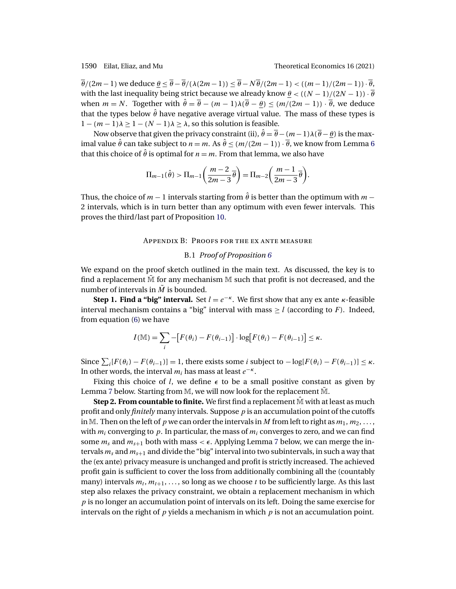$\overline{\theta}/(2m-1)$  we deduce  $\theta \leq \overline{\theta} - \overline{\theta}/(\lambda(2m-1)) \leq \overline{\theta} - N\overline{\theta}/(2m-1) < ((m-1)/(2m-1)) \cdot \overline{\theta}$ , with the last inequality being strict because we already know  $\theta < ((N-1)/(2N-1)) \cdot \overline{\theta}$ when  $m = N$ . Together with  $\hat{\theta} = \overline{\theta} - (m-1)\lambda(\overline{\theta} - \theta) \leq (m/(2m-1)) \cdot \overline{\theta}$ , we deduce that the types below  $\hat{\theta}$  have negative average virtual value. The mass of these types is  $1 - (m - 1)\lambda \ge 1 - (N - 1)\lambda \ge \lambda$ , so this solution is feasible.

Now observe that given the privacy constraint (ii),  $\hat{\theta} = \overline{\theta} - (m-1)\lambda(\overline{\theta}-\theta)$  is the maximal value  $\hat{\theta}$  can take subject to  $n = m$ . As  $\hat{\theta} \leq (m/(2m-1)) \cdot \overline{\theta}$ , we know from Lemma [6](#page-31-0) that this choice of  $\hat{\theta}$  is optimal for  $n = m$ . From that lemma, we also have

$$
\Pi_{m-1}(\hat{\theta}) > \Pi_{m-1}\left(\frac{m-2}{2m-3}\overline{\theta}\right) = \Pi_{m-2}\left(\frac{m-1}{2m-3}\overline{\theta}\right).
$$

Thus, the choice of  $m-1$  intervals starting from  $\hat{\theta}$  is better than the optimum with  $m-1$ 2 intervals, which is in turn better than any optimum with even fewer intervals. This proves the third/last part of Proposition [10.](#page-22-0)

### Appendix B: Proofs for the ex ante measure

### B.1 *Proof of Proposition [6](#page-18-0)*

We expand on the proof sketch outlined in the main text. As discussed, the key is to find a replacement  $\tilde{M}$  for any mechanism  $M$  such that profit is not decreased, and the number of intervals in  $\tilde{M}$  is bounded.

**Step 1. Find a "big" interval.** Set  $l = e^{-\kappa}$ . We first show that any ex ante  $\kappa$ -feasible interval mechanism contains a "big" interval with mass  $\geq l$  (according to F). Indeed, from equation [\(6\)](#page-17-0) we have

$$
I(\mathbb{M}) = \sum_{i} -[F(\theta_i) - F(\theta_{i-1})] \cdot \log[F(\theta_i) - F(\theta_{i-1})] \le \kappa.
$$

Since  $\sum_i [F(\theta_i) - F(\theta_{i-1})] = 1$ , there exists some *i* subject to  $-\log[F(\theta_i) - F(\theta_{i-1})] \le \kappa$ . In other words, the interval  $m_i$  has mass at least  $e^{-\kappa}$ .

Fixing this choice of *l*, we define  $\epsilon$  to be a small positive constant as given by Lemma [7](#page-34-0) below. Starting from M, we will now look for the replacement M.

**Step 2. From countable to finite.** We first find a replacement  $\hat{M}$  with at least as much profit and only *finitely* many intervals. Suppose p is an accumulation point of the cutoffs in M. Then on the left of p we can order the intervals in M from left to right as  $m_1, m_2, \ldots$ , with  $m_i$  converging to p. In particular, the mass of  $m_i$  converges to zero, and we can find some  $m_s$  and  $m_{s+1}$  both with mass  $\lt \epsilon$ . Applying Lemma [7](#page-34-0) below, we can merge the intervals  $m_s$  and  $m_{s+1}$  and divide the "big" interval into two subintervals, in such a way that the (ex ante) privacy measure is unchanged and profit is strictly increased. The achieved profit gain is sufficient to cover the loss from additionally combining all the (countably many) intervals  $m_t, m_{t+1}, \ldots$ , so long as we choose t to be sufficiently large. As this last step also relaxes the privacy constraint, we obtain a replacement mechanism in which  $p$  is no longer an accumulation point of intervals on its left. Doing the same exercise for intervals on the right of  $p$  yields a mechanism in which  $p$  is not an accumulation point.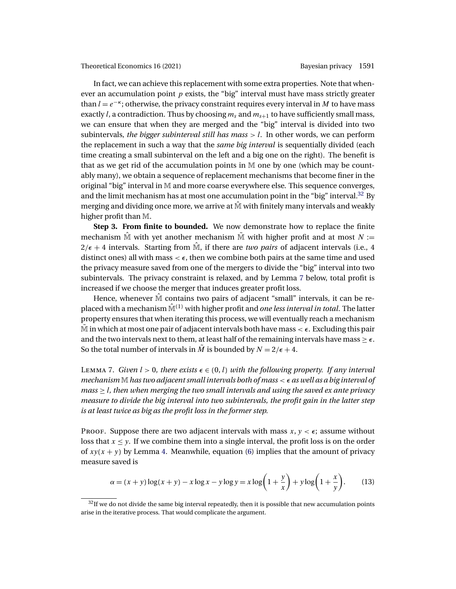<span id="page-34-0"></span>In fact, we can achieve this replacement with some extra properties. Note that whenever an accumulation point  $p$  exists, the "big" interval must have mass strictly greater than  $l = e^{-\kappa}$ ; otherwise, the privacy constraint requires every interval in M to have mass exactly l, a contradiction. Thus by choosing  $m_s$  and  $m_{s+1}$  to have sufficiently small mass, we can ensure that when they are merged and the "big" interval is divided into two subintervals, *the bigger subinterval still has mass*  $> l$ . In other words, we can perform the replacement in such a way that the *same big interval* is sequentially divided (each time creating a small subinterval on the left and a big one on the right). The benefit is that as we get rid of the accumulation points in M one by one (which may be countably many), we obtain a sequence of replacement mechanisms that become finer in the original "big" interval in M and more coarse everywhere else. This sequence converges, and the limit mechanism has at most one accumulation point in the "big" interval.<sup>32</sup> By merging and dividing once more, we arrive at  $\hat{M}$  with finitely many intervals and weakly higher profit than M.

**Step 3. From finite to bounded.** We now demonstrate how to replace the finite mechanism  $\hat{M}$  with yet another mechanism  $\hat{M}$  with higher profit and at most  $N :=$  $2/\epsilon + 4$  intervals. Starting from  $\tilde{M}$ , if there are *two pairs* of adjacent intervals (i.e., 4) distinct ones) all with mass  $\lt \epsilon$ , then we combine both pairs at the same time and used the privacy measure saved from one of the mergers to divide the "big" interval into two subintervals. The privacy constraint is relaxed, and by Lemma 7 below, total profit is increased if we choose the merger that induces greater profit loss.

Hence, whenever  $\hat{M}$  contains two pairs of adjacent "small" intervals, it can be replaced with a mechanism  $\hat{M}^{(1)}$  with higher profit and *one less interval in total*. The latter property ensures that when iterating this process, we will eventually reach a mechanism  $\tilde{M}$  in which at most one pair of adjacent intervals both have mass  $\lt \epsilon$ . Excluding this pair and the two intervals next to them, at least half of the remaining intervals have mass  $\geq \epsilon$ . So the total number of intervals in  $\tilde{M}$  is bounded by  $N = 2/\epsilon + 4$ .

Lemma 7. *Given*  $l > 0$ *, there exists*  $\epsilon \in (0, l)$  *with the following property. If any interval mechanism* M *has two adjacent small intervals both of mass* < *as well as a big interval of mass*  $\geq$  *l, then when merging the two small intervals and using the saved ex ante privacy measure to divide the big interval into two subintervals, the profit gain in the latter step is at least twice as big as the profit loss in the former step.*

PROOF. Suppose there are two adjacent intervals with mass  $x, y < \epsilon$ ; assume without loss that  $x \le y$ . If we combine them into a single interval, the profit loss is on the order of  $xy(x + y)$  by Lemma [4.](#page-24-0) Meanwhile, equation [\(6\)](#page-17-0) implies that the amount of privacy measure saved is

$$
\alpha = (x+y)\log(x+y) - x\log x - y\log y = x\log\left(1+\frac{y}{x}\right) + y\log\left(1+\frac{x}{y}\right). \tag{13}
$$

 $32$ If we do not divide the same big interval repeatedly, then it is possible that new accumulation points arise in the iterative process. That would complicate the argument.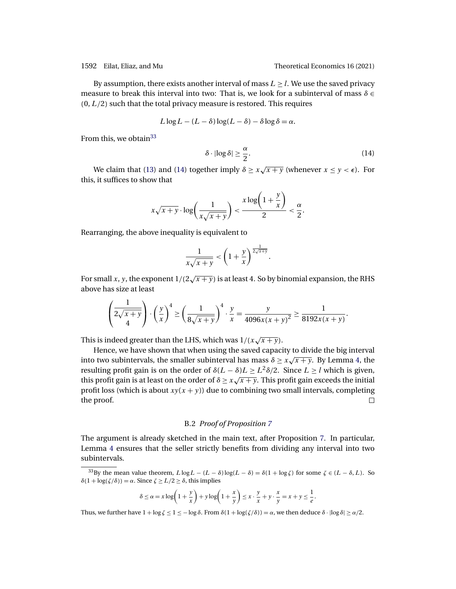By assumption, there exists another interval of mass  $L \geq l$ . We use the saved privacy measure to break this interval into two: That is, we look for a subinterval of mass  $\delta \in$  $(0, L/2)$  such that the total privacy measure is restored. This requires

$$
L\log L - (L - \delta)\log(L - \delta) - \delta\log\delta = \alpha.
$$

From this, we obtain<sup>33</sup>

$$
\delta \cdot |\log \delta| \ge \frac{\alpha}{2}.\tag{14}
$$

We claim that [\(13\)](#page-34-0) and (14) together imply  $\delta \ge x\sqrt{x+y}$  (whenever  $x \le y < \epsilon$ ). For this, it suffices to show that

$$
x\sqrt{x+y} \cdot \log\left(\frac{1}{x\sqrt{x+y}}\right) < \frac{x\log\left(1+\frac{y}{x}\right)}{2} < \frac{\alpha}{2}.
$$

Rearranging, the above inequality is equivalent to

$$
\frac{1}{x\sqrt{x+y}} < \left(1+\frac{y}{x}\right)^{\frac{1}{2\sqrt{x+y}}}.
$$

For small x, y, the exponent  $1/(2\sqrt{x+y})$  is at least 4. So by binomial expansion, the RHS above has size at least

$$
\left(\frac{1}{2\sqrt{x+y}}\right)\cdot\left(\frac{y}{x}\right)^4\geq\left(\frac{1}{8\sqrt{x+y}}\right)^4\cdot\frac{y}{x}=\frac{y}{4096x(x+y)^2}\geq\frac{1}{8192x(x+y)}.
$$

This is indeed greater than the LHS, which was  $1/(x\sqrt{x+y})$ .

Hence, we have shown that when using the saved capacity to divide the big interval into two subintervals, the smaller subinterval has mass  $\delta \ge x\sqrt{x+y}$ . By Lemma [4,](#page-24-0) the resulting profit gain is on the order of  $\delta(L - \delta)L \geq L^2 \delta/2$ . Since  $L \geq l$  which is given, this profit gain is at least on the order of  $\delta \geq x\sqrt{x+y}$ . This profit gain exceeds the initial profit loss (which is about  $xy(x + y)$ ) due to combining two small intervals, completing the proof. the proof.

### B.2 *Proof of Proposition [7](#page-19-0)*

The argument is already sketched in the main text, after Proposition [7.](#page-19-0) In particular, Lemma [4](#page-24-0) ensures that the seller strictly benefits from dividing any interval into two subintervals.

$$
\delta \le \alpha = x \log \left( 1 + \frac{y}{x} \right) + y \log \left( 1 + \frac{x}{y} \right) \le x \cdot \frac{y}{x} + y \cdot \frac{x}{y} = x + y \le \frac{1}{e}.
$$

Thus, we further have  $1 + \log \zeta \leq 1 \leq -\log \delta$ . From  $\delta(1 + \log(\zeta/\delta)) = \alpha$ , we then deduce  $\delta \cdot |\log \delta| \geq \alpha/2$ .

<sup>&</sup>lt;sup>33</sup>By the mean value theorem,  $L \log L - (L - \delta) \log(L - \delta) = \delta(1 + \log \zeta)$  for some  $\zeta \in (L - \delta, L)$ . So  $\delta(1 + \log(\zeta/\delta)) = \alpha$ . Since  $\zeta \ge L/2 \ge \delta$ , this implies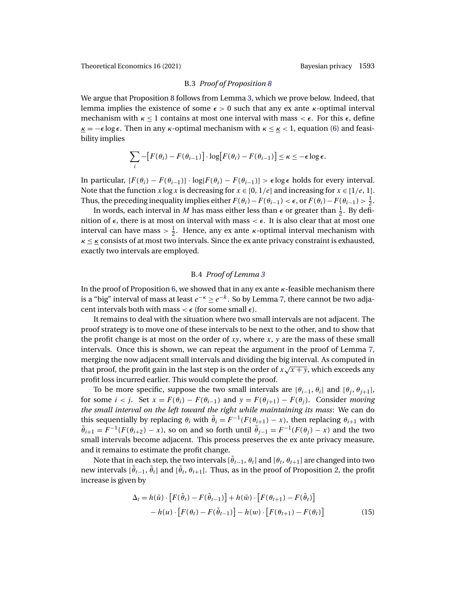# B.3 *Proof of Proposition [8](#page-19-0)*

<span id="page-36-0"></span>We argue that Proposition [8](#page-19-0) follows from Lemma [3,](#page-20-0) which we prove below. Indeed, that lemma implies the existence of some  $\epsilon > 0$  such that any ex ante *κ*-optimal interval mechanism with  $\kappa \leq 1$  contains at most one interval with mass  $\lt \epsilon$ . For this  $\epsilon$ , define  $k = -\epsilon \log \epsilon$ . Then in any  $\kappa$ -optimal mechanism with  $\kappa \leq k \leq 1$ , equation [\(6\)](#page-17-0) and feasibility implies

$$
\sum_{i} -[F(\theta_i) - F(\theta_{i-1})] \cdot \log[F(\theta_i) - F(\theta_{i-1})] \leq \kappa \leq -\epsilon \log \epsilon.
$$

In particular,  $[F(\theta_i) - F(\theta_{i-1})] \cdot \log[F(\theta_i) - F(\theta_{i-1})] > \epsilon \log \epsilon$  holds for every interval. Note that the function x log x is decreasing for  $x \in [0, 1/e]$  and increasing for  $x \in [1/e, 1]$ . Thus, the preceding inequality implies either  $F(\theta_i)-F(\theta_{i-1}) < \epsilon$ , or  $F(\theta_i)-F(\theta_{i-1}) > \frac{1}{2}$ .

In words, each interval in M has mass either less than  $\epsilon$  or greater than  $\frac{1}{2}$ . By definition of  $\epsilon$ , there is at most on interval with mass  $\epsilon \epsilon$ . It is also clear that at most one interval can have mass  $> \frac{1}{2}$ . Hence, any ex ante *κ*-optimal interval mechanism with  $\kappa \leq \kappa$  consists of at most two intervals. Since the ex ante privacy constraint is exhausted, exactly two intervals are employed.

### B.4 *Proof of Lemma [3](#page-20-0)*

In the proof of Proposition [6,](#page-18-0) we showed that in any ex ante  $\kappa$ -feasible mechanism there is a "big" interval of mass at least  $e^{-\kappa} > e^{-k}$ . So by Lemma [7,](#page-34-0) there cannot be two adjacent intervals both with mass  $\lt \epsilon$  (for some small  $\epsilon$ ).

It remains to deal with the situation where two small intervals are not adjacent. The proof strategy is to move one of these intervals to be next to the other, and to show that the profit change is at most on the order of  $xy$ , where  $x$ ,  $y$  are the mass of these small intervals. Once this is shown, we can repeat the argument in the proof of Lemma [7,](#page-34-0) merging the now adjacent small intervals and dividing the big interval. As computed in that proof, the profit gain in the last step is on the order of  $x\sqrt{x+y}$ , which exceeds any profit loss incurred earlier. This would complete the proof.

To be more specific, suppose the two small intervals are  $[\theta_{i-1}, \theta_i]$  and  $[\theta_i, \theta_{i+1}]$ , for some  $i < j$ . Set  $x = F(\theta_i) - F(\theta_{i-1})$  and  $y = F(\theta_{i+1}) - F(\theta_i)$ . Consider *moving the small interval on the left toward the right while maintaining its mass*: We can do this sequentially by replacing  $\theta_i$  with  $\tilde{\theta}_i = F^{-1}(F(\theta_{i+1}) - x)$ , then replacing  $\theta_{i+1}$  with  $\tilde{\theta}_{i+1} = F^{-1}(F(\theta_{i+2}) - x)$ , so on and so forth until  $\tilde{\theta}_{i-1} = F^{-1}(F(\theta_i) - x)$  and the two small intervals become adjacent. This process preserves the ex ante privacy measure, and it remains to estimate the profit change.

Note that in each step, the two intervals  $[\hat{\theta}_{t-1}, \theta_t]$  and  $[\theta_t, \theta_{t+1}]$  are changed into two new intervals  $[\tilde{\theta}_{t-1}, \tilde{\theta}_t]$  and  $[\tilde{\theta}_t, \theta_{t+1}]$ . Thus, as in the proof of Proposition [2,](#page-14-0) the profit increase is given by

$$
\Delta_t = h(\tilde{u}) \cdot \left[ F(\tilde{\theta}_t) - F(\tilde{\theta}_{t-1}) \right] + h(\tilde{w}) \cdot \left[ F(\theta_{t+1}) - F(\tilde{\theta}_t) \right] - h(u) \cdot \left[ F(\theta_t) - F(\tilde{\theta}_{t-1}) \right] - h(w) \cdot \left[ F(\theta_{t+1}) - F(\theta_t) \right]
$$
(15)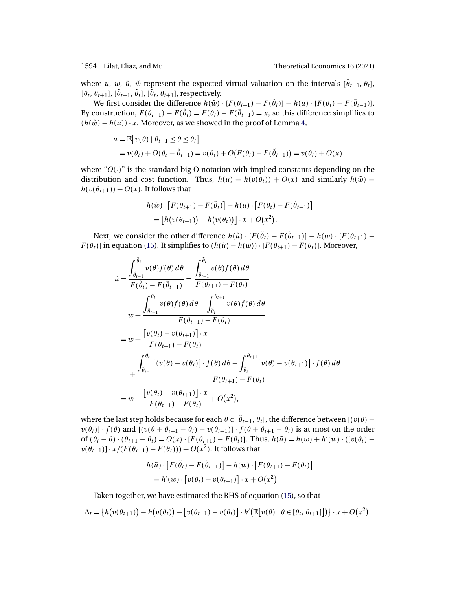where u, w,  $\tilde{u}$ ,  $\tilde{w}$  represent the expected virtual valuation on the intervals  $[\tilde{\theta}_{t-1}, \theta_t]$ , [ $\theta_t$ ,  $\theta_{t+1}$ ], [ $\tilde{\theta}_{t-1}$ ,  $\tilde{\theta}_t$ ], [ $\tilde{\theta}_t$ ,  $\theta_{t+1}$ ], respectively.

We first consider the difference  $h(\tilde{w}) \cdot [F(\theta_{t+1}) - F(\tilde{\theta}_t)] - h(u) \cdot [F(\theta_t) - F(\tilde{\theta}_{t-1})].$ By construction,  $F(\theta_{t+1}) - F(\tilde{\theta}_t) = F(\theta_t) - F(\tilde{\theta}_{t-1}) = x$ , so this difference simplifies to  $(h(\tilde{w}) - h(u)) \cdot x$ . Moreover, as we showed in the proof of Lemma [4,](#page-24-0)

$$
u = \mathbb{E}[v(\theta) | \tilde{\theta}_{t-1} \le \theta \le \theta_t]
$$
  
=  $v(\theta_t) + O(\theta_t - \tilde{\theta}_{t-1}) = v(\theta_t) + O(F(\theta_t) - F(\tilde{\theta}_{t-1})) = v(\theta_t) + O(x)$ 

where " $O(\cdot)$ " is the standard big O notation with implied constants depending on the distribution and cost function. Thus,  $h(u) = h(v(\theta_t)) + O(x)$  and similarly  $h(\tilde{w}) =$  $h(v(\theta_{t+1})) + O(x)$ . It follows that

$$
h(\tilde{w}) \cdot [F(\theta_{t+1}) - F(\tilde{\theta}_t)] - h(u) \cdot [F(\theta_t) - F(\tilde{\theta}_{t-1})]
$$
  
= 
$$
[h(v(\theta_{t+1})) - h(v(\theta_t))] \cdot x + O(x^2).
$$

Next, we consider the other difference  $h(\tilde{u}) \cdot [F(\tilde{\theta}_t) - F(\tilde{\theta}_{t-1})] - h(w) \cdot [F(\theta_{t+1}) F(\theta_t)$ ] in equation [\(15\)](#page-36-0). It simplifies to  $(h(\tilde{u}) - h(w)) \cdot [F(\theta_{t+1}) - F(\theta_t)]$ . Moreover,

$$
\tilde{u} = \frac{\int_{\tilde{\theta}_{t-1}}^{\tilde{\theta}_{t}} v(\theta) f(\theta) d\theta}{F(\tilde{\theta}_{t}) - F(\tilde{\theta}_{t-1})} = \frac{\int_{\tilde{\theta}_{t-1}}^{\tilde{\theta}_{t}} v(\theta) f(\theta) d\theta}{F(\theta_{t+1}) - F(\theta_{t})}
$$
\n
$$
= w + \frac{\int_{\tilde{\theta}_{t-1}}^{\theta_{t}} v(\theta) f(\theta) d\theta - \int_{\tilde{\theta}_{t}}^{\theta_{t+1}} v(\theta) f(\theta) d\theta}{F(\theta_{t+1}) - F(\theta_{t})}
$$
\n
$$
= w + \frac{[v(\theta_{t}) - v(\theta_{t+1})] \cdot x}{F(\theta_{t+1}) - F(\theta_{t})}
$$
\n
$$
+ \frac{\int_{\tilde{\theta}_{t-1}}^{\theta_{t}} [(v(\theta) - v(\theta_{t})] \cdot f(\theta) d\theta - \int_{\tilde{\theta}_{t}}^{\theta_{t+1}} [v(\theta) - v(\theta_{t+1})] \cdot f(\theta) d\theta}{F(\theta_{t+1}) - F(\theta_{t})}
$$
\n
$$
= w + \frac{[v(\theta_{t}) - v(\theta_{t+1})] \cdot x}{F(\theta_{t+1}) - F(\theta_{t})} + O(x^{2}),
$$

where the last step holds because for each  $\theta \in [\tilde{\theta}_{t-1}, \theta_t]$ , the difference between  $[(v(\theta)$  $v(\theta_t) \cdot f(\theta)$  and  $[(v(\theta + \theta_{t+1} - \theta_t) - v(\theta_{t+1})] \cdot f(\theta + \theta_{t+1} - \theta_t)$  is at most on the order of  $(\theta_t - \theta) \cdot (\theta_{t+1} - \theta_t) = O(x) \cdot [F(\theta_{t+1}) - F(\theta_t)].$  Thus,  $h(\tilde{u}) = h(w) + h'(w) \cdot ([v(\theta_t)$  $v(\theta_{t+1})] \cdot x/(F(\theta_{t+1}) - F(\theta_t))) + O(x^2)$ . It follows that

$$
h(\tilde{u}) \cdot [F(\tilde{\theta}_t) - F(\tilde{\theta}_{t-1})] - h(w) \cdot [F(\theta_{t+1}) - F(\theta_t)]
$$
  
=  $h'(w) \cdot [v(\theta_t) - v(\theta_{t+1})] \cdot x + O(x^2)$ 

Taken together, we have estimated the RHS of equation [\(15\)](#page-36-0), so that

$$
\Delta_t = \big\{h\big(v(\theta_{t+1})\big) - h\big(v(\theta_t)\big) - \big[v(\theta_{t+1}) - v(\theta_t)\big] \cdot h'\big(\mathbb{E}\big[v(\theta) \mid \theta \in [\theta_t, \theta_{t+1}]\big]\big)\big\} \cdot x + O(x^2).
$$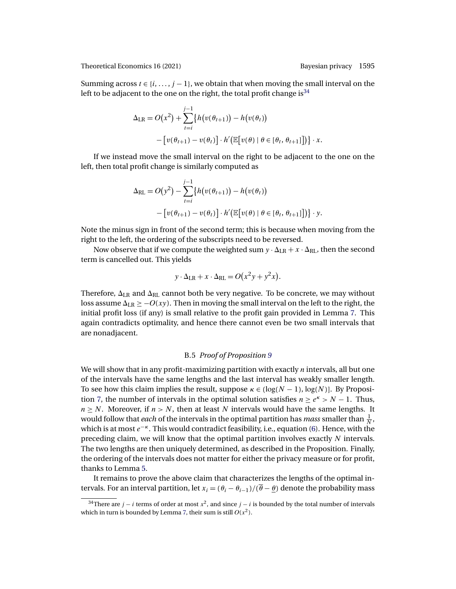Summing across  $t \in \{i, \ldots, j-1\}$ , we obtain that when moving the small interval on the left to be adjacent to the one on the right, the total profit change is  $34$ 

$$
\Delta_{LR} = O(x^2) + \sum_{t=i}^{j-1} \{ h(v(\theta_{t+1})) - h(v(\theta_t))
$$
  
 
$$
- [v(\theta_{t+1}) - v(\theta_t)] \cdot h'(\mathbb{E}[v(\theta) | \theta \in [\theta_t, \theta_{t+1}]] ) \} \cdot x.
$$

If we instead move the small interval on the right to be adjacent to the one on the left, then total profit change is similarly computed as

$$
\Delta_{\text{RL}} = O(y^2) - \sum_{t=i}^{j-1} \{ h(v(\theta_{t+1})) - h(v(\theta_t)) - [v(\theta_{t+1}) - v(\theta_t)] \cdot h'(\mathbb{E}[v(\theta) | \theta \in [\theta_t, \theta_{t+1}]] ) \} \cdot y.
$$

Note the minus sign in front of the second term; this is because when moving from the right to the left, the ordering of the subscripts need to be reversed.

Now observe that if we compute the weighted sum  $y \cdot \Delta_{LR} + x \cdot \Delta_{RL}$ , then the second term is cancelled out. This yields

$$
y \cdot \Delta_{LR} + x \cdot \Delta_{RL} = O(x^2y + y^2x).
$$

Therefore,  $\Delta_{LR}$  and  $\Delta_{RL}$  cannot both be very negative. To be concrete, we may without loss assume  $\Delta_{LR} \geq -O(xy)$ . Then in moving the small interval on the left to the right, the initial profit loss (if any) is small relative to the profit gain provided in Lemma [7.](#page-34-0) This again contradicts optimality, and hence there cannot even be two small intervals that are nonadjacent.

# B.5 *Proof of Proposition [9](#page-20-0)*

We will show that in any profit-maximizing partition with exactly  $n$  intervals, all but one of the intervals have the same lengths and the last interval has weakly smaller length. To see how this claim implies the result, suppose  $\kappa \in \left(\log(N-1), \log(N)\right]$ . By Proposi-tion [7,](#page-19-0) the number of intervals in the optimal solution satisfies  $n \ge e^{k} > N - 1$ . Thus,  $n \geq N$ . Moreover, if  $n > N$ , then at least N intervals would have the same lengths. It would follow that *each* of the intervals in the optimal partition has *mass* smaller than  $\frac{1}{N}$ , which is at most  $e^{-\kappa}$ . This would contradict feasibility, i.e., equation [\(6\)](#page-17-0). Hence, with the preceding claim, we will know that the optimal partition involves exactly  $N$  intervals. The two lengths are then uniquely determined, as described in the Proposition. Finally, the ordering of the intervals does not matter for either the privacy measure or for profit, thanks to Lemma [5.](#page-28-0)

It remains to prove the above claim that characterizes the lengths of the optimal intervals. For an interval partition, let  $x_i = (\theta_i - \theta_{i-1})/(\overline{\theta} - \theta)$  denote the probability mass

<sup>&</sup>lt;sup>34</sup>There are *j − i* terms of order at most  $x^2$ , and since *j − i* is bounded by the total number of intervals which in turn is bounded by Lemma [7,](#page-34-0) their sum is still  $O(x^2)$ .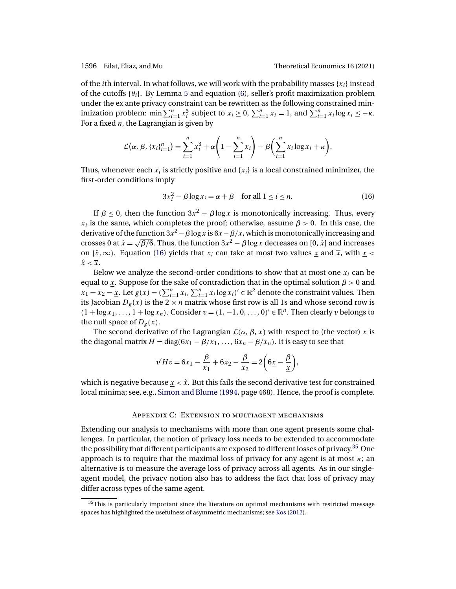<span id="page-39-0"></span>of the *i*th interval. In what follows, we will work with the probability masses  $\{x_i\}$  instead of the cutoffs  $\{\theta_i\}$ . By Lemma [5](#page-28-0) and equation [\(6\)](#page-17-0), seller's profit maximization problem under the ex ante privacy constraint can be rewritten as the following constrained minimization problem: min  $\sum_{i=1}^{n} x_i^3$  subject to  $x_i \ge 0$ ,  $\sum_{i=1}^{n} x_i = 1$ , and  $\sum_{i=1}^{n} x_i \log x_i \le -\kappa$ . For a fixed  $n$ , the Lagrangian is given by

$$
\mathcal{L}(\alpha, \beta, \{x_i\}_{i=1}^n) = \sum_{i=1}^n x_i^3 + \alpha \left(1 - \sum_{i=1}^n x_i\right) - \beta \left(\sum_{i=1}^n x_i \log x_i + \kappa\right).
$$

Thus, whenever each  $x_i$  is strictly positive and  $\{x_i\}$  is a local constrained minimizer, the first-order conditions imply

$$
3x_i^2 - \beta \log x_i = \alpha + \beta \quad \text{for all } 1 \le i \le n. \tag{16}
$$

If  $\beta$  < 0, then the function  $3x^2 - \beta \log x$  is monotonically increasing. Thus, every  $x_i$  is the same, which completes the proof; otherwise, assume  $\beta > 0$ . In this case, the derivative of the function  $3x^2 - \beta \log x$  is  $6x - \beta/x$ , which is monotonically increasing and crosses 0 at  $\hat{x} = \sqrt{\frac{\beta}{6}}$ . Thus, the function  $3x^2 - \beta \log x$  decreases on [0,  $\hat{x}$ ] and increases on  $[\hat{x}, \infty)$ . Equation (16) yields that  $x_i$  can take at most two values x and  $\overline{x}$ , with  $x <$  $\hat{x} < \overline{x}$ .

Below we analyze the second-order conditions to show that at most one  $x_i$  can be equal to x. Suppose for the sake of contradiction that in the optimal solution  $\beta > 0$  and  $x_1 = x_2 = \underline{x}$ . Let  $g(x) = (\sum_{i=1}^n x_i, \sum_{i=1}^n x_i \log x_i)' \in \mathbb{R}^2$  denote the constraint values. Then its Jacobian  $D_g(x)$  is the  $2 \times n$  matrix whose first row is all 1s and whose second row is  $(1 + \log x_1, \ldots, 1 + \log x_n)$ . Consider  $v = (1, -1, 0, \ldots, 0)' \in \mathbb{R}^n$ . Then clearly v belongs to the null space of  $D_g(x)$ .

The second derivative of the Lagrangian  $\mathcal{L}(\alpha, \beta, x)$  with respect to (the vector) x is the diagonal matrix  $H = diag(6x_1 - \beta/x_1, \ldots, 6x_n - \beta/x_n)$ . It is easy to see that

$$
v'Hv = 6x_1 - \frac{\beta}{x_1} + 6x_2 - \frac{\beta}{x_2} = 2\left(6\underline{x} - \frac{\beta}{\underline{x}}\right),
$$

which is negative because  $x < \hat{x}$ . But this fails the second derivative test for constrained local minima; see, e.g., [Simon and Blume](#page-46-0) [\(1994,](#page-46-0) page 468). Hence, the proof is complete.

# Appendix C: Extension to multiagent mechanisms

Extending our analysis to mechanisms with more than one agent presents some challenges. In particular, the notion of privacy loss needs to be extended to accommodate the possibility that different participants are exposed to different losses of privacy.<sup>35</sup> One approach is to require that the maximal loss of privacy for any agent is at most  $\kappa$ ; an alternative is to measure the average loss of privacy across all agents. As in our singleagent model, the privacy notion also has to address the fact that loss of privacy may differ across types of the same agent.

 $35$ This is particularly important since the literature on optimal mechanisms with restricted message spaces has highlighted the usefulness of asymmetric mechanisms; see [Kos](#page-45-0) [\(2012\)](#page-45-0).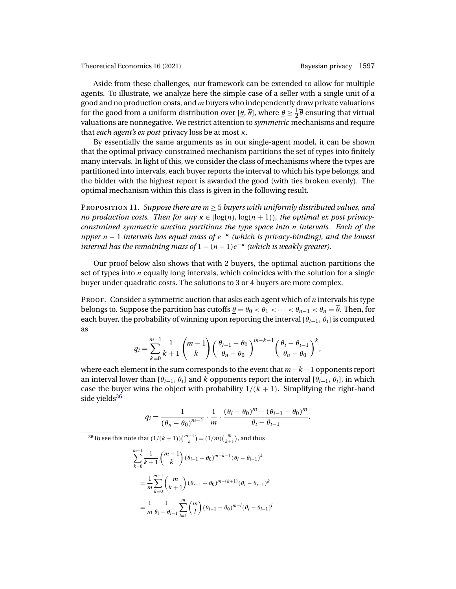Aside from these challenges, our framework can be extended to allow for multiple agents. To illustrate, we analyze here the simple case of a seller with a single unit of a good and no production costs, and  $m$  buyers who independently draw private valuations for the good from a uniform distribution over  $[\frac{\theta}{\theta}]$ , where  $\underline{\theta} \geq \frac{1}{2}\overline{\theta}$  ensuring that virtual valuations are nonnegative. We restrict attention to *symmetric* mechanisms and require that *each agent's ex post* privacy loss be at most κ.

By essentially the same arguments as in our single-agent model, it can be shown that the optimal privacy-constrained mechanism partitions the set of types into finitely many intervals. In light of this, we consider the class of mechanisms where the types are partitioned into intervals, each buyer reports the interval to which his type belongs, and the bidder with the highest report is awarded the good (with ties broken evenly). The optimal mechanism within this class is given in the following result.

<sup>P</sup>roposition 11. *Suppose there are* <sup>m</sup> <sup>≥</sup> <sup>5</sup> *buyers with uniformly distributed values, and no production costs. Then for any*  $\kappa \in [\log(n), \log(n+1)]$ *, the optimal ex post privacyconstrained symmetric auction partitions the type space into* n *intervals. Each of the upper* <sup>n</sup> <sup>−</sup> <sup>1</sup> *intervals has equal mass of* <sup>e</sup>−<sup>κ</sup> *(which is privacy-binding), and the lowest interval has the remaining mass of*  $1 - (n - 1)e^{-\kappa}$  *(which is weakly greater).* 

Our proof below also shows that with 2 buyers, the optimal auction partitions the set of types into  $n$  equally long intervals, which coincides with the solution for a single buyer under quadratic costs. The solutions to 3 or 4 buyers are more complex.

PROOF. Consider a symmetric auction that asks each agent which of  $n$  intervals his type belongs to. Suppose the partition has cutoffs  $\underline{\theta} = \theta_0 < \theta_1 < \cdots < \theta_{n-1} < \theta_n = \overline{\theta}$ . Then, for each buyer, the probability of winning upon reporting the interval  $[\theta_{i-1}, \theta_i]$  is computed as

$$
q_i = \sum_{k=0}^{m-1} \frac{1}{k+1} {m-1 \choose k} \left( \frac{\theta_{i-1} - \theta_0}{\theta_n - \theta_0} \right)^{m-k-1} \left( \frac{\theta_i - \theta_{i-1}}{\theta_n - \theta_0} \right)^k,
$$

where each element in the sum corresponds to the event that  $m-k-1$  opponents report an interval lower than  $[\theta_{i-1}, \theta_i]$  and k opponents report the interval  $[\theta_{i-1}, \theta_i]$ , in which case the buyer wins the object with probability  $1/(k+1)$ . Simplifying the right-hand side yields $36$ 

$$
q_i = \frac{1}{(\theta_n - \theta_0)^{m-1}} \cdot \frac{1}{m} \cdot \frac{(\theta_i - \theta_0)^m - (\theta_{i-1} - \theta_0)^m}{\theta_i - \theta_{i-1}}.
$$

<sup>36</sup>To see this note that  $(1/(k+1))\binom{m-1}{k} = (1/m)\binom{m}{k+1}$  $\binom{m}{k+1}$ , and thus

$$
\sum_{k=0}^{m-1} \frac{1}{k+1} \binom{m-1}{k} (\theta_{i-1} - \theta_0)^{m-k-1} (\theta_i - \theta_{i-1})^k
$$
  
= 
$$
\frac{1}{m} \sum_{k=0}^{m-1} \binom{m}{k+1} (\theta_{i-1} - \theta_0)^{m-(k+1)} (\theta_i - \theta_{i-1})^k
$$
  
= 
$$
\frac{1}{m} \frac{1}{\theta_i - \theta_{i-1}} \sum_{l=1}^m \binom{m}{l} (\theta_{i-1} - \theta_0)^{m-l} (\theta_i - \theta_{i-1})^l
$$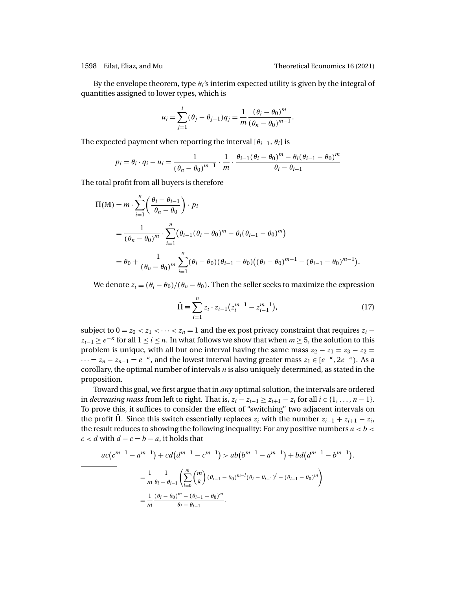<span id="page-41-0"></span>By the envelope theorem, type  $\theta_i$ 's interim expected utility is given by the integral of quantities assigned to lower types, which is

$$
u_i = \sum_{j=1}^i (\theta_j - \theta_{j-1}) q_j = \frac{1}{m} \frac{(\theta_i - \theta_0)^m}{(\theta_n - \theta_0)^{m-1}}.
$$

The expected payment when reporting the interval  $[\theta_{i-1}, \theta_i]$  is

$$
p_i = \theta_i \cdot q_i - u_i = \frac{1}{(\theta_n - \theta_0)^{m-1}} \cdot \frac{1}{m} \cdot \frac{\theta_{i-1}(\theta_i - \theta_0)^m - \theta_i(\theta_{i-1} - \theta_0)^m}{\theta_i - \theta_{i-1}}
$$

The total profit from all buyers is therefore

$$
\Pi(\mathbb{M}) = m \cdot \sum_{i=1}^{n} \left( \frac{\theta_i - \theta_{i-1}}{\theta_n - \theta_0} \right) \cdot p_i
$$
  
= 
$$
\frac{1}{(\theta_n - \theta_0)^m} \cdot \sum_{i=1}^{n} (\theta_{i-1} (\theta_i - \theta_0)^m - \theta_i (\theta_{i-1} - \theta_0)^m)
$$
  
= 
$$
\theta_0 + \frac{1}{(\theta_n - \theta_0)^m} \sum_{i=1}^{n} (\theta_i - \theta_0) (\theta_{i-1} - \theta_0) ((\theta_i - \theta_0)^{m-1} - (\theta_{i-1} - \theta_0)^{m-1}).
$$

We denote  $z_i \equiv (\theta_i - \theta_0)/(\theta_n - \theta_0)$ . Then the seller seeks to maximize the expression

$$
\hat{\Pi} \equiv \sum_{i=1}^{n} z_i \cdot z_{i-1} \left( z_i^{m-1} - z_{i-1}^{m-1} \right),\tag{17}
$$

subject to  $0 = z_0 < z_1 < \cdots < z_n = 1$  and the expost privacy constraint that requires  $z_i$  –  $z_{i-1} \ge e^{-\kappa}$  for all  $1 \le i \le n$ . In what follows we show that when  $m \ge 5$ , the solution to this problem is unique, with all but one interval having the same mass  $z_2 - z_1 = z_3 - z_2 = z_1$  $\cdots = z_n - z_{n-1} = e^{-\kappa}$ , and the lowest interval having greater mass  $z_1 \in [e^{-\kappa}, 2e^{-\kappa}]$ . As a corollary, the optimal number of intervals  $n$  is also uniquely determined, as stated in the proposition.

Toward this goal, we first argue that in *any* optimal solution, the intervals are ordered in *decreasing mass* from left to right. That is,  $z_i - z_{i-1} \ge z_{i+1} - z_i$  for all  $i \in \{1, ..., n-1\}$ . To prove this, it suffices to consider the effect of "switching" two adjacent intervals on the profit  $\Pi$ . Since this switch essentially replaces  $z_i$  with the number  $z_{i-1} + z_{i+1} - z_i$ , the result reduces to showing the following inequality: For any positive numbers  $a < b <$  $c < d$  with  $d - c = b - a$ , it holds that

$$
ac(c^{m-1} - a^{m-1}) + cd(d^{m-1} - c^{m-1}) > ab(b^{m-1} - a^{m-1}) + bd(d^{m-1} - b^{m-1}).
$$
  
=  $\frac{1}{m} \frac{1}{\theta_i - \theta_{i-1}} \left( \sum_{l=0}^{m} {m \choose k} (\theta_{i-1} - \theta_0)^{m-l} (\theta_i - \theta_{i-1})^l - (\theta_{i-1} - \theta_0)^m \right)$   
=  $\frac{1}{m} \frac{(\theta_i - \theta_0)^m - (\theta_{i-1} - \theta_0)^m}{\theta_i - \theta_{i-1}}.$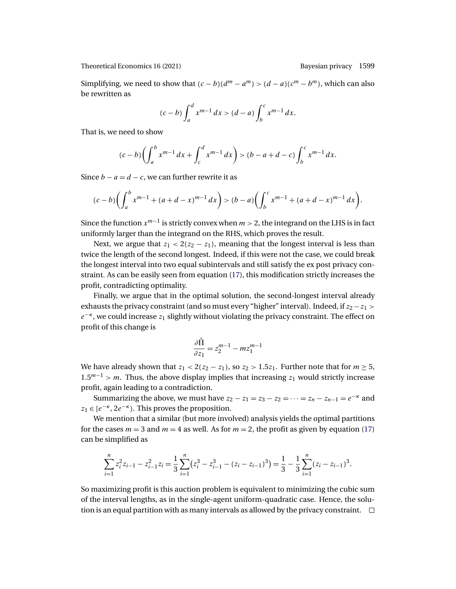Simplifying, we need to show that  $(c - b)(d<sup>m</sup> – a<sup>m</sup>) > (d – a)(c<sup>m</sup> – b<sup>m</sup>)$ , which can also be rewritten as

$$
(c-b)\int_a^d x^{m-1} dx > (d-a)\int_b^c x^{m-1} dx.
$$

That is, we need to show

$$
(c-b)\left(\int_a^b x^{m-1} dx + \int_c^d x^{m-1} dx\right) > (b-a+d-c)\int_b^c x^{m-1} dx.
$$

Since  $b - a = d - c$ , we can further rewrite it as

$$
(c-b)\left(\int_a^b x^{m-1} + (a+d-x)^{m-1} dx\right) > (b-a)\left(\int_b^c x^{m-1} + (a+d-x)^{m-1} dx\right).
$$

Since the function  $x^{m-1}$  is strictly convex when  $m > 2$ , the integrand on the LHS is in fact uniformly larger than the integrand on the RHS, which proves the result.

Next, we argue that  $z_1 < 2(z_2 - z_1)$ , meaning that the longest interval is less than twice the length of the second longest. Indeed, if this were not the case, we could break the longest interval into two equal subintervals and still satisfy the ex post privacy constraint. As can be easily seen from equation [\(17\)](#page-41-0), this modification strictly increases the profit, contradicting optimality.

Finally, we argue that in the optimal solution, the second-longest interval already exhausts the privacy constraint (and so must every "higher" interval). Indeed, if  $z_2-z_1 >$  $e^{-\kappa}$ , we could increase  $z_1$  slightly without violating the privacy constraint. The effect on profit of this change is

$$
\frac{\partial \hat{\Pi}}{\partial z_1} = z_2^{m-1} - mz_1^{m-1}
$$

We have already shown that  $z_1 < 2(z_2 - z_1)$ , so  $z_2 > 1.5z_1$ . Further note that for  $m \ge 5$ ,  $1.5^{m-1} > m$ . Thus, the above display implies that increasing z<sub>1</sub> would strictly increase profit, again leading to a contradiction.

Summarizing the above, we must have  $z_2 - z_1 = z_3 - z_2 = \cdots = z_n - z_{n-1} = e^{-\kappa}$  and  $z_1 \in [e^{-\kappa}, 2e^{-\kappa})$ . This proves the proposition.

We mention that a similar (but more involved) analysis yields the optimal partitions for the cases  $m = 3$  and  $m = 4$  as well. As for  $m = 2$ , the profit as given by equation [\(17\)](#page-41-0) can be simplified as

$$
\sum_{i=1}^{n} z_i^2 z_{i-1} - z_{i-1}^2 z_i = \frac{1}{3} \sum_{i=1}^{n} (z_i^3 - z_{i-1}^3 - (z_i - z_{i-1})^3) = \frac{1}{3} - \frac{1}{3} \sum_{i=1}^{n} (z_i - z_{i-1})^3.
$$

So maximizing profit is this auction problem is equivalent to minimizing the cubic sum of the interval lengths, as in the single-agent uniform-quadratic case. Hence, the solution is an equal partition with as many intervals as allowed by the privacy constraint.  $\Box$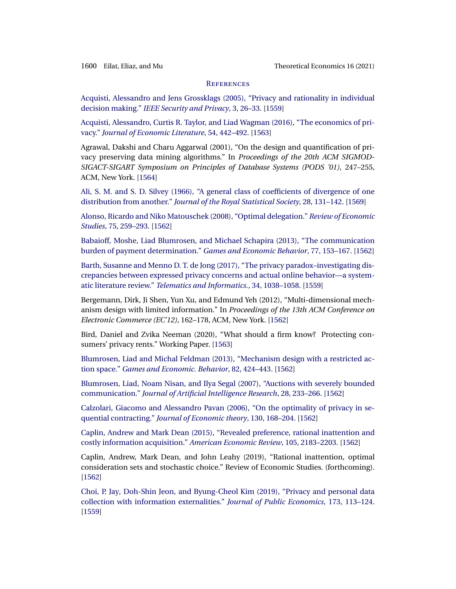### **REFERENCES**

<span id="page-43-0"></span>[Acquisti, Alessandro and Jens Grossklags \(2005\), "Privacy and rationality in individual](http://www.e-publications.org/srv/te/linkserver/openurl?rft_dat=bib:1/AcqGro2005&rfe_id=urn:sici%2F1933-6837%282021%2916%3A4%3C1557%3ABP%3E2.0.CO%3B2-B) decision making." *[IEEE Security and Privacy](http://www.e-publications.org/srv/te/linkserver/openurl?rft_dat=bib:1/AcqGro2005&rfe_id=urn:sici%2F1933-6837%282021%2916%3A4%3C1557%3ABP%3E2.0.CO%3B2-B)*, 3, 26–33. [\[1559\]](#page-2-0)

[Acquisti, Alessandro, Curtis R. Taylor, and Liad Wagman \(2016\), "The economics of pri](http://www.e-publications.org/srv/te/linkserver/openurl?rft_dat=bib:2/Acqetal2016&rfe_id=urn:sici%2F1933-6837%282021%2916%3A4%3C1557%3ABP%3E2.0.CO%3B2-B)vacy." *[Journal of Economic Literature](http://www.e-publications.org/srv/te/linkserver/openurl?rft_dat=bib:2/Acqetal2016&rfe_id=urn:sici%2F1933-6837%282021%2916%3A4%3C1557%3ABP%3E2.0.CO%3B2-B)*, 54, 442–492. [\[1563\]](#page-6-0)

Agrawal, Dakshi and Charu Aggarwal (2001), "On the design and quantification of privacy preserving data mining algorithms." In *Proceedings of the 20th ACM SIGMOD-SIGACT-SIGART Symposium on Principles of Database Systems (PODS '01)*, 247–255, ACM, New York. [\[1564\]](#page-7-0)

[Ali, S. M. and S. D. Silvey \(1966\), "A general class of coefficients of divergence of one](http://www.e-publications.org/srv/te/linkserver/openurl?rft_dat=bib:4/AliSil1966&rfe_id=urn:sici%2F1933-6837%282021%2916%3A4%3C1557%3ABP%3E2.0.CO%3B2-B) distribution from another." *[Journal of the Royal Statistical Society](http://www.e-publications.org/srv/te/linkserver/openurl?rft_dat=bib:4/AliSil1966&rfe_id=urn:sici%2F1933-6837%282021%2916%3A4%3C1557%3ABP%3E2.0.CO%3B2-B)*, 28, 131–142. [\[1569\]](#page-12-0)

[Alonso, Ricardo and Niko Matouschek \(2008\), "Optimal delegation."](http://www.e-publications.org/srv/te/linkserver/openurl?rft_dat=bib:5/AloMat2008&rfe_id=urn:sici%2F1933-6837%282021%2916%3A4%3C1557%3ABP%3E2.0.CO%3B2-B) *Review of Economic Studies*[, 75, 259–293.](http://www.e-publications.org/srv/te/linkserver/openurl?rft_dat=bib:5/AloMat2008&rfe_id=urn:sici%2F1933-6837%282021%2916%3A4%3C1557%3ABP%3E2.0.CO%3B2-B) [\[1562\]](#page-5-0)

[Babaioff, Moshe, Liad Blumrosen, and Michael Schapira \(2013\), "The communication](http://www.e-publications.org/srv/te/linkserver/openurl?rft_dat=bib:6/Babetal2013&rfe_id=urn:sici%2F1933-6837%282021%2916%3A4%3C1557%3ABP%3E2.0.CO%3B2-B) [burden of payment determination."](http://www.e-publications.org/srv/te/linkserver/openurl?rft_dat=bib:6/Babetal2013&rfe_id=urn:sici%2F1933-6837%282021%2916%3A4%3C1557%3ABP%3E2.0.CO%3B2-B) *Games and Economic Behavior*, 77, 153–167. [\[1562\]](#page-5-0)

[Barth, Susanne and Menno D. T. de Jong \(2017\), "The privacy paradox–investigating dis](http://www.e-publications.org/srv/te/linkserver/openurl?rft_dat=bib:7/BarJon2017&rfe_id=urn:sici%2F1933-6837%282021%2916%3A4%3C1557%3ABP%3E2.0.CO%3B2-B)[crepancies between expressed privacy concerns and actual online behavior—a system](http://www.e-publications.org/srv/te/linkserver/openurl?rft_dat=bib:7/BarJon2017&rfe_id=urn:sici%2F1933-6837%282021%2916%3A4%3C1557%3ABP%3E2.0.CO%3B2-B)atic literature review." *[Telematics and Informatics.](http://www.e-publications.org/srv/te/linkserver/openurl?rft_dat=bib:7/BarJon2017&rfe_id=urn:sici%2F1933-6837%282021%2916%3A4%3C1557%3ABP%3E2.0.CO%3B2-B)*, 34, 1038–1058. [\[1559\]](#page-2-0)

Bergemann, Dirk, Ji Shen, Yun Xu, and Edmund Yeh (2012), "Multi-dimensional mechanism design with limited information." In *Proceedings of the 13th ACM Conference on Electronic Commerce (EC'12)*, 162–178, ACM, New York. [\[1562\]](#page-5-0)

Bird, Daniel and Zvika Neeman (2020), "What should a firm know? Protecting consumers' privacy rents." Working Paper. [\[1563\]](#page-6-0)

[Blumrosen, Liad and Michal Feldman \(2013\), "Mechanism design with a restricted ac](http://www.e-publications.org/srv/te/linkserver/openurl?rft_dat=bib:10/BluFel2013&rfe_id=urn:sici%2F1933-6837%282021%2916%3A4%3C1557%3ABP%3E2.0.CO%3B2-B)tion space." *[Games and Economic. Behavior](http://www.e-publications.org/srv/te/linkserver/openurl?rft_dat=bib:10/BluFel2013&rfe_id=urn:sici%2F1933-6837%282021%2916%3A4%3C1557%3ABP%3E2.0.CO%3B2-B)*, 82, 424–443. [\[1562\]](#page-5-0)

[Blumrosen, Liad, Noam Nisan, and Ilya Segal \(2007\), "Auctions with severely bounded](http://www.e-publications.org/srv/te/linkserver/openurl?rft_dat=bib:11/Bluetal2007&rfe_id=urn:sici%2F1933-6837%282021%2916%3A4%3C1557%3ABP%3E2.0.CO%3B2-B) communication." *[Journal of Artificial Intelligence Research](http://www.e-publications.org/srv/te/linkserver/openurl?rft_dat=bib:11/Bluetal2007&rfe_id=urn:sici%2F1933-6837%282021%2916%3A4%3C1557%3ABP%3E2.0.CO%3B2-B)*, 28, 233–266. [\[1562\]](#page-5-0)

[Calzolari, Giacomo and Alessandro Pavan \(2006\), "On the optimality of privacy in se](http://www.e-publications.org/srv/te/linkserver/openurl?rft_dat=bib:12/CalPav2006&rfe_id=urn:sici%2F1933-6837%282021%2916%3A4%3C1557%3ABP%3E2.0.CO%3B2-B)quential contracting." *[Journal of Economic theory](http://www.e-publications.org/srv/te/linkserver/openurl?rft_dat=bib:12/CalPav2006&rfe_id=urn:sici%2F1933-6837%282021%2916%3A4%3C1557%3ABP%3E2.0.CO%3B2-B)*, 130, 168–204. [\[1562\]](#page-5-0)

[Caplin, Andrew and Mark Dean \(2015\), "Revealed preference, rational inattention and](http://www.e-publications.org/srv/te/linkserver/openurl?rft_dat=bib:13/CapDea2015&rfe_id=urn:sici%2F1933-6837%282021%2916%3A4%3C1557%3ABP%3E2.0.CO%3B2-B) [costly information acquisition."](http://www.e-publications.org/srv/te/linkserver/openurl?rft_dat=bib:13/CapDea2015&rfe_id=urn:sici%2F1933-6837%282021%2916%3A4%3C1557%3ABP%3E2.0.CO%3B2-B) *American Economic Review*, 105, 2183–2203. [\[1562\]](#page-5-0)

Caplin, Andrew, Mark Dean, and John Leahy (2019), "Rational inattention, optimal consideration sets and stochastic choice." Review of Economic Studies. (forthcoming). [\[1562\]](#page-5-0)

[Choi, P. Jay, Doh-Shin Jeon, and Byung-Cheol Kim \(2019\), "Privacy and personal data](http://www.e-publications.org/srv/te/linkserver/openurl?rft_dat=bib:15/Choetal2019&rfe_id=urn:sici%2F1933-6837%282021%2916%3A4%3C1557%3ABP%3E2.0.CO%3B2-B) [collection with information externalities."](http://www.e-publications.org/srv/te/linkserver/openurl?rft_dat=bib:15/Choetal2019&rfe_id=urn:sici%2F1933-6837%282021%2916%3A4%3C1557%3ABP%3E2.0.CO%3B2-B) *Journal of Public Economics*, 173, 113–124. [\[1559\]](#page-2-0)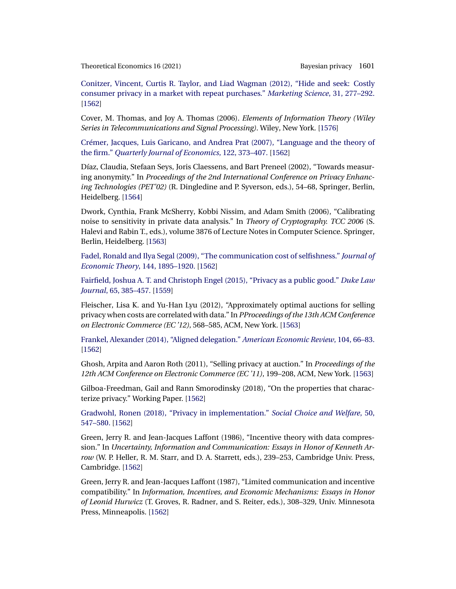<span id="page-44-0"></span>[Conitzer, Vincent, Curtis R. Taylor, and Liad Wagman \(2012\), "Hide and seek: Costly](http://www.e-publications.org/srv/te/linkserver/openurl?rft_dat=bib:16/Conetal2012&rfe_id=urn:sici%2F1933-6837%282021%2916%3A4%3C1557%3ABP%3E2.0.CO%3B2-B) [consumer privacy in a market with repeat purchases."](http://www.e-publications.org/srv/te/linkserver/openurl?rft_dat=bib:16/Conetal2012&rfe_id=urn:sici%2F1933-6837%282021%2916%3A4%3C1557%3ABP%3E2.0.CO%3B2-B) *Marketing Science*, 31, 277–292. [\[1562\]](#page-5-0)

Cover, M. Thomas, and Joy A. Thomas (2006). *Elements of Information Theory (Wiley Series in Telecommunications and Signal Processing)*. Wiley, New York. [\[1576\]](#page-19-0)

[Crémer, Jacques, Luis Garicano, and Andrea Prat \(2007\), "Language and the theory of](http://www.e-publications.org/srv/te/linkserver/openurl?rft_dat=bib:18/Creetal2007&rfe_id=urn:sici%2F1933-6837%282021%2916%3A4%3C1557%3ABP%3E2.0.CO%3B2-B) the firm." *[Quarterly Journal of Economics](http://www.e-publications.org/srv/te/linkserver/openurl?rft_dat=bib:18/Creetal2007&rfe_id=urn:sici%2F1933-6837%282021%2916%3A4%3C1557%3ABP%3E2.0.CO%3B2-B)*, 122, 373–407. [\[1562\]](#page-5-0)

Díaz, Claudia, Stefaan Seys, Joris Claessens, and Bart Preneel (2002), "Towards measuring anonymity." In *Proceedings of the 2nd International Conference on Privacy Enhancing Technologies (PET'02)* (R. Dingledine and P. Syverson, eds.), 54–68, Springer, Berlin, Heidelberg. [\[1564\]](#page-7-0)

Dwork, Cynthia, Frank McSherry, Kobbi Nissim, and Adam Smith (2006), "Calibrating noise to sensitivity in private data analysis." In *Theory of Cryptography. TCC 2006* (S. Halevi and Rabin T., eds.), volume 3876 of Lecture Notes in Computer Science. Springer, Berlin, Heidelberg. [\[1563\]](#page-6-0)

[Fadel, Ronald and Ilya Segal \(2009\), "The communication cost of selfishness."](http://www.e-publications.org/srv/te/linkserver/openurl?rft_dat=bib:21/FadSeg2009&rfe_id=urn:sici%2F1933-6837%282021%2916%3A4%3C1557%3ABP%3E2.0.CO%3B2-B) *Journal of [Economic Theory](http://www.e-publications.org/srv/te/linkserver/openurl?rft_dat=bib:21/FadSeg2009&rfe_id=urn:sici%2F1933-6837%282021%2916%3A4%3C1557%3ABP%3E2.0.CO%3B2-B)*, 144, 1895–1920. [\[1562\]](#page-5-0)

[Fairfield, Joshua A. T. and Christoph Engel \(2015\), "Privacy as a public good."](http://www.e-publications.org/srv/te/linkserver/openurl?rft_dat=bib:22/FaiEng2015&rfe_id=urn:sici%2F1933-6837%282021%2916%3A4%3C1557%3ABP%3E2.0.CO%3B2-B) *Duke Law Journal*[, 65, 385–457.](http://www.e-publications.org/srv/te/linkserver/openurl?rft_dat=bib:22/FaiEng2015&rfe_id=urn:sici%2F1933-6837%282021%2916%3A4%3C1557%3ABP%3E2.0.CO%3B2-B) [\[1559\]](#page-2-0)

Fleischer, Lisa K. and Yu-Han Lyu (2012), "Approximately optimal auctions for selling privacy when costs are correlated with data." In *PProceedings of the 13th ACM Conference on Electronic Commerce (EC '12)*, 568–585, ACM, New York. [\[1563\]](#page-6-0)

[Frankel, Alexander \(2014\), "Aligned delegation."](http://www.e-publications.org/srv/te/linkserver/openurl?rft_dat=bib:24/Fra2014&rfe_id=urn:sici%2F1933-6837%282021%2916%3A4%3C1557%3ABP%3E2.0.CO%3B2-B) *American Economic Review*, 104, 66–83. [\[1562\]](#page-5-0)

Ghosh, Arpita and Aaron Roth (2011), "Selling privacy at auction." In *Proceedings of the 12th ACM Conference on Electronic Commerce (EC '11)*, 199–208, ACM, New York. [\[1563\]](#page-6-0)

Gilboa-Freedman, Gail and Rann Smorodinsky (2018), "On the properties that characterize privacy." Working Paper. [\[1562\]](#page-5-0)

[Gradwohl, Ronen \(2018\), "Privacy in implementation."](http://www.e-publications.org/srv/te/linkserver/openurl?rft_dat=bib:27/Gra2018&rfe_id=urn:sici%2F1933-6837%282021%2916%3A4%3C1557%3ABP%3E2.0.CO%3B2-B) *Social Choice and Welfare*, 50, [547–580.](http://www.e-publications.org/srv/te/linkserver/openurl?rft_dat=bib:27/Gra2018&rfe_id=urn:sici%2F1933-6837%282021%2916%3A4%3C1557%3ABP%3E2.0.CO%3B2-B) [\[1562\]](#page-5-0)

Green, Jerry R. and Jean-Jacques Laffont (1986), "Incentive theory with data compression." In *Uncertainty, Information and Communication: Essays in Honor of Kenneth Arrow* (W. P. Heller, R. M. Starr, and D. A. Starrett, eds.), 239–253, Cambridge Univ. Press, Cambridge. [\[1562\]](#page-5-0)

Green, Jerry R. and Jean-Jacques Laffont (1987), "Limited communication and incentive compatibility." In *Information, Incentives, and Economic Mechanisms: Essays in Honor of Leonid Hurwicz* (T. Groves, R. Radner, and S. Reiter, eds.), 308–329, Univ. Minnesota Press, Minneapolis. [\[1562\]](#page-5-0)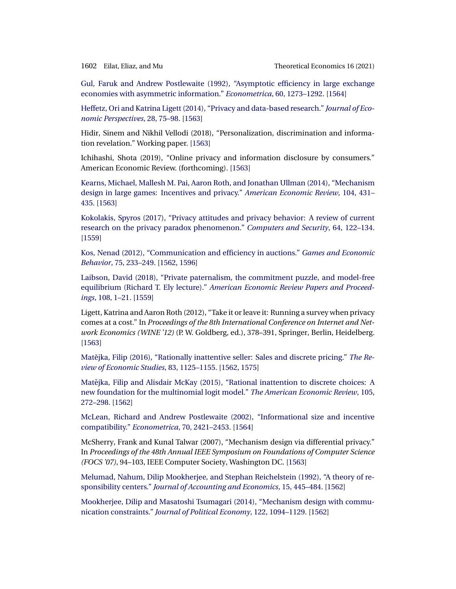<span id="page-45-0"></span>

[Gul, Faruk and Andrew Postlewaite \(1992\), "Asymptotic efficiency in large exchange](http://www.e-publications.org/srv/te/linkserver/openurl?rft_dat=bib:30/GulPos1992&rfe_id=urn:sici%2F1933-6837%282021%2916%3A4%3C1557%3ABP%3E2.0.CO%3B2-B) [economies with asymmetric information."](http://www.e-publications.org/srv/te/linkserver/openurl?rft_dat=bib:30/GulPos1992&rfe_id=urn:sici%2F1933-6837%282021%2916%3A4%3C1557%3ABP%3E2.0.CO%3B2-B) *Econometrica*, 60, 1273–1292. [\[1564\]](#page-7-0)

[Heffetz, Ori and Katrina Ligett \(2014\), "Privacy and data-based research."](http://www.e-publications.org/srv/te/linkserver/openurl?rft_dat=bib:31/HefLig2014&rfe_id=urn:sici%2F1933-6837%282021%2916%3A4%3C1557%3ABP%3E2.0.CO%3B2-B) *Journal of Eco[nomic Perspectives](http://www.e-publications.org/srv/te/linkserver/openurl?rft_dat=bib:31/HefLig2014&rfe_id=urn:sici%2F1933-6837%282021%2916%3A4%3C1557%3ABP%3E2.0.CO%3B2-B)*, 28, 75–98. [\[1563\]](#page-6-0)

Hidir, Sinem and Nikhil Vellodi (2018), "Personalization, discrimination and information revelation." Working paper. [\[1563\]](#page-6-0)

Ichihashi, Shota (2019), "Online privacy and information disclosure by consumers." American Economic Review. (forthcoming). [\[1563\]](#page-6-0)

[Kearns, Michael, Mallesh M. Pai, Aaron Roth, and Jonathan Ullman \(2014\), "Mechanism](http://www.e-publications.org/srv/te/linkserver/openurl?rft_dat=bib:34/Keaetal2014&rfe_id=urn:sici%2F1933-6837%282021%2916%3A4%3C1557%3ABP%3E2.0.CO%3B2-B) [design in large games: Incentives and privacy."](http://www.e-publications.org/srv/te/linkserver/openurl?rft_dat=bib:34/Keaetal2014&rfe_id=urn:sici%2F1933-6837%282021%2916%3A4%3C1557%3ABP%3E2.0.CO%3B2-B) *American Economic Review*, 104, 431– [435.](http://www.e-publications.org/srv/te/linkserver/openurl?rft_dat=bib:34/Keaetal2014&rfe_id=urn:sici%2F1933-6837%282021%2916%3A4%3C1557%3ABP%3E2.0.CO%3B2-B) [\[1563\]](#page-6-0)

[Kokolakis, Spyros \(2017\), "Privacy attitudes and privacy behavior: A review of current](http://www.e-publications.org/srv/te/linkserver/openurl?rft_dat=bib:35/Kok2017&rfe_id=urn:sici%2F1933-6837%282021%2916%3A4%3C1557%3ABP%3E2.0.CO%3B2-B) [research on the privacy paradox phenomenon."](http://www.e-publications.org/srv/te/linkserver/openurl?rft_dat=bib:35/Kok2017&rfe_id=urn:sici%2F1933-6837%282021%2916%3A4%3C1557%3ABP%3E2.0.CO%3B2-B) *Computers and Security*, 64, 122–134. [\[1559\]](#page-2-0)

[Kos, Nenad \(2012\), "Communication and efficiency in auctions."](http://www.e-publications.org/srv/te/linkserver/openurl?rft_dat=bib:36/Kos2012&rfe_id=urn:sici%2F1933-6837%282021%2916%3A4%3C1557%3ABP%3E2.0.CO%3B2-B) *Games and Economic Behavior*[, 75, 233–249.](http://www.e-publications.org/srv/te/linkserver/openurl?rft_dat=bib:36/Kos2012&rfe_id=urn:sici%2F1933-6837%282021%2916%3A4%3C1557%3ABP%3E2.0.CO%3B2-B) [\[1562,](#page-5-0) [1596\]](#page-39-0)

[Laibson, David \(2018\), "Private paternalism, the commitment puzzle, and model-free](http://www.e-publications.org/srv/te/linkserver/openurl?rft_dat=bib:37/Lai2018&rfe_id=urn:sici%2F1933-6837%282021%2916%3A4%3C1557%3ABP%3E2.0.CO%3B2-B) equilibrium (Richard T. Ely lecture)." *[American Economic Review Papers and Proceed](http://www.e-publications.org/srv/te/linkserver/openurl?rft_dat=bib:37/Lai2018&rfe_id=urn:sici%2F1933-6837%282021%2916%3A4%3C1557%3ABP%3E2.0.CO%3B2-B)ings*[, 108, 1–21.](http://www.e-publications.org/srv/te/linkserver/openurl?rft_dat=bib:37/Lai2018&rfe_id=urn:sici%2F1933-6837%282021%2916%3A4%3C1557%3ABP%3E2.0.CO%3B2-B) [\[1559\]](#page-2-0)

Ligett, Katrina and Aaron Roth (2012), "Take it or leave it: Running a survey when privacy comes at a cost." In *Proceedings of the 8th International Conference on Internet and Network Economics (WINE '12)* (P. W. Goldberg, ed.), 378–391, Springer, Berlin, Heidelberg. [\[1563\]](#page-6-0)

Matějka, Filip (2016), "Rationally inattentive seller: Sales and discrete pricing." *The Re[view of Economic Studies](http://www.e-publications.org/srv/te/linkserver/openurl?rft_dat=bib:39/Mat2016&rfe_id=urn:sici%2F1933-6837%282021%2916%3A4%3C1557%3ABP%3E2.0.CO%3B2-B)*, 83, 1125–1155. [\[1562,](#page-5-0) [1575\]](#page-18-0)

Matějka, Filip and Alisdair McKay (2015), "Rational inattention to discrete choices: A [new foundation for the multinomial logit model."](http://www.e-publications.org/srv/te/linkserver/openurl?rft_dat=bib:40/MatMcK2015&rfe_id=urn:sici%2F1933-6837%282021%2916%3A4%3C1557%3ABP%3E2.0.CO%3B2-B) *The American Economic Review*, 105, [272–298.](http://www.e-publications.org/srv/te/linkserver/openurl?rft_dat=bib:40/MatMcK2015&rfe_id=urn:sici%2F1933-6837%282021%2916%3A4%3C1557%3ABP%3E2.0.CO%3B2-B) [\[1562\]](#page-5-0)

[McLean, Richard and Andrew Postlewaite \(2002\), "Informational size and incentive](http://www.e-publications.org/srv/te/linkserver/openurl?rft_dat=bib:41/McLPos2002&rfe_id=urn:sici%2F1933-6837%282021%2916%3A4%3C1557%3ABP%3E2.0.CO%3B2-B) compatibility." *Econometrica*[, 70, 2421–2453.](http://www.e-publications.org/srv/te/linkserver/openurl?rft_dat=bib:41/McLPos2002&rfe_id=urn:sici%2F1933-6837%282021%2916%3A4%3C1557%3ABP%3E2.0.CO%3B2-B) [\[1564\]](#page-7-0)

McSherry, Frank and Kunal Talwar (2007), "Mechanism design via differential privacy." In *Proceedings of the 48th Annual IEEE Symposium on Foundations of Computer Science (FOCS '07)*, 94–103, IEEE Computer Society, Washington DC. [\[1563\]](#page-6-0)

[Melumad, Nahum, Dilip Mookherjee, and Stephan Reichelstein \(1992\), "A theory of re](http://www.e-publications.org/srv/te/linkserver/openurl?rft_dat=bib:43/Meletal1992&rfe_id=urn:sici%2F1933-6837%282021%2916%3A4%3C1557%3ABP%3E2.0.CO%3B2-B)sponsibility centers." *[Journal of Accounting and Economics](http://www.e-publications.org/srv/te/linkserver/openurl?rft_dat=bib:43/Meletal1992&rfe_id=urn:sici%2F1933-6837%282021%2916%3A4%3C1557%3ABP%3E2.0.CO%3B2-B)*, 15, 445–484. [\[1562\]](#page-5-0)

[Mookherjee, Dilip and Masatoshi Tsumagari \(2014\), "Mechanism design with commu](http://www.e-publications.org/srv/te/linkserver/openurl?rft_dat=bib:44/MooTsu2014&rfe_id=urn:sici%2F1933-6837%282021%2916%3A4%3C1557%3ABP%3E2.0.CO%3B2-B)nication constraints." *[Journal of Political Economy](http://www.e-publications.org/srv/te/linkserver/openurl?rft_dat=bib:44/MooTsu2014&rfe_id=urn:sici%2F1933-6837%282021%2916%3A4%3C1557%3ABP%3E2.0.CO%3B2-B)*, 122, 1094–1129. [\[1562\]](#page-5-0)